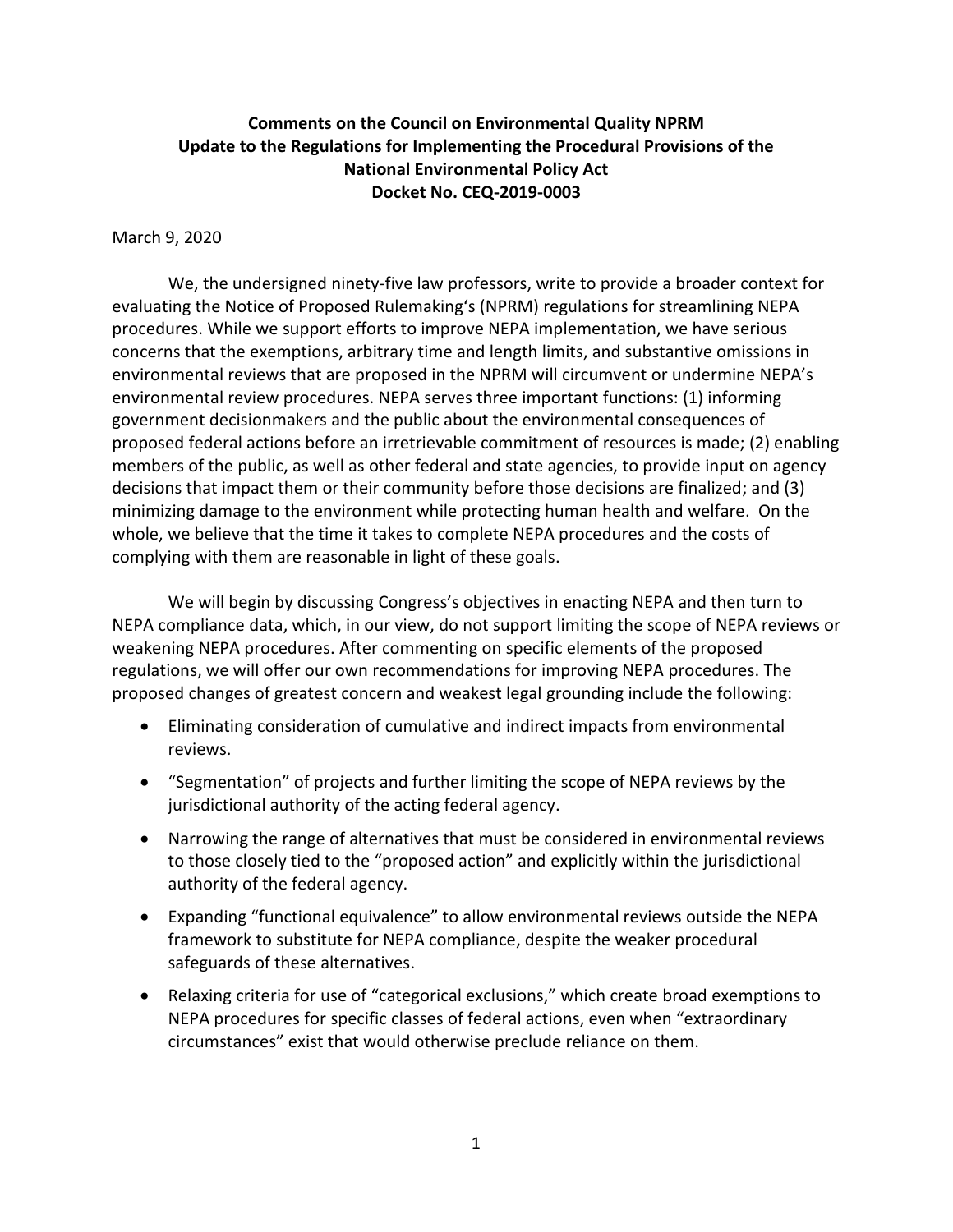## **Comments on the Council on Environmental Quality NPRM Update to the Regulations for Implementing the Procedural Provisions of the National Environmental Policy Act Docket No. CEQ-2019-0003**

#### March 9, 2020

We, the undersigned ninety-five law professors, write to provide a broader context for evaluating the Notice of Proposed Rulemaking's (NPRM) regulations for streamlining NEPA procedures. While we support efforts to improve NEPA implementation, we have serious concerns that the exemptions, arbitrary time and length limits, and substantive omissions in environmental reviews that are proposed in the NPRM will circumvent or undermine NEPA's environmental review procedures. NEPA serves three important functions: (1) informing government decisionmakers and the public about the environmental consequences of proposed federal actions before an irretrievable commitment of resources is made; (2) enabling members of the public, as well as other federal and state agencies, to provide input on agency decisions that impact them or their community before those decisions are finalized; and (3) minimizing damage to the environment while protecting human health and welfare. On the whole, we believe that the time it takes to complete NEPA procedures and the costs of complying with them are reasonable in light of these goals.

We will begin by discussing Congress's objectives in enacting NEPA and then turn to NEPA compliance data, which, in our view, do not support limiting the scope of NEPA reviews or weakening NEPA procedures. After commenting on specific elements of the proposed regulations, we will offer our own recommendations for improving NEPA procedures. The proposed changes of greatest concern and weakest legal grounding include the following:

- Eliminating consideration of cumulative and indirect impacts from environmental reviews.
- "Segmentation" of projects and further limiting the scope of NEPA reviews by the jurisdictional authority of the acting federal agency.
- Narrowing the range of alternatives that must be considered in environmental reviews to those closely tied to the "proposed action" and explicitly within the jurisdictional authority of the federal agency.
- Expanding "functional equivalence" to allow environmental reviews outside the NEPA framework to substitute for NEPA compliance, despite the weaker procedural safeguards of these alternatives.
- Relaxing criteria for use of "categorical exclusions," which create broad exemptions to NEPA procedures for specific classes of federal actions, even when "extraordinary circumstances" exist that would otherwise preclude reliance on them.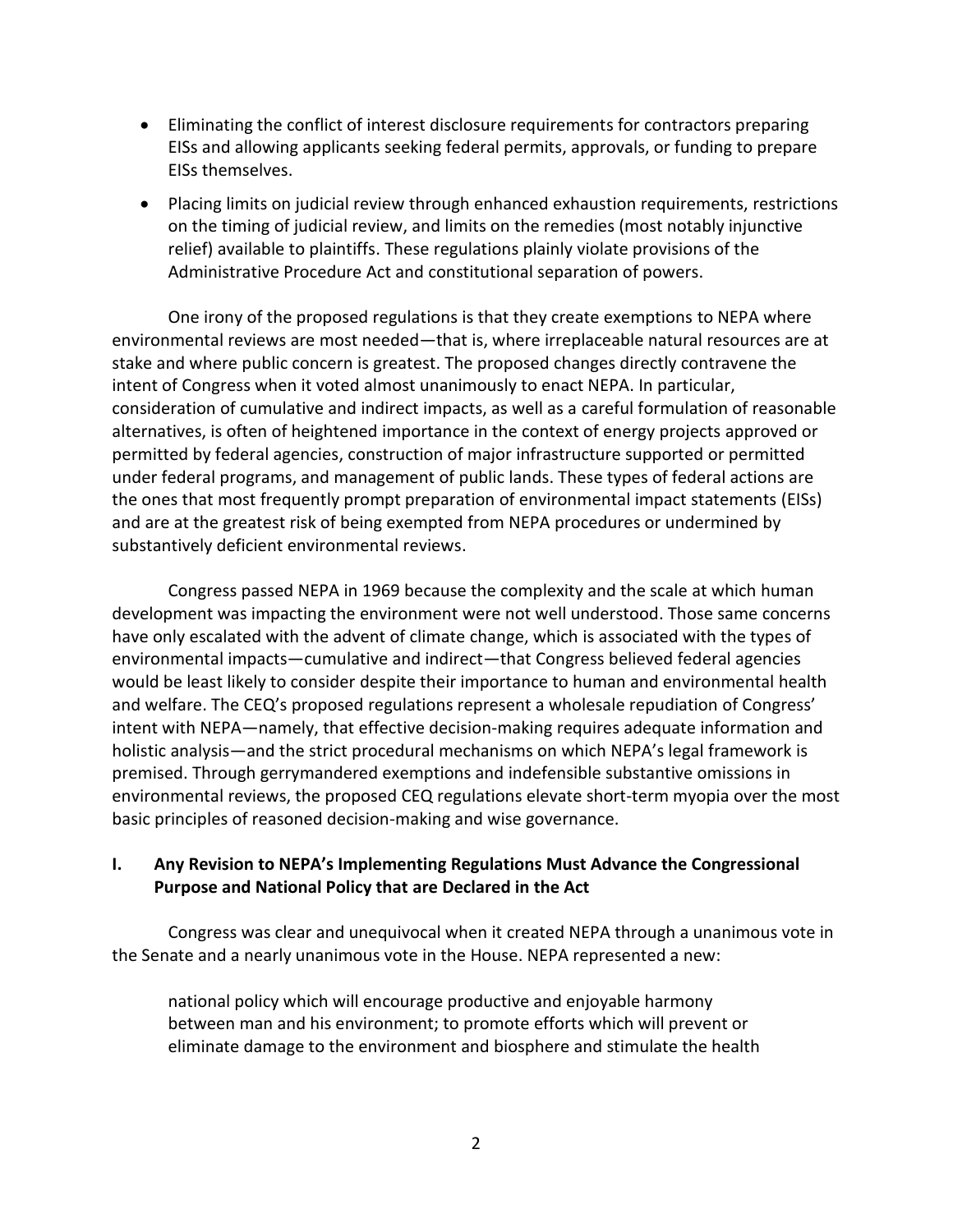- Eliminating the conflict of interest disclosure requirements for contractors preparing EISs and allowing applicants seeking federal permits, approvals, or funding to prepare EISs themselves.
- Placing limits on judicial review through enhanced exhaustion requirements, restrictions on the timing of judicial review, and limits on the remedies (most notably injunctive relief) available to plaintiffs. These regulations plainly violate provisions of the Administrative Procedure Act and constitutional separation of powers.

One irony of the proposed regulations is that they create exemptions to NEPA where environmental reviews are most needed—that is, where irreplaceable natural resources are at stake and where public concern is greatest. The proposed changes directly contravene the intent of Congress when it voted almost unanimously to enact NEPA. In particular, consideration of cumulative and indirect impacts, as well as a careful formulation of reasonable alternatives, is often of heightened importance in the context of energy projects approved or permitted by federal agencies, construction of major infrastructure supported or permitted under federal programs, and management of public lands. These types of federal actions are the ones that most frequently prompt preparation of environmental impact statements (EISs) and are at the greatest risk of being exempted from NEPA procedures or undermined by substantively deficient environmental reviews.

Congress passed NEPA in 1969 because the complexity and the scale at which human development was impacting the environment were not well understood. Those same concerns have only escalated with the advent of climate change, which is associated with the types of environmental impacts—cumulative and indirect—that Congress believed federal agencies would be least likely to consider despite their importance to human and environmental health and welfare. The CEQ's proposed regulations represent a wholesale repudiation of Congress' intent with NEPA—namely, that effective decision-making requires adequate information and holistic analysis—and the strict procedural mechanisms on which NEPA's legal framework is premised. Through gerrymandered exemptions and indefensible substantive omissions in environmental reviews, the proposed CEQ regulations elevate short-term myopia over the most basic principles of reasoned decision-making and wise governance.

## **I. Any Revision to NEPA's Implementing Regulations Must Advance the Congressional Purpose and National Policy that are Declared in the Act**

Congress was clear and unequivocal when it created NEPA through a unanimous vote in the Senate and a nearly unanimous vote in the House. NEPA represented a new:

national policy which will encourage productive and enjoyable harmony between man and his environment; to promote efforts which will prevent or eliminate damage to the environment and biosphere and stimulate the health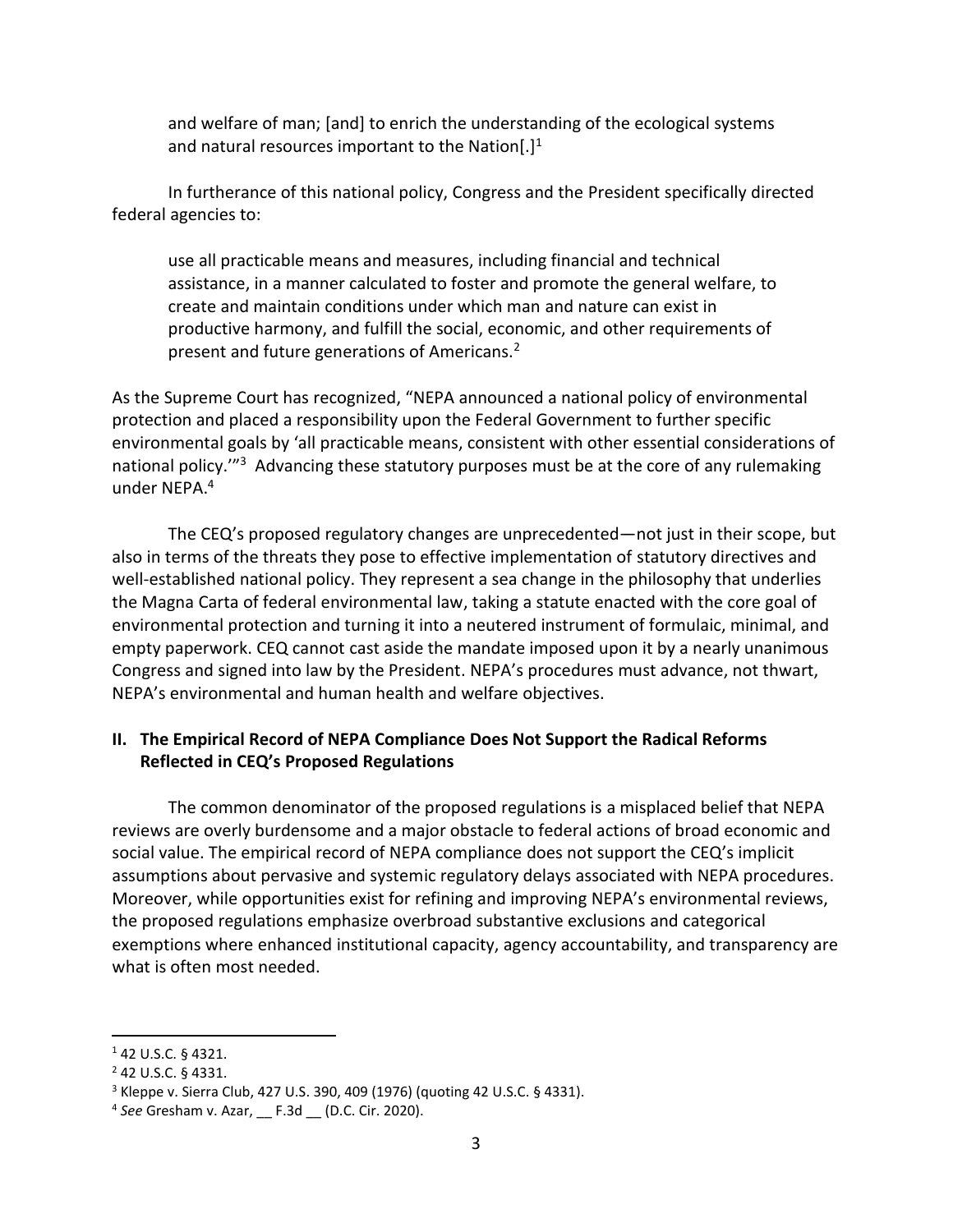and welfare of man; [and] to enrich the understanding of the ecological systems and natural resources important to the Nation $[.]^1$ 

In furtherance of this national policy, Congress and the President specifically directed federal agencies to:

use all practicable means and measures, including financial and technical assistance, in a manner calculated to foster and promote the general welfare, to create and maintain conditions under which man and nature can exist in productive harmony, and fulfill the social, economic, and other requirements of present and future generations of Americans.<sup>2</sup>

As the Supreme Court has recognized, "NEPA announced a national policy of environmental protection and placed a responsibility upon the Federal Government to further specific environmental goals by 'all practicable means, consistent with other essential considerations of national policy.<sup>'"3</sup> Advancing these statutory purposes must be at the core of any rulemaking under NEPA. 4

The CEQ's proposed regulatory changes are unprecedented—not just in their scope, but also in terms of the threats they pose to effective implementation of statutory directives and well-established national policy. They represent a sea change in the philosophy that underlies the Magna Carta of federal environmental law, taking a statute enacted with the core goal of environmental protection and turning it into a neutered instrument of formulaic, minimal, and empty paperwork. CEQ cannot cast aside the mandate imposed upon it by a nearly unanimous Congress and signed into law by the President. NEPA's procedures must advance, not thwart, NEPA's environmental and human health and welfare objectives.

## **II. The Empirical Record of NEPA Compliance Does Not Support the Radical Reforms Reflected in CEQ's Proposed Regulations**

The common denominator of the proposed regulations is a misplaced belief that NEPA reviews are overly burdensome and a major obstacle to federal actions of broad economic and social value. The empirical record of NEPA compliance does not support the CEQ's implicit assumptions about pervasive and systemic regulatory delays associated with NEPA procedures. Moreover, while opportunities exist for refining and improving NEPA's environmental reviews, the proposed regulations emphasize overbroad substantive exclusions and categorical exemptions where enhanced institutional capacity, agency accountability, and transparency are what is often most needed.

<sup>1</sup> 42 U.S.C. § 4321.

<sup>2</sup> 42 U.S.C. § 4331.

 $3$  Kleppe v. Sierra Club, 427 U.S. 390, 409 (1976) (quoting 42 U.S.C. § 4331).

<sup>4</sup> *See* Gresham v. Azar, \_\_ F.3d \_\_ (D.C. Cir. 2020).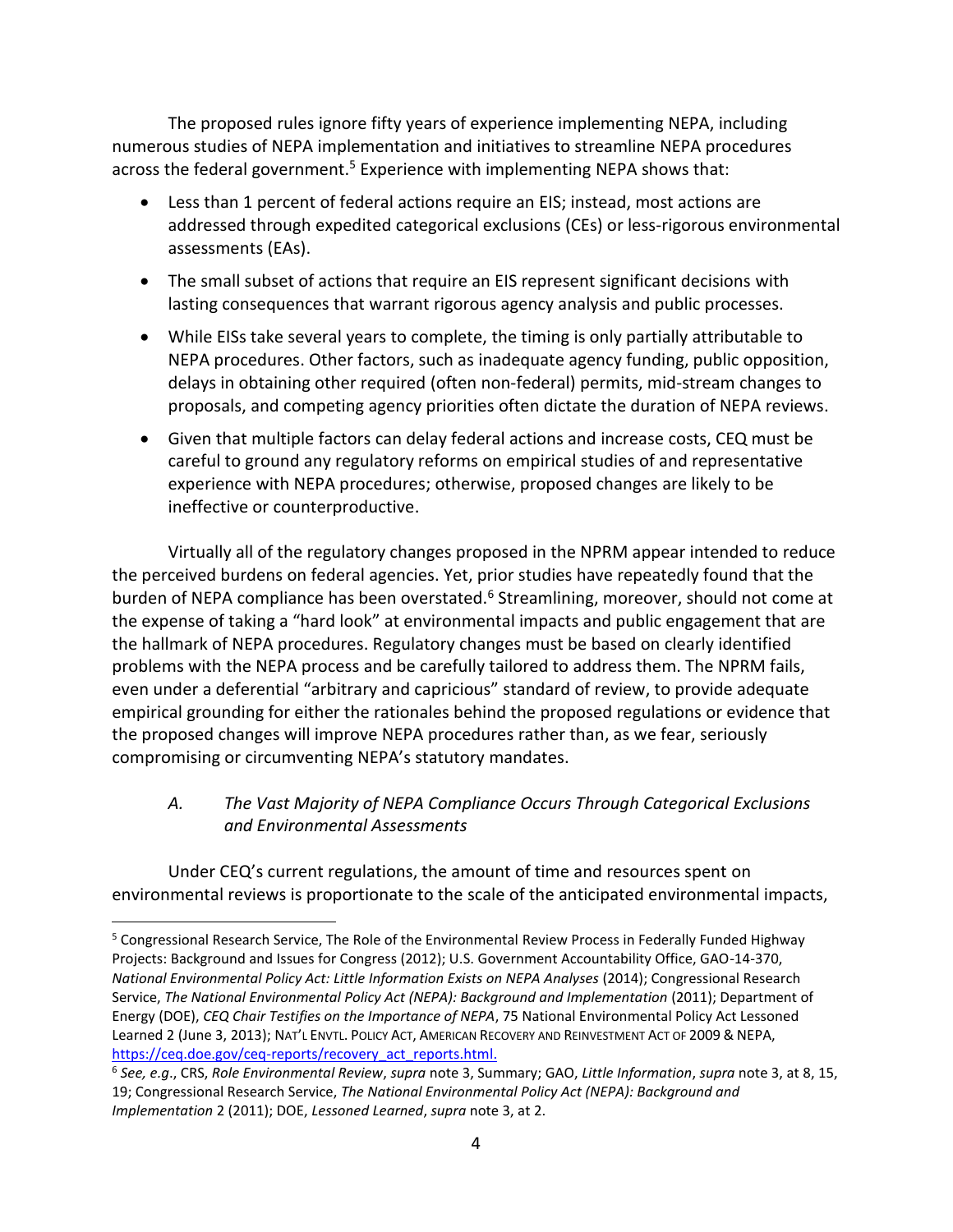The proposed rules ignore fifty years of experience implementing NEPA, including numerous studies of NEPA implementation and initiatives to streamline NEPA procedures across the federal government.<sup>5</sup> Experience with implementing NEPA shows that:

- <span id="page-3-0"></span>• Less than 1 percent of federal actions require an EIS; instead, most actions are addressed through expedited categorical exclusions (CEs) or less-rigorous environmental assessments (EAs).
- The small subset of actions that require an EIS represent significant decisions with lasting consequences that warrant rigorous agency analysis and public processes.
- While EISs take several years to complete, the timing is only partially attributable to NEPA procedures. Other factors, such as inadequate agency funding, public opposition, delays in obtaining other required (often non-federal) permits, mid-stream changes to proposals, and competing agency priorities often dictate the duration of NEPA reviews.
- Given that multiple factors can delay federal actions and increase costs, CEQ must be careful to ground any regulatory reforms on empirical studies of and representative experience with NEPA procedures; otherwise, proposed changes are likely to be ineffective or counterproductive.

Virtually all of the regulatory changes proposed in the NPRM appear intended to reduce the perceived burdens on federal agencies. Yet, prior studies have repeatedly found that the burden of NEPA compliance has been overstated.<sup>6</sup> Streamlining, moreover, should not come at the expense of taking a "hard look" at environmental impacts and public engagement that are the hallmark of NEPA procedures. Regulatory changes must be based on clearly identified problems with the NEPA process and be carefully tailored to address them. The NPRM fails, even under a deferential "arbitrary and capricious" standard of review, to provide adequate empirical grounding for either the rationales behind the proposed regulations or evidence that the proposed changes will improve NEPA procedures rather than, as we fear, seriously compromising or circumventing NEPA's statutory mandates.

*A. The Vast Majority of NEPA Compliance Occurs Through Categorical Exclusions and Environmental Assessments*

Under CEQ's current regulations, the amount of time and resources spent on environmental reviews is proportionate to the scale of the anticipated environmental impacts,

<sup>5</sup> Congressional Research Service, The Role of the Environmental Review Process in Federally Funded Highway Projects: Background and Issues for Congress (2012); U.S. Government Accountability Office, GAO-14-370, *National Environmental Policy Act: Little Information Exists on NEPA Analyses* (2014); Congressional Research Service, *The National Environmental Policy Act (NEPA): Background and Implementation* (2011); Department of Energy (DOE), *CEQ Chair Testifies on the Importance of NEPA*, 75 National Environmental Policy Act Lessoned Learned 2 (June 3, 2013); NAT'L ENVTL. POLICY ACT, AMERICAN RECOVERY AND REINVESTMENT ACT OF 2009 & NEPA, [https://ceq.doe.gov/ceq-reports/recovery\\_act\\_reports.html.](https://ceq.doe.gov/ceq-reports/recovery_act_reports.html)

<sup>6</sup> *See, e.g*., CRS, *Role Environmental Review*, *supra* note 3, Summary; GAO, *Little Information*, *supra* note 3, at 8, 15, 19; Congressional Research Service, *The National Environmental Policy Act (NEPA): Background and Implementation* 2 (2011); DOE, *Lessoned Learned*, *supra* note 3, at 2.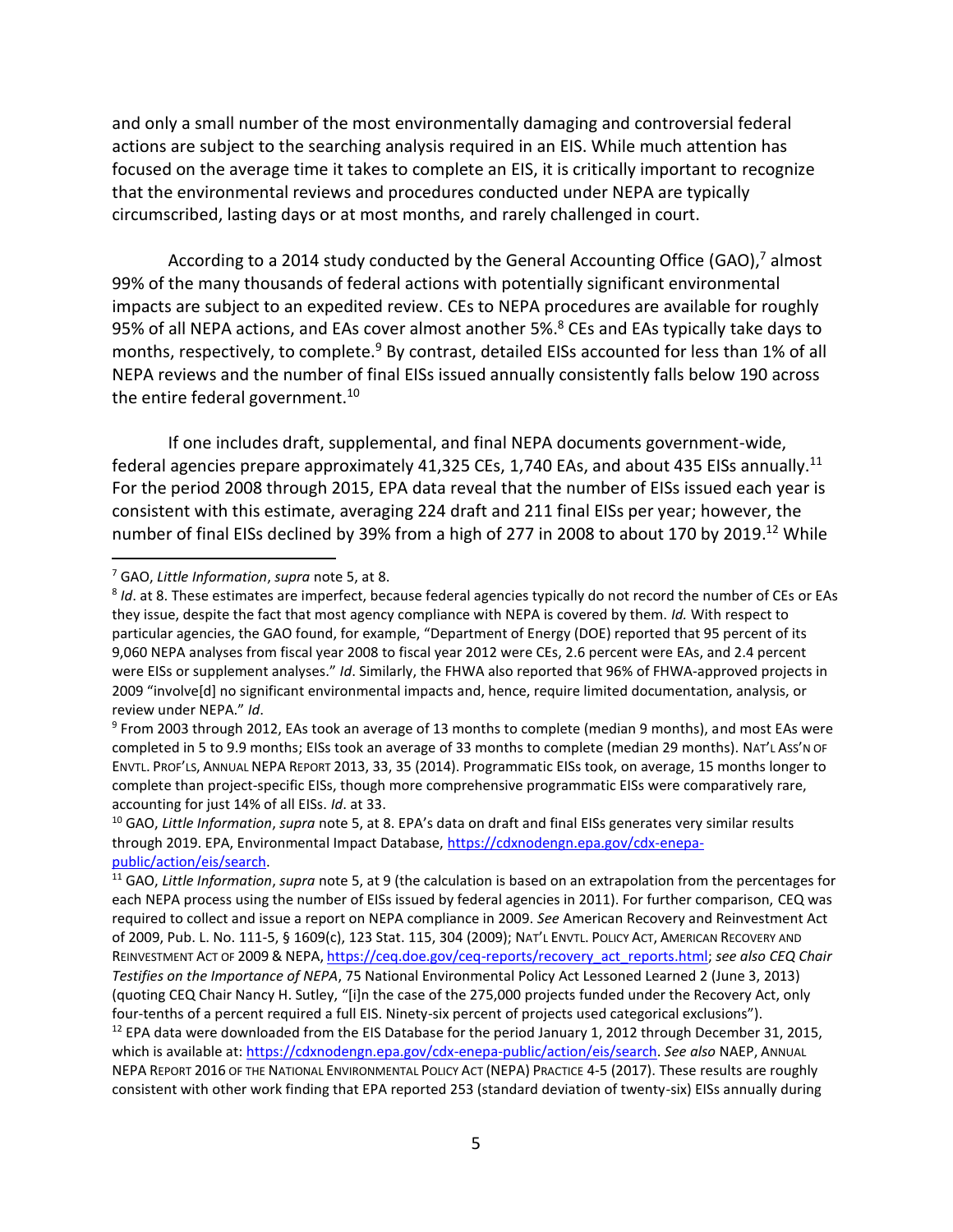and only a small number of the most environmentally damaging and controversial federal actions are subject to the searching analysis required in an EIS. While much attention has focused on the average time it takes to complete an EIS, it is critically important to recognize that the environmental reviews and procedures conducted under NEPA are typically circumscribed, lasting days or at most months, and rarely challenged in court.

<span id="page-4-2"></span>According to a 2014 study conducted by the General Accounting Office (GAO), $^7$  almost 99% of the many thousands of federal actions with potentially significant environmental impacts are subject to an expedited review. CEs to NEPA procedures are available for roughly 95% of all NEPA actions, and EAs cover almost another 5%. <sup>8</sup> CEs and EAs typically take days to months, respectively, to complete.<sup>9</sup> By contrast, detailed EISs accounted for less than 1% of all NEPA reviews and the number of final EISs issued annually consistently falls below 190 across the entire federal government.<sup>10</sup>

<span id="page-4-0"></span>If one includes draft, supplemental, and final NEPA documents government-wide, federal agencies prepare approximately 41,325 CEs, 1,740 EAs, and about 435 EISs annually.<sup>11</sup> For the period 2008 through 2015, EPA data reveal that the number of EISs issued each year is consistent with this estimate, averaging 224 draft and 211 final EISs per year; however, the number of final EISs declined by 39% from a high of 277 in 2008 to about 170 by 2019.<sup>12</sup> While

<span id="page-4-3"></span><span id="page-4-1"></span><sup>7</sup> GAO, *Little Information*, *supra* not[e 5,](#page-3-0) at 8.

<sup>8</sup> *Id*. at 8. These estimates are imperfect, because federal agencies typically do not record the number of CEs or EAs they issue, despite the fact that most agency compliance with NEPA is covered by them. *Id.* With respect to particular agencies, the GAO found, for example, "Department of Energy (DOE) reported that 95 percent of its 9,060 NEPA analyses from fiscal year 2008 to fiscal year 2012 were CEs, 2.6 percent were EAs, and 2.4 percent were EISs or supplement analyses." *Id*. Similarly, the FHWA also reported that 96% of FHWA-approved projects in 2009 "involve[d] no significant environmental impacts and, hence, require limited documentation, analysis, or review under NEPA." *Id*.

<sup>&</sup>lt;sup>9</sup> From 2003 through 2012, EAs took an average of 13 months to complete (median 9 months), and most EAs were completed in 5 to 9.9 months; EISs took an average of 33 months to complete (median 29 months). NAT'L ASS'N OF ENVTL. PROF'LS, ANNUAL NEPA REPORT 2013, 33, 35 (2014). Programmatic EISs took, on average, 15 months longer to complete than project-specific EISs, though more comprehensive programmatic EISs were comparatively rare, accounting for just 14% of all EISs. *Id*. at 33.

<sup>10</sup> GAO, *Little Information*, *supra* note [5](#page-3-0), at 8. EPA's data on draft and final EISs generates very similar results through 2019. EPA, Environmental Impact Database[, https://cdxnodengn.epa.gov/cdx-enepa](https://cdxnodengn.epa.gov/cdx-enepa-public/action/eis/search)[public/action/eis/search.](https://cdxnodengn.epa.gov/cdx-enepa-public/action/eis/search)

<sup>11</sup> GAO, *Little Information*, *supra* note [5,](#page-3-0) at 9 (the calculation is based on an extrapolation from the percentages for each NEPA process using the number of EISs issued by federal agencies in 2011). For further comparison, CEQ was required to collect and issue a report on NEPA compliance in 2009. *See* American Recovery and Reinvestment Act of 2009, Pub. L. No. 111-5, § 1609(c), 123 Stat. 115, 304 (2009); NAT'L ENVTL. POLICY ACT, AMERICAN RECOVERY AND REINVESTMENT ACT OF 2009 & NEPA, [https://ceq.doe.gov/ceq-reports/recovery\\_act\\_reports.html;](https://ceq.doe.gov/ceq-reports/recovery_act_reports.html) *see also CEQ Chair Testifies on the Importance of NEPA*, 75 National Environmental Policy Act Lessoned Learned 2 (June 3, 2013) (quoting CEQ Chair Nancy H. Sutley, "[i]n the case of the 275,000 projects funded under the Recovery Act, only four-tenths of a percent required a full EIS. Ninety-six percent of projects used categorical exclusions"). <sup>12</sup> EPA data were downloaded from the EIS Database for the period January 1, 2012 through December 31, 2015, which is available at: [https://cdxnodengn.epa.gov/cdx-enepa-public/action/eis/search.](https://cdxnodengn.epa.gov/cdx-enepa-public/action/eis/search) *See also* NAEP, ANNUAL NEPA REPORT 2016 OF THE NATIONAL ENVIRONMENTAL POLICY ACT (NEPA) PRACTICE 4-5 (2017). These results are roughly consistent with other work finding that EPA reported 253 (standard deviation of twenty-six) EISs annually during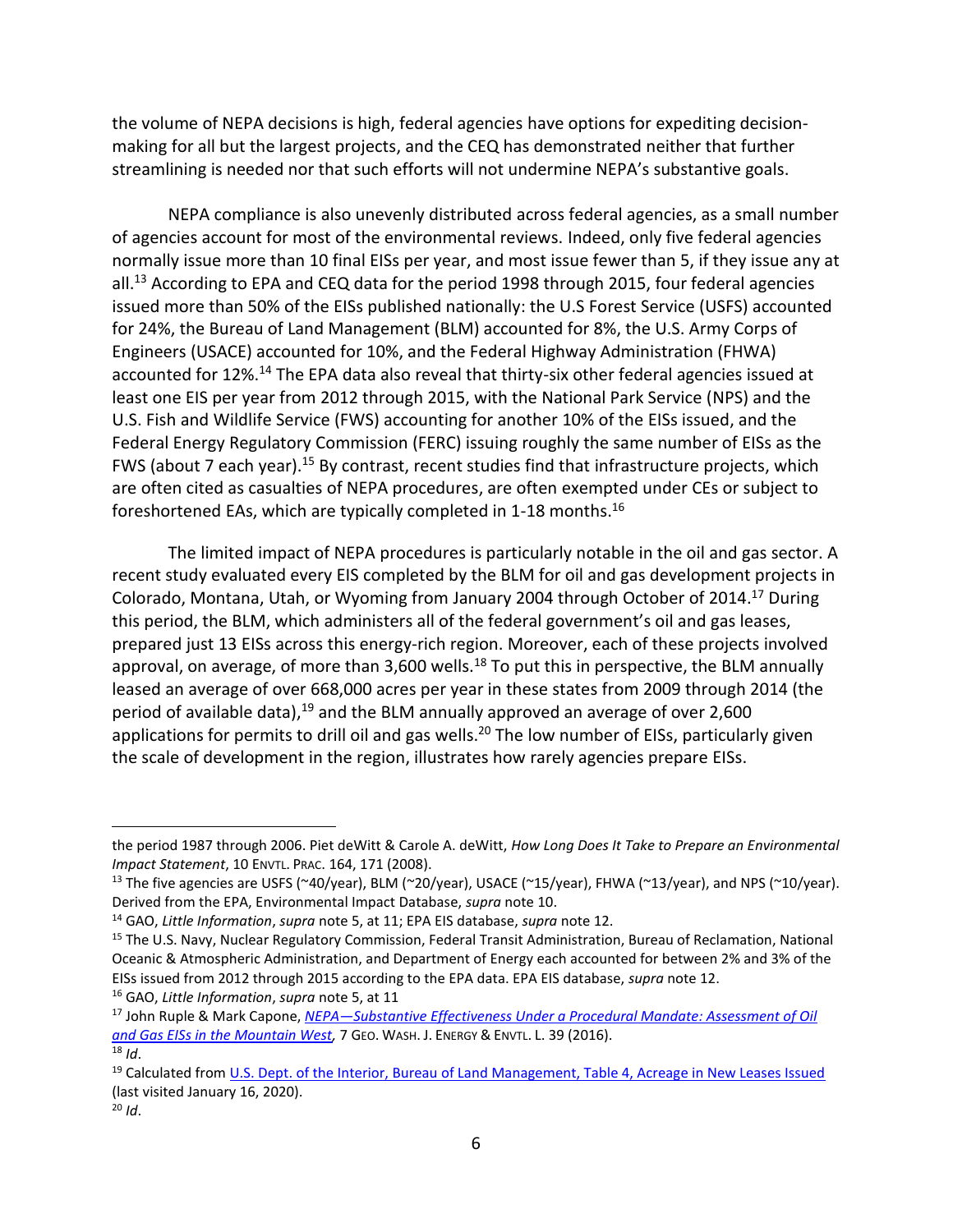the volume of NEPA decisions is high, federal agencies have options for expediting decisionmaking for all but the largest projects, and the CEQ has demonstrated neither that further streamlining is needed nor that such efforts will not undermine NEPA's substantive goals.

NEPA compliance is also unevenly distributed across federal agencies, as a small number of agencies account for most of the environmental reviews. Indeed, only five federal agencies normally issue more than 10 final EISs per year, and most issue fewer than 5, if they issue any at all.<sup>13</sup> According to EPA and CEQ data for the period 1998 through 2015, four federal agencies issued more than 50% of the EISs published nationally: the U.S Forest Service (USFS) accounted for 24%, the Bureau of Land Management (BLM) accounted for 8%, the U.S. Army Corps of Engineers (USACE) accounted for 10%, and the Federal Highway Administration (FHWA) accounted for 12%.<sup>14</sup> The EPA data also reveal that thirty-six other federal agencies issued at least one EIS per year from 2012 through 2015, with the National Park Service (NPS) and the U.S. Fish and Wildlife Service (FWS) accounting for another 10% of the EISs issued, and the Federal Energy Regulatory Commission (FERC) issuing roughly the same number of EISs as the FWS (about 7 each year).<sup>15</sup> By contrast, recent studies find that infrastructure projects, which are often cited as casualties of NEPA procedures, are often exempted under CEs or subject to foreshortened EAs, which are typically completed in 1-18 months.<sup>16</sup>

<span id="page-5-0"></span>The limited impact of NEPA procedures is particularly notable in the oil and gas sector. A recent study evaluated every EIS completed by the BLM for oil and gas development projects in Colorado, Montana, Utah, or Wyoming from January 2004 through October of 2014.<sup>17</sup> During this period, the BLM, which administers all of the federal government's oil and gas leases, prepared just 13 EISs across this energy-rich region. Moreover, each of these projects involved approval, on average, of more than  $3,600$  wells.<sup>18</sup> To put this in perspective, the BLM annually leased an average of over 668,000 acres per year in these states from 2009 through 2014 (the period of available data),<sup>19</sup> and the BLM annually approved an average of over 2,600 applications for permits to drill oil and gas wells.<sup>20</sup> The low number of EISs, particularly given the scale of development in the region, illustrates how rarely agencies prepare EISs.

the period 1987 through 2006. Piet deWitt & Carole A. deWitt, *How Long Does It Take to Prepare an Environmental Impact Statement*, 10 ENVTL. PRAC. 164, 171 (2008).

<sup>&</sup>lt;sup>13</sup> The five agencies are USFS (~40/year), BLM (~20/year), USACE (~15/year), FHWA (~13/year), and NPS (~10/year). Derived from the EPA, Environmental Impact Database, *supra* not[e 10.](#page-4-0)

<sup>14</sup> GAO, *Little Information*, *supra* note [5,](#page-3-0) at 11; EPA EIS database, *supra* not[e 12.](#page-4-1)

<sup>&</sup>lt;sup>15</sup> The U.S. Navy, Nuclear Regulatory Commission, Federal Transit Administration, Bureau of Reclamation, National Oceanic & Atmospheric Administration, and Department of Energy each accounted for between 2% and 3% of the EISs issued from 2012 through 2015 according to the EPA data. EPA EIS database, *supra* note [12.](#page-4-1) <sup>16</sup> GAO, *Little Information*, *supra* note [5,](#page-3-0) at 11

<sup>17</sup> John Ruple & Mark Capone, *NEPA—[Substantive Effectiveness Under a Procedural Mandate: Assessment of Oil](https://gwujeel.files.wordpress.com/2016/02/jeel_vol7_issue1_ruple-capone.pdf)  [and Gas EISs in the Mountain West,](https://gwujeel.files.wordpress.com/2016/02/jeel_vol7_issue1_ruple-capone.pdf)* 7 GEO. WASH. J. ENERGY & ENVTL. L. 39 (2016).  $18$  *Id.* 

<sup>&</sup>lt;sup>19</sup> Calculated fro[m U.S. Dept. of the Interior, Bureau of Land Management, Table 4, Acreage in New Leases Issued](https://www.blm.gov/programs/energy-and-minerals/oil-and-gas/oil-and-gas-statistics) (last visited January 16, 2020).

<sup>20</sup> *Id*.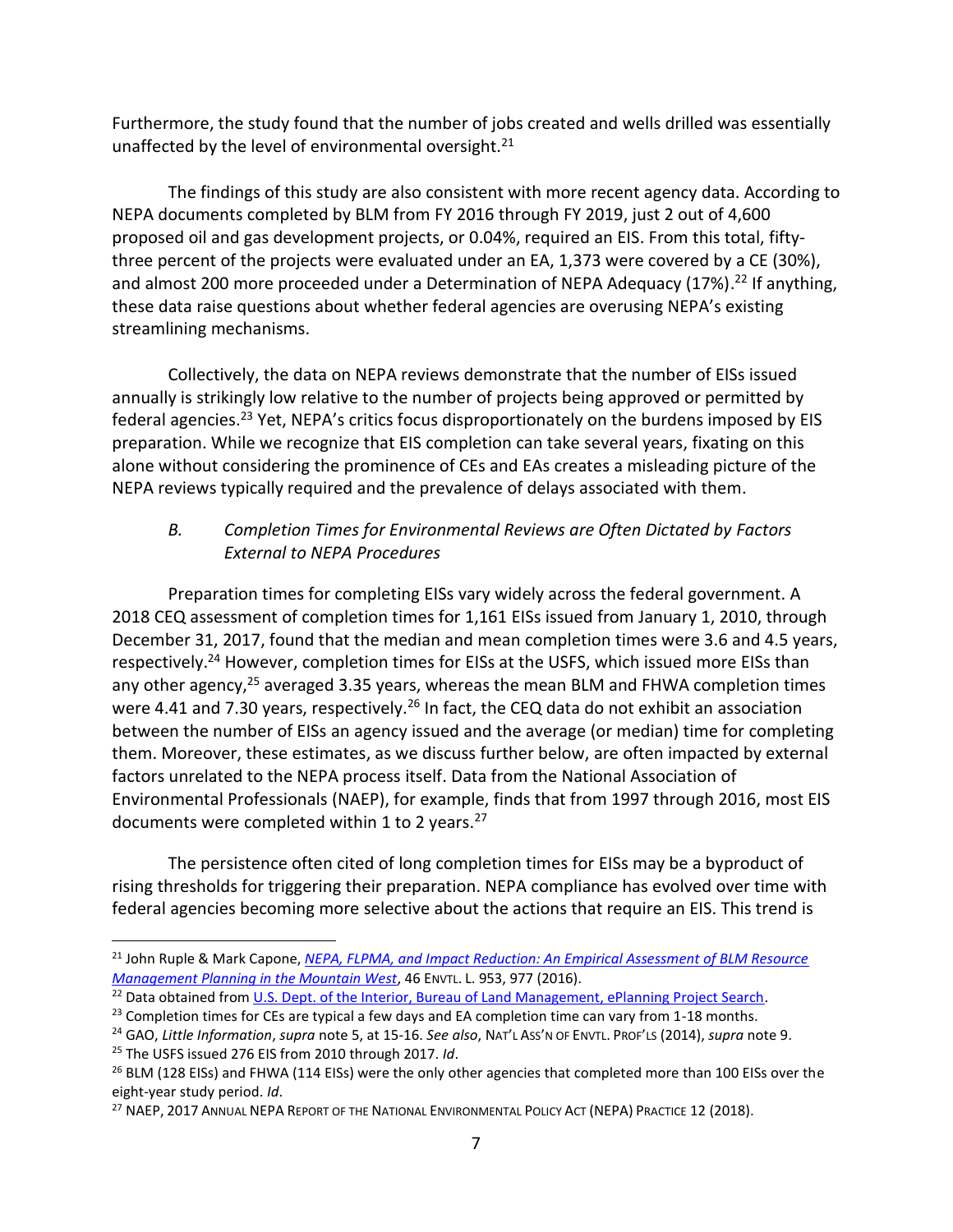<span id="page-6-0"></span>Furthermore, the study found that the number of jobs created and wells drilled was essentially unaffected by the level of environmental oversight.<sup>21</sup>

The findings of this study are also consistent with more recent agency data. According to NEPA documents completed by BLM from FY 2016 through FY 2019, just 2 out of 4,600 proposed oil and gas development projects, or 0.04%, required an EIS. From this total, fiftythree percent of the projects were evaluated under an EA, 1,373 were covered by a CE (30%), and almost 200 more proceeded under a Determination of NEPA Adequacy (17%).<sup>22</sup> If anything, these data raise questions about whether federal agencies are overusing NEPA's existing streamlining mechanisms.

Collectively, the data on NEPA reviews demonstrate that the number of EISs issued annually is strikingly low relative to the number of projects being approved or permitted by federal agencies.<sup>23</sup> Yet, NEPA's critics focus disproportionately on the burdens imposed by EIS preparation. While we recognize that EIS completion can take several years, fixating on this alone without considering the prominence of CEs and EAs creates a misleading picture of the NEPA reviews typically required and the prevalence of delays associated with them.

# *B. Completion Times for Environmental Reviews are Often Dictated by Factors External to NEPA Procedures*

Preparation times for completing EISs vary widely across the federal government. A 2018 CEQ assessment of completion times for 1,161 EISs issued from January 1, 2010, through December 31, 2017, found that the median and mean completion times were 3.6 and 4.5 years, respectively.<sup>24</sup> However, completion times for EISs at the USFS, which issued more EISs than any other agency,<sup>25</sup> averaged 3.35 years, whereas the mean BLM and FHWA completion times were 4.41 and 7.30 years, respectively.<sup>26</sup> In fact, the CEQ data do not exhibit an association between the number of EISs an agency issued and the average (or median) time for completing them. Moreover, these estimates, as we discuss further below, are often impacted by external factors unrelated to the NEPA process itself. Data from the National Association of Environmental Professionals (NAEP), for example, finds that from 1997 through 2016, most EIS documents were completed within 1 to 2 years.<sup>27</sup>

The persistence often cited of long completion times for EISs may be a byproduct of rising thresholds for triggering their preparation. NEPA compliance has evolved over time with federal agencies becoming more selective about the actions that require an EIS. This trend is

<sup>21</sup> John Ruple & Mark Capone, *[NEPA, FLPMA, and Impact Reduction: An Empirical Assessment of BLM Resource](https://law.lclark.edu/live/files/23293-46-4ruplecaponepdf)  [Management Planning in the Mountain West](https://law.lclark.edu/live/files/23293-46-4ruplecaponepdf)*, 46 ENVTL. L. 953, 977 (2016).

<sup>&</sup>lt;sup>22</sup> Data obtained from [U.S. Dept. of the Interior, Bureau of Land Management, ePlanning Project Search.](https://eplanning.blm.gov/epl-front-office/eplanning/nepa/nepa_register.do)

 $23$  Completion times for CEs are typical a few days and EA completion time can vary from 1-18 months.

<sup>24</sup> GAO, *Little Information*, *supra* note [5,](#page-3-0) at 15-16. *See also*, NAT'L ASS'N OF ENVTL. PROF'LS (2014), *supra* note [9.](#page-4-2)

<sup>25</sup> The USFS issued 276 EIS from 2010 through 2017. *Id*.

<sup>&</sup>lt;sup>26</sup> BLM (128 EISs) and FHWA (114 EISs) were the only other agencies that completed more than 100 EISs over the eight-year study period. *Id*.

<sup>&</sup>lt;sup>27</sup> NAEP, 2017 ANNUAL NEPA REPORT OF THE NATIONAL ENVIRONMENTAL POLICY ACT (NEPA) PRACTICE 12 (2018).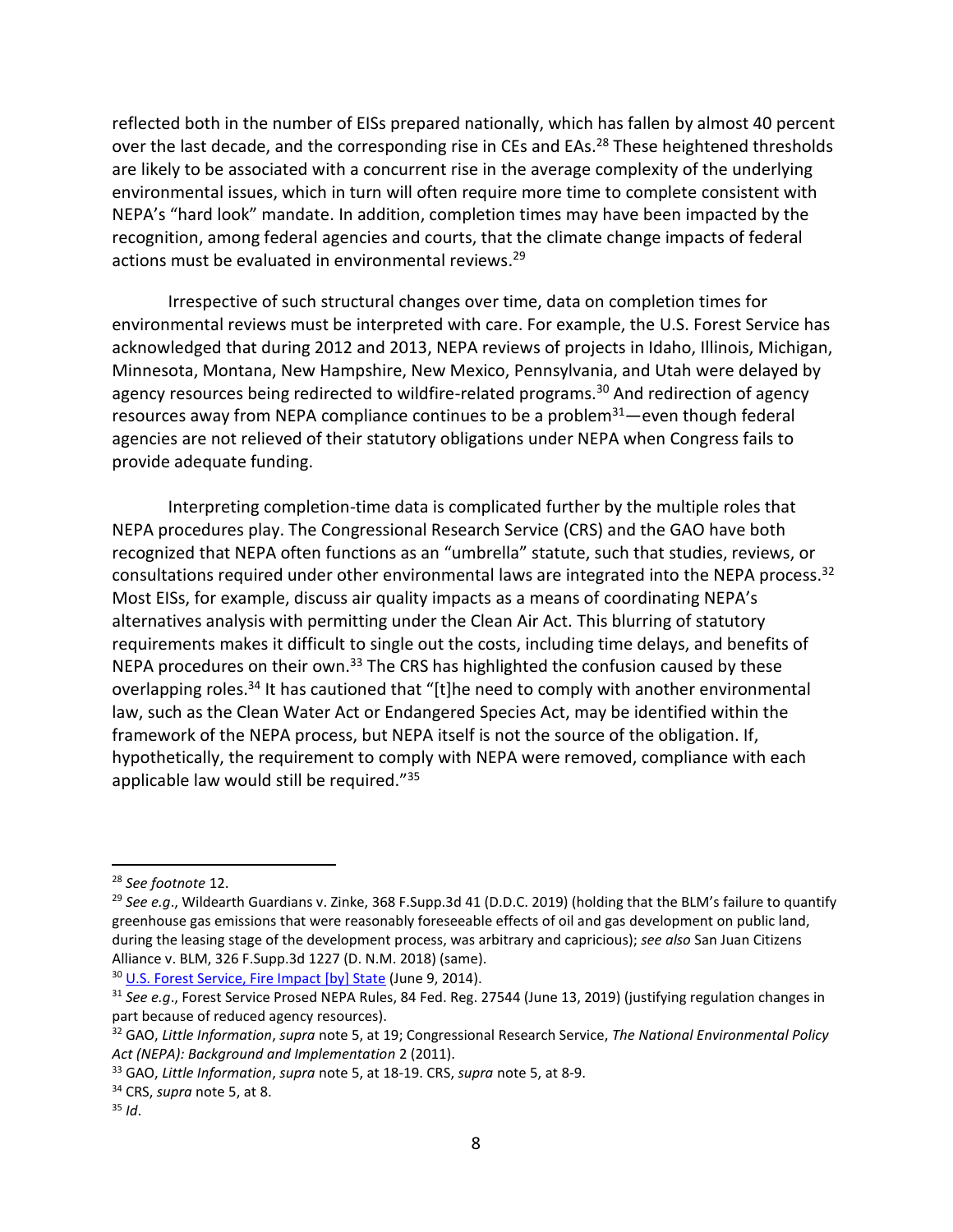reflected both in the number of EISs prepared nationally, which has fallen by almost 40 percent over the last decade, and the corresponding rise in CEs and EAs.<sup>28</sup> These heightened thresholds are likely to be associated with a concurrent rise in the average complexity of the underlying environmental issues, which in turn will often require more time to complete consistent with NEPA's "hard look" mandate. In addition, completion times may have been impacted by the recognition, among federal agencies and courts, that the climate change impacts of federal actions must be evaluated in environmental reviews. 29

Irrespective of such structural changes over time, data on completion times for environmental reviews must be interpreted with care. For example, the U.S. Forest Service has acknowledged that during 2012 and 2013, NEPA reviews of projects in Idaho, Illinois, Michigan, Minnesota, Montana, New Hampshire, New Mexico, Pennsylvania, and Utah were delayed by agency resources being redirected to wildfire-related programs.<sup>30</sup> And redirection of agency resources away from NEPA compliance continues to be a problem $31$ —even though federal agencies are not relieved of their statutory obligations under NEPA when Congress fails to provide adequate funding.

Interpreting completion-time data is complicated further by the multiple roles that NEPA procedures play. The Congressional Research Service (CRS) and the GAO have both recognized that NEPA often functions as an "umbrella" statute, such that studies, reviews, or consultations required under other environmental laws are integrated into the NEPA process.<sup>32</sup> Most EISs, for example, discuss air quality impacts as a means of coordinating NEPA's alternatives analysis with permitting under the Clean Air Act. This blurring of statutory requirements makes it difficult to single out the costs, including time delays, and benefits of NEPA procedures on their own.<sup>33</sup> The CRS has highlighted the confusion caused by these overlapping roles.<sup>34</sup> It has cautioned that "[t]he need to comply with another environmental law, such as the Clean Water Act or Endangered Species Act, may be identified within the framework of the NEPA process, but NEPA itself is not the source of the obligation. If, hypothetically, the requirement to comply with NEPA were removed, compliance with each applicable law would still be required."<sup>35</sup>

<sup>28</sup> *See footnote* [12.](#page-4-3)

<sup>29</sup> *See e.g*., Wildearth Guardians v. Zinke, 368 F.Supp.3d 41 (D.D.C. 2019) (holding that the BLM's failure to quantify greenhouse gas emissions that were reasonably foreseeable effects of oil and gas development on public land, during the leasing stage of the development process, was arbitrary and capricious); *see also* San Juan Citizens Alliance v. BLM, 326 F.Supp.3d 1227 (D. N.M. 2018) (same).

<sup>&</sup>lt;sup>30</sup> [U.S. Forest Service, Fire Impact \[by\] State](https://www.fs.usda.gov/sites/default/files/legacy_files/media/types/publication/field_pdf/forest-service-fire-transfer-state-impacts.pdf) (June 9, 2014).

<sup>31</sup> *See e.g*., Forest Service Prosed NEPA Rules, 84 Fed. Reg. 27544 (June 13, 2019) (justifying regulation changes in part because of reduced agency resources).

<sup>32</sup> GAO, *Little Information*, *supra* note [5,](#page-3-0) at 19; Congressional Research Service, *The National Environmental Policy Act (NEPA): Background and Implementation* 2 (2011).

<sup>33</sup> GAO, *Little Information*, *supra* note [5,](#page-3-0) at 18-19. CRS, *supra* not[e 5,](#page-3-0) at 8-9.

<sup>34</sup> CRS, *supra* note [5,](#page-3-0) at 8.

<sup>35</sup> *Id*.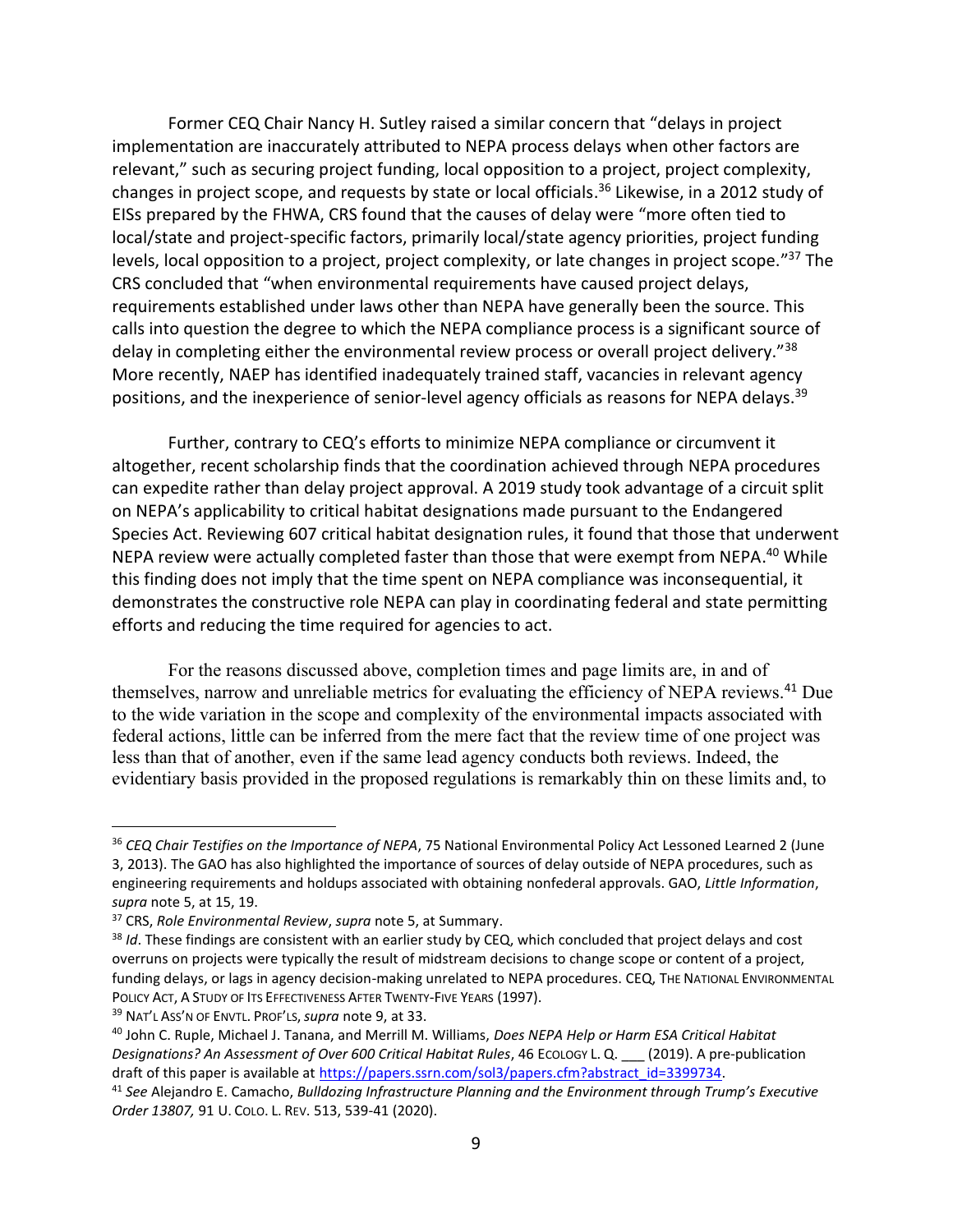Former CEQ Chair Nancy H. Sutley raised a similar concern that "delays in project implementation are inaccurately attributed to NEPA process delays when other factors are relevant," such as securing project funding, local opposition to a project, project complexity, changes in project scope, and requests by state or local officials. <sup>36</sup> Likewise, in a 2012 study of EISs prepared by the FHWA, CRS found that the causes of delay were "more often tied to local/state and project-specific factors, primarily local/state agency priorities, project funding levels, local opposition to a project, project complexity, or late changes in project scope."<sup>37</sup> The CRS concluded that "when environmental requirements have caused project delays, requirements established under laws other than NEPA have generally been the source. This calls into question the degree to which the NEPA compliance process is a significant source of delay in completing either the environmental review process or overall project delivery."<sup>38</sup> More recently, NAEP has identified inadequately trained staff, vacancies in relevant agency positions, and the inexperience of senior-level agency officials as reasons for NEPA delays.<sup>39</sup>

Further, contrary to CEQ's efforts to minimize NEPA compliance or circumvent it altogether, recent scholarship finds that the coordination achieved through NEPA procedures can expedite rather than delay project approval. A 2019 study took advantage of a circuit split on NEPA's applicability to critical habitat designations made pursuant to the Endangered Species Act. Reviewing 607 critical habitat designation rules, it found that those that underwent NEPA review were actually completed faster than those that were exempt from NEPA.<sup>40</sup> While this finding does not imply that the time spent on NEPA compliance was inconsequential, it demonstrates the constructive role NEPA can play in coordinating federal and state permitting efforts and reducing the time required for agencies to act.

For the reasons discussed above, completion times and page limits are, in and of themselves, narrow and unreliable metrics for evaluating the efficiency of NEPA reviews.<sup>41</sup> Due to the wide variation in the scope and complexity of the environmental impacts associated with federal actions, little can be inferred from the mere fact that the review time of one project was less than that of another, even if the same lead agency conducts both reviews. Indeed, the evidentiary basis provided in the proposed regulations is remarkably thin on these limits and, to

<sup>39</sup> NAT'L ASS'N OF ENVTL. PROF'LS,*supra* note [9,](#page-4-2) at 33.

<sup>36</sup> *CEQ Chair Testifies on the Importance of NEPA*, 75 National Environmental Policy Act Lessoned Learned 2 (June 3, 2013). The GAO has also highlighted the importance of sources of delay outside of NEPA procedures, such as engineering requirements and holdups associated with obtaining nonfederal approvals. GAO, *Little Information*, *supra* note [5,](#page-3-0) at 15, 19.

<sup>37</sup> CRS, *Role Environmental Review*, *supra* note [5,](#page-3-0) at Summary.

<sup>38</sup> *Id*. These findings are consistent with an earlier study by CEQ, which concluded that project delays and cost overruns on projects were typically the result of midstream decisions to change scope or content of a project, funding delays, or lags in agency decision-making unrelated to NEPA procedures. CEQ, THE NATIONAL ENVIRONMENTAL POLICY ACT, A STUDY OF ITS EFFECTIVENESS AFTER TWENTY-FIVE YEARS (1997).

<sup>40</sup> John C. Ruple, Michael J. Tanana, and Merrill M. Williams, *Does NEPA Help or Harm ESA Critical Habitat Designations? An Assessment of Over 600 Critical Habitat Rules*, 46 ECOLOGY L. Q. \_\_\_ (2019). A pre-publication draft of this paper is available at [https://papers.ssrn.com/sol3/papers.cfm?abstract\\_id=3399734.](https://papers.ssrn.com/sol3/papers.cfm?abstract_id=3399734)

<sup>41</sup> *See* Alejandro E. Camacho, *Bulldozing Infrastructure Planning and the Environment through Trump's Executive Order 13807,* 91 U. COLO. L. REV. 513, 539-41 (2020).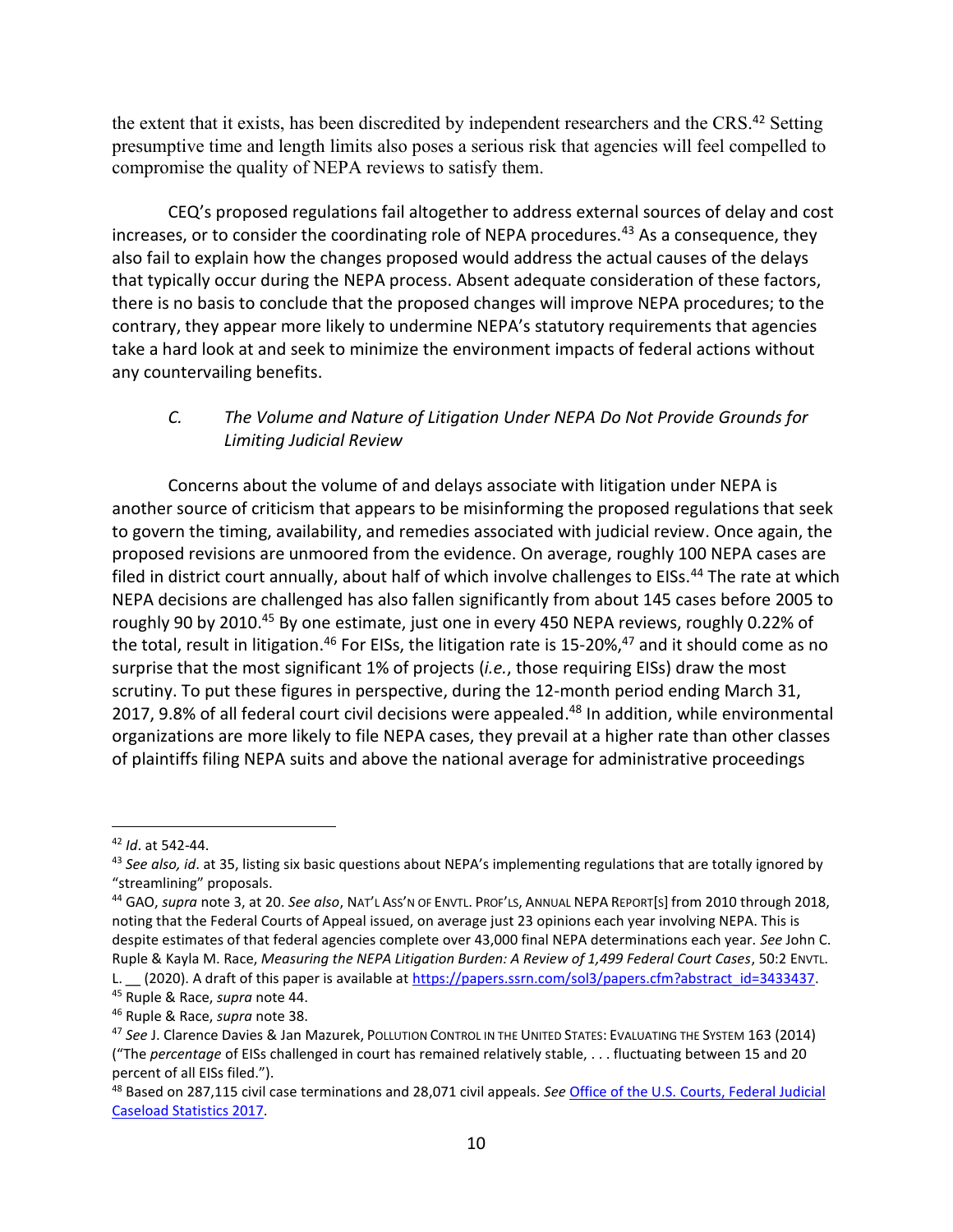the extent that it exists, has been discredited by independent researchers and the CRS.<sup>42</sup> Setting presumptive time and length limits also poses a serious risk that agencies will feel compelled to compromise the quality of NEPA reviews to satisfy them.

CEQ's proposed regulations fail altogether to address external sources of delay and cost increases, or to consider the coordinating role of NEPA procedures.<sup>43</sup> As a consequence, they also fail to explain how the changes proposed would address the actual causes of the delays that typically occur during the NEPA process. Absent adequate consideration of these factors, there is no basis to conclude that the proposed changes will improve NEPA procedures; to the contrary, they appear more likely to undermine NEPA's statutory requirements that agencies take a hard look at and seek to minimize the environment impacts of federal actions without any countervailing benefits.

## <span id="page-9-0"></span>*C. The Volume and Nature of Litigation Under NEPA Do Not Provide Grounds for Limiting Judicial Review*

Concerns about the volume of and delays associate with litigation under NEPA is another source of criticism that appears to be misinforming the proposed regulations that seek to govern the timing, availability, and remedies associated with judicial review. Once again, the proposed revisions are unmoored from the evidence. On average, roughly 100 NEPA cases are filed in district court annually, about half of which involve challenges to EISs.<sup>44</sup> The rate at which NEPA decisions are challenged has also fallen significantly from about 145 cases before 2005 to roughly 90 by 2010.<sup>45</sup> By one estimate, just one in every 450 NEPA reviews, roughly 0.22% of the total, result in litigation.<sup>46</sup> For EISs, the litigation rate is 15-20%,<sup>47</sup> and it should come as no surprise that the most significant 1% of projects (*i.e.*, those requiring EISs) draw the most scrutiny. To put these figures in perspective, during the 12-month period ending March 31, 2017, 9.8% of all federal court civil decisions were appealed. <sup>48</sup> In addition, while environmental organizations are more likely to file NEPA cases, they prevail at a higher rate than other classes of plaintiffs filing NEPA suits and above the national average for administrative proceedings

L. \_\_ (2020). A draft of this paper is available at [https://papers.ssrn.com/sol3/papers.cfm?abstract\\_id=3433437.](https://papers.ssrn.com/sol3/papers.cfm?abstract_id=3433437) <sup>45</sup> Ruple & Race, *supra* not[e 44.](#page-9-0)

<sup>42</sup> *Id*. at 542-44.

<sup>43</sup> See also, id. at 35, listing six basic questions about NEPA's implementing regulations that are totally ignored by "streamlining" proposals.

<sup>44</sup> GAO, *supra* note 3, at 20. *See also*, NAT'L ASS'N OF ENVTL. PROF'LS, ANNUAL NEPA REPORT[S] from 2010 through 2018, noting that the Federal Courts of Appeal issued, on average just 23 opinions each year involving NEPA. This is despite estimates of that federal agencies complete over 43,000 final NEPA determinations each year. *See* John C. Ruple & Kayla M. Race, *Measuring the NEPA Litigation Burden: A Review of 1,499 Federal Court Cases*, 50:2 ENVTL.

<sup>46</sup> Ruple & Race, *supra* note 38.

<sup>47</sup> *See* J. Clarence Davies & Jan Mazurek, POLLUTION CONTROL IN THE UNITED STATES: EVALUATING THE SYSTEM 163 (2014) ("The *percentage* of EISs challenged in court has remained relatively stable, . . . fluctuating between 15 and 20 percent of all EISs filed.").

<sup>48</sup> Based on 287,115 civil case terminations and 28,071 civil appeals. *See* [Office of the U.S. Courts, Federal Judicial](https://www.uscourts.gov/statistics-reports/federal-judicial-caseload-statistics-2017)  [Caseload Statistics 2017.](https://www.uscourts.gov/statistics-reports/federal-judicial-caseload-statistics-2017)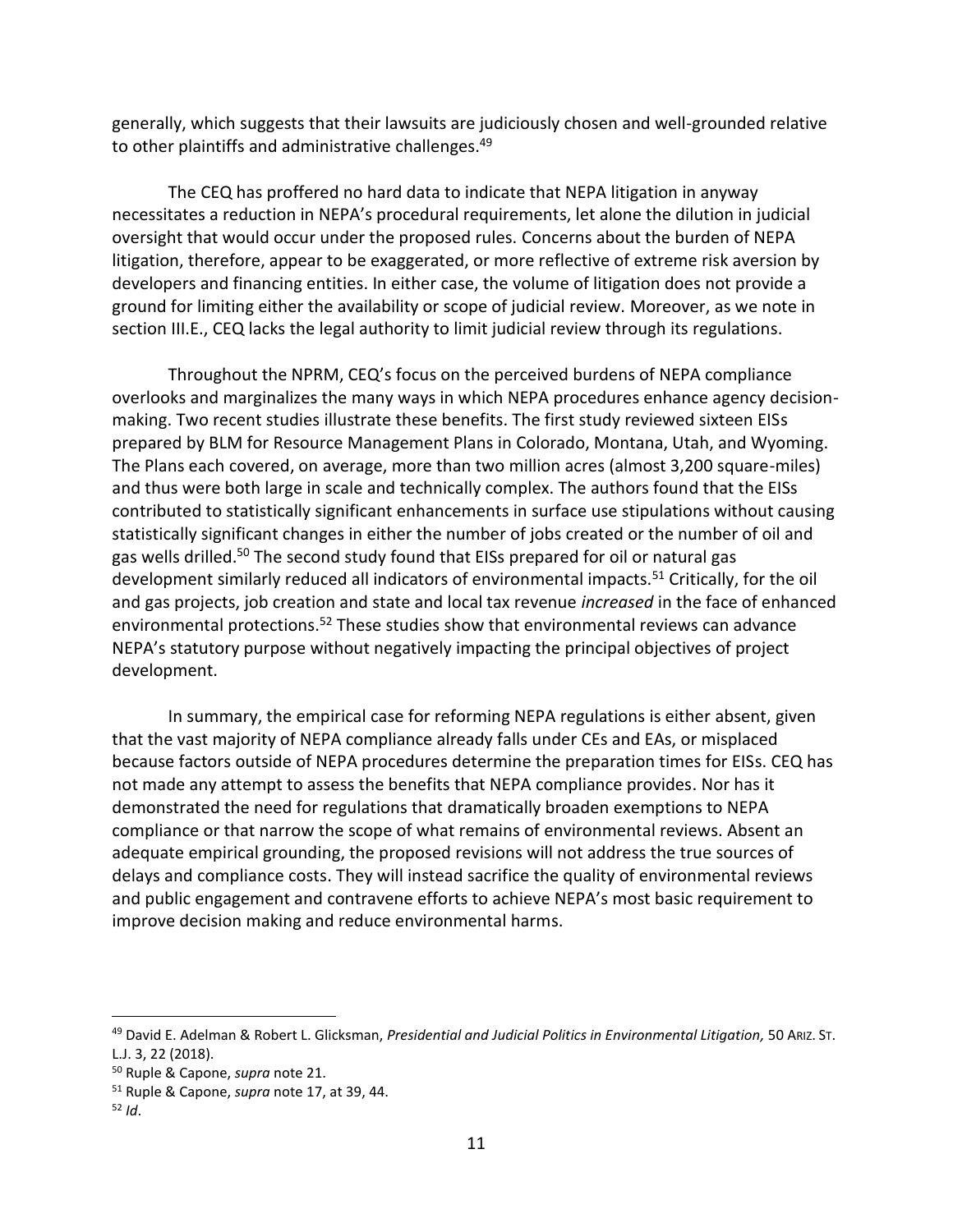<span id="page-10-0"></span>generally, which suggests that their lawsuits are judiciously chosen and well-grounded relative to other plaintiffs and administrative challenges.<sup>49</sup>

The CEQ has proffered no hard data to indicate that NEPA litigation in anyway necessitates a reduction in NEPA's procedural requirements, let alone the dilution in judicial oversight that would occur under the proposed rules. Concerns about the burden of NEPA litigation, therefore, appear to be exaggerated, or more reflective of extreme risk aversion by developers and financing entities. In either case, the volume of litigation does not provide a ground for limiting either the availability or scope of judicial review. Moreover, as we note in section III.E., CEQ lacks the legal authority to limit judicial review through its regulations.

Throughout the NPRM, CEQ's focus on the perceived burdens of NEPA compliance overlooks and marginalizes the many ways in which NEPA procedures enhance agency decisionmaking. Two recent studies illustrate these benefits. The first study reviewed sixteen EISs prepared by BLM for Resource Management Plans in Colorado, Montana, Utah, and Wyoming. The Plans each covered, on average, more than two million acres (almost 3,200 square-miles) and thus were both large in scale and technically complex. The authors found that the EISs contributed to statistically significant enhancements in surface use stipulations without causing statistically significant changes in either the number of jobs created or the number of oil and gas wells drilled.<sup>50</sup> The second study found that EISs prepared for oil or natural gas development similarly reduced all indicators of environmental impacts.<sup>51</sup> Critically, for the oil and gas projects, job creation and state and local tax revenue *increased* in the face of enhanced environmental protections.<sup>52</sup> These studies show that environmental reviews can advance NEPA's statutory purpose without negatively impacting the principal objectives of project development.

In summary, the empirical case for reforming NEPA regulations is either absent, given that the vast majority of NEPA compliance already falls under CEs and EAs, or misplaced because factors outside of NEPA procedures determine the preparation times for EISs. CEQ has not made any attempt to assess the benefits that NEPA compliance provides. Nor has it demonstrated the need for regulations that dramatically broaden exemptions to NEPA compliance or that narrow the scope of what remains of environmental reviews. Absent an adequate empirical grounding, the proposed revisions will not address the true sources of delays and compliance costs. They will instead sacrifice the quality of environmental reviews and public engagement and contravene efforts to achieve NEPA's most basic requirement to improve decision making and reduce environmental harms.

<sup>49</sup> David E. Adelman & Robert L. Glicksman, *Presidential and Judicial Politics in Environmental Litigation,* 50 ARIZ. ST. L.J. 3, 22 (2018).

<sup>50</sup> Ruple & Capone, *supra* note [21.](#page-6-0)

<sup>51</sup> Ruple & Capone, *supra* note [17,](#page-5-0) at 39, 44.

<sup>52</sup> *Id*.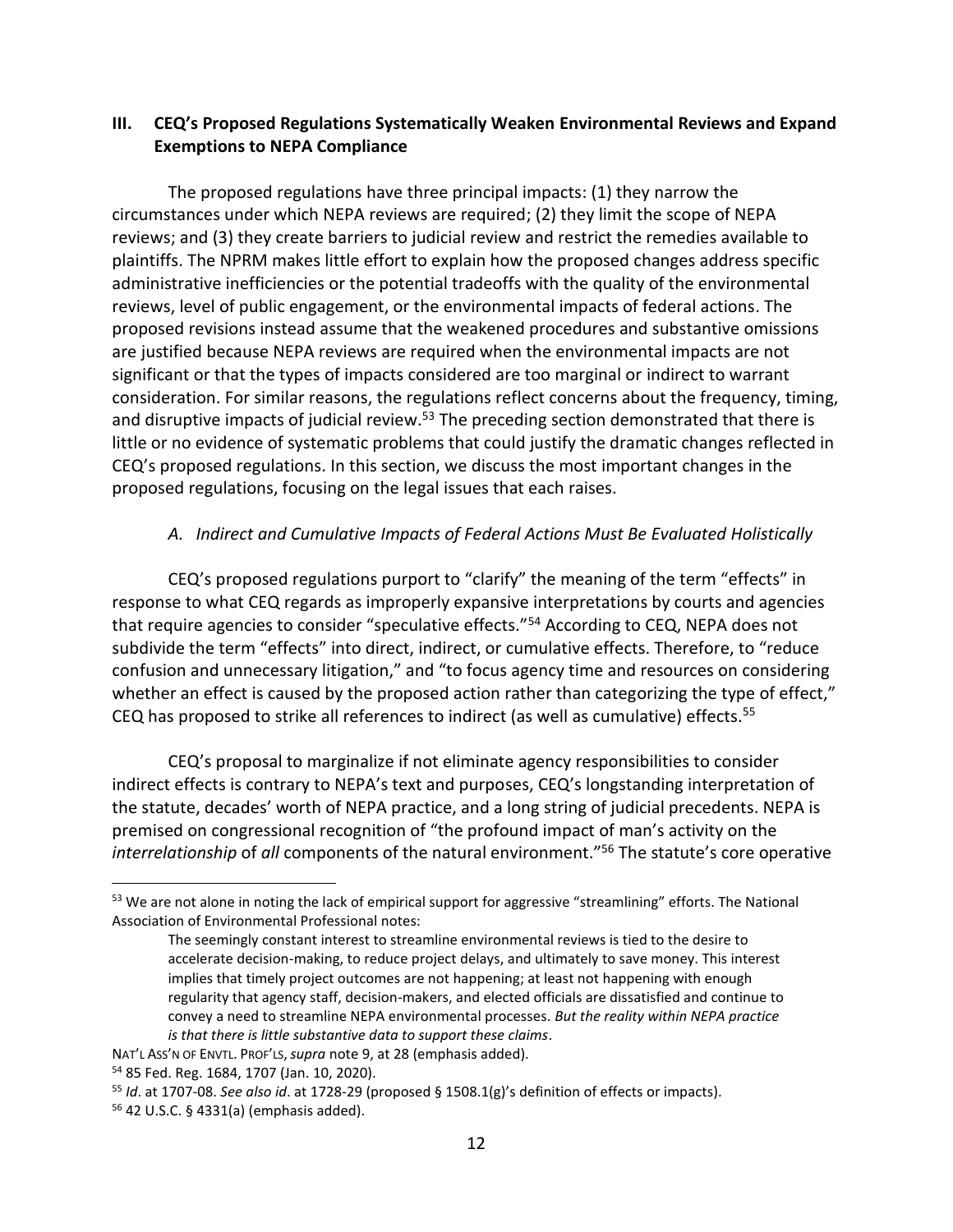## **III. CEQ's Proposed Regulations Systematically Weaken Environmental Reviews and Expand Exemptions to NEPA Compliance**

The proposed regulations have three principal impacts: (1) they narrow the circumstances under which NEPA reviews are required; (2) they limit the scope of NEPA reviews; and (3) they create barriers to judicial review and restrict the remedies available to plaintiffs. The NPRM makes little effort to explain how the proposed changes address specific administrative inefficiencies or the potential tradeoffs with the quality of the environmental reviews, level of public engagement, or the environmental impacts of federal actions. The proposed revisions instead assume that the weakened procedures and substantive omissions are justified because NEPA reviews are required when the environmental impacts are not significant or that the types of impacts considered are too marginal or indirect to warrant consideration. For similar reasons, the regulations reflect concerns about the frequency, timing, and disruptive impacts of judicial review.<sup>53</sup> The preceding section demonstrated that there is little or no evidence of systematic problems that could justify the dramatic changes reflected in CEQ's proposed regulations. In this section, we discuss the most important changes in the proposed regulations, focusing on the legal issues that each raises.

## *A. Indirect and Cumulative Impacts of Federal Actions Must Be Evaluated Holistically*

CEQ's proposed regulations purport to "clarify" the meaning of the term "effects" in response to what CEQ regards as improperly expansive interpretations by courts and agencies that require agencies to consider "speculative effects."<sup>54</sup> According to CEQ, NEPA does not subdivide the term "effects" into direct, indirect, or cumulative effects. Therefore, to "reduce confusion and unnecessary litigation," and "to focus agency time and resources on considering whether an effect is caused by the proposed action rather than categorizing the type of effect," CEQ has proposed to strike all references to indirect (as well as cumulative) effects.<sup>55</sup>

CEQ's proposal to marginalize if not eliminate agency responsibilities to consider indirect effects is contrary to NEPA's text and purposes, CEQ's longstanding interpretation of the statute, decades' worth of NEPA practice, and a long string of judicial precedents. NEPA is premised on congressional recognition of "the profound impact of man's activity on the *interrelationship* of *all* components of the natural environment."<sup>56</sup> The statute's core operative

<sup>53</sup> We are not alone in noting the lack of empirical support for aggressive "streamlining" efforts. The National Association of Environmental Professional notes:

The seemingly constant interest to streamline environmental reviews is tied to the desire to accelerate decision-making, to reduce project delays, and ultimately to save money. This interest implies that timely project outcomes are not happening; at least not happening with enough regularity that agency staff, decision-makers, and elected officials are dissatisfied and continue to convey a need to streamline NEPA environmental processes. *But the reality within NEPA practice is that there is little substantive data to support these claims*.

NAT'L ASS'N OF ENVTL. PROF'LS,*supra* note [9,](#page-4-2) at 28 (emphasis added).

<sup>54</sup> 85 Fed. Reg. 1684, 1707 (Jan. 10, 2020).

<sup>55</sup> *Id*. at 1707-08. *See also id*. at 1728-29 (proposed § 1508.1(g)'s definition of effects or impacts).

<sup>56</sup> 42 U.S.C. § 4331(a) (emphasis added).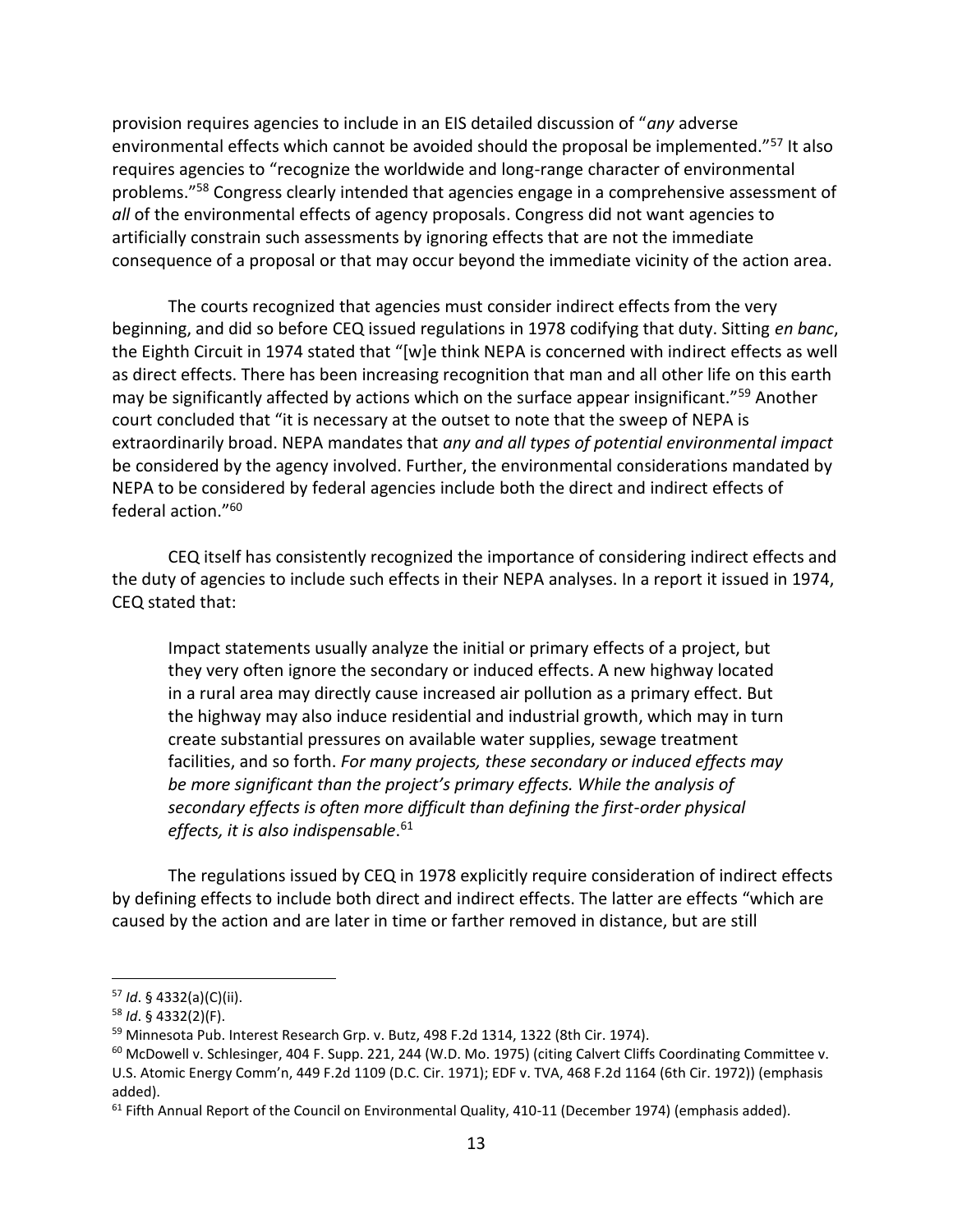provision requires agencies to include in an EIS detailed discussion of "*any* adverse environmental effects which cannot be avoided should the proposal be implemented."<sup>57</sup> It also requires agencies to "recognize the worldwide and long-range character of environmental problems."<sup>58</sup> Congress clearly intended that agencies engage in a comprehensive assessment of *all* of the environmental effects of agency proposals. Congress did not want agencies to artificially constrain such assessments by ignoring effects that are not the immediate consequence of a proposal or that may occur beyond the immediate vicinity of the action area.

The courts recognized that agencies must consider indirect effects from the very beginning, and did so before CEQ issued regulations in 1978 codifying that duty. Sitting *en banc*, the Eighth Circuit in 1974 stated that "[w]e think NEPA is concerned with indirect effects as well as direct effects. There has been increasing recognition that man and all other life on this earth may be significantly affected by actions which on the surface appear insignificant."<sup>59</sup> Another court concluded that "it is necessary at the outset to note that the sweep of NEPA is extraordinarily broad. NEPA mandates that *any and all types of potential environmental impact* be considered by the agency involved. Further, the environmental considerations mandated by NEPA to be considered by federal agencies include both the direct and indirect effects of federal action."<sup>60</sup>

CEQ itself has consistently recognized the importance of considering indirect effects and the duty of agencies to include such effects in their NEPA analyses. In a report it issued in 1974, CEQ stated that:

Impact statements usually analyze the initial or primary effects of a project, but they very often ignore the secondary or induced effects. A new highway located in a rural area may directly cause increased air pollution as a primary effect. But the highway may also induce residential and industrial growth, which may in turn create substantial pressures on available water supplies, sewage treatment facilities, and so forth. *For many projects, these secondary or induced effects may be more significant than the project's primary effects. While the analysis of secondary effects is often more difficult than defining the first-order physical effects, it is also indispensable*. 61

The regulations issued by CEQ in 1978 explicitly require consideration of indirect effects by defining effects to include both direct and indirect effects. The latter are effects "which are caused by the action and are later in time or farther removed in distance, but are still

<sup>57</sup> *Id*. § 4332(a)(C)(ii).

<sup>58</sup> *Id*. § 4332(2)(F).

<sup>59</sup> Minnesota Pub. Interest Research Grp. v. Butz, 498 F.2d 1314, 1322 (8th Cir. 1974).

 $60$  McDowell v. Schlesinger, 404 F. Supp. 221, 244 (W.D. Mo. 1975) (citing Calvert Cliffs Coordinating Committee v. U.S. Atomic Energy Comm'n, 449 F.2d 1109 (D.C. Cir. 1971); EDF v. TVA, 468 F.2d 1164 (6th Cir. 1972)) (emphasis added).

<sup>&</sup>lt;sup>61</sup> Fifth Annual Report of the Council on Environmental Quality, 410-11 (December 1974) (emphasis added).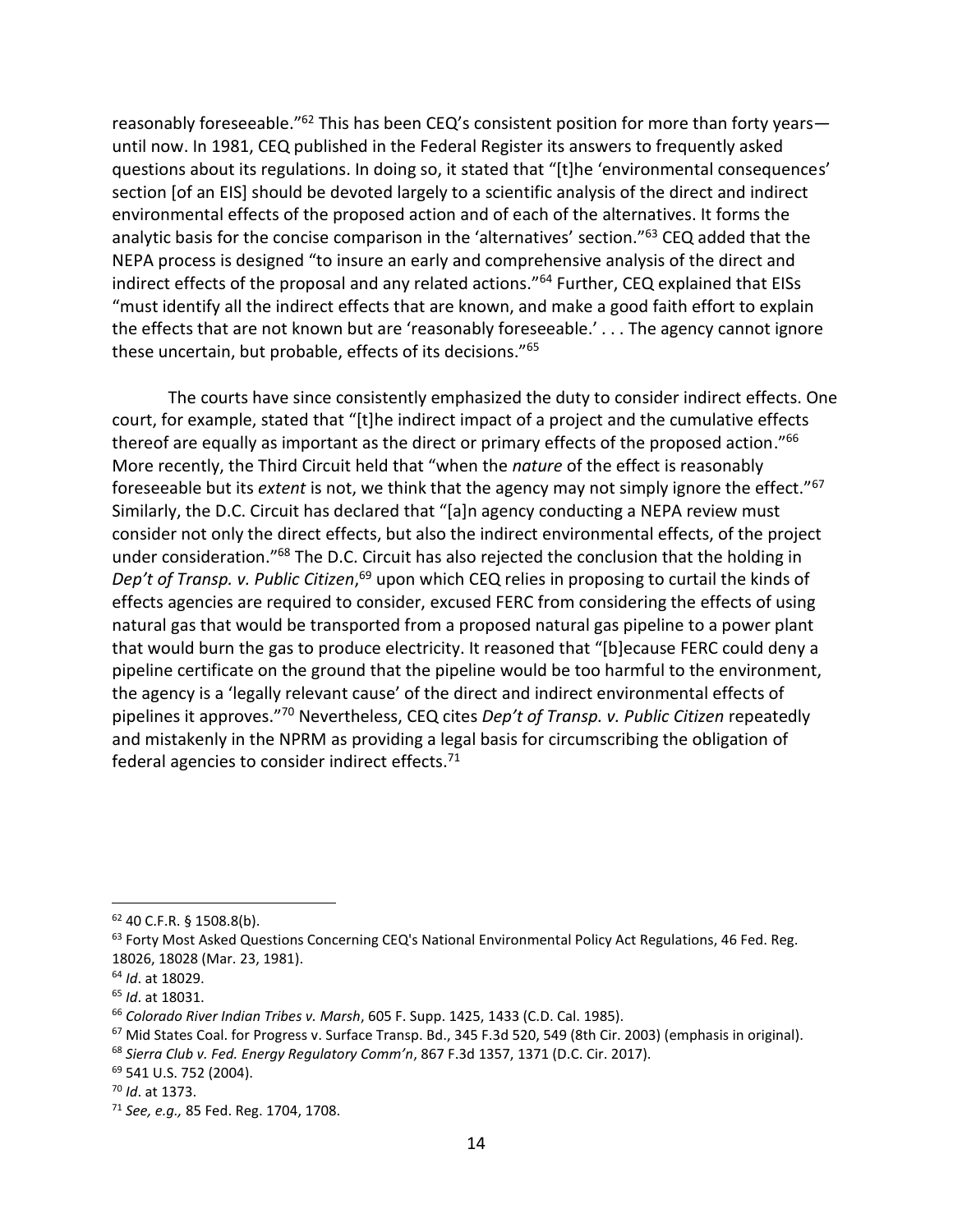reasonably foreseeable.<sup>"62</sup> This has been CEQ's consistent position for more than forty years until now. In 1981, CEQ published in the Federal Register its answers to frequently asked questions about its regulations. In doing so, it stated that "[t]he 'environmental consequences' section [of an EIS] should be devoted largely to a scientific analysis of the direct and indirect environmental effects of the proposed action and of each of the alternatives. It forms the analytic basis for the concise comparison in the 'alternatives' section."<sup>63</sup> CEQ added that the NEPA process is designed "to insure an early and comprehensive analysis of the direct and indirect effects of the proposal and any related actions."<sup>64</sup> Further, CEQ explained that EISs "must identify all the indirect effects that are known, and make a good faith effort to explain the effects that are not known but are 'reasonably foreseeable.' . . . The agency cannot ignore these uncertain, but probable, effects of its decisions."<sup>65</sup>

The courts have since consistently emphasized the duty to consider indirect effects. One court, for example, stated that "[t]he indirect impact of a project and the cumulative effects thereof are equally as important as the direct or primary effects of the proposed action."<sup>66</sup> More recently, the Third Circuit held that "when the *nature* of the effect is reasonably foreseeable but its *extent* is not, we think that the agency may not simply ignore the effect."<sup>67</sup> Similarly, the D.C. Circuit has declared that "[a]n agency conducting a NEPA review must consider not only the direct effects, but also the indirect environmental effects, of the project under consideration."<sup>68</sup> The D.C. Circuit has also rejected the conclusion that the holding in Dep't of Transp. v. Public Citizen,<sup>69</sup> upon which CEQ relies in proposing to curtail the kinds of effects agencies are required to consider, excused FERC from considering the effects of using natural gas that would be transported from a proposed natural gas pipeline to a power plant that would burn the gas to produce electricity. It reasoned that "[b]ecause FERC could deny a pipeline certificate on the ground that the pipeline would be too harmful to the environment, the agency is a 'legally relevant cause' of the direct and indirect environmental effects of pipelines it approves."<sup>70</sup> Nevertheless, CEQ cites *Dep't of Transp. v. Public Citizen* repeatedly and mistakenly in the NPRM as providing a legal basis for circumscribing the obligation of federal agencies to consider indirect effects.<sup>71</sup>

<sup>62</sup> 40 C.F.R. § 1508.8(b).

<sup>63</sup> Forty Most Asked Questions Concerning CEQ's National Environmental Policy Act Regulations, 46 Fed. Reg. 18026, 18028 (Mar. 23, 1981).

<sup>64</sup> *Id*. at 18029.

<sup>65</sup> *Id*. at 18031.

<sup>66</sup> *Colorado River Indian Tribes v. Marsh*, 605 F. Supp. 1425, 1433 (C.D. Cal. 1985).

<sup>&</sup>lt;sup>67</sup> Mid States Coal. for Progress v. Surface Transp. Bd., 345 F.3d 520, 549 (8th Cir. 2003) (emphasis in original).

<sup>68</sup> *Sierra Club v. Fed. Energy Regulatory Comm'n*, 867 F.3d 1357, 1371 (D.C. Cir. 2017).

<sup>69</sup> 541 U.S. 752 (2004).

<sup>70</sup> *Id*. at 1373.

<sup>71</sup> *See, e.g.,* 85 Fed. Reg. 1704, 1708.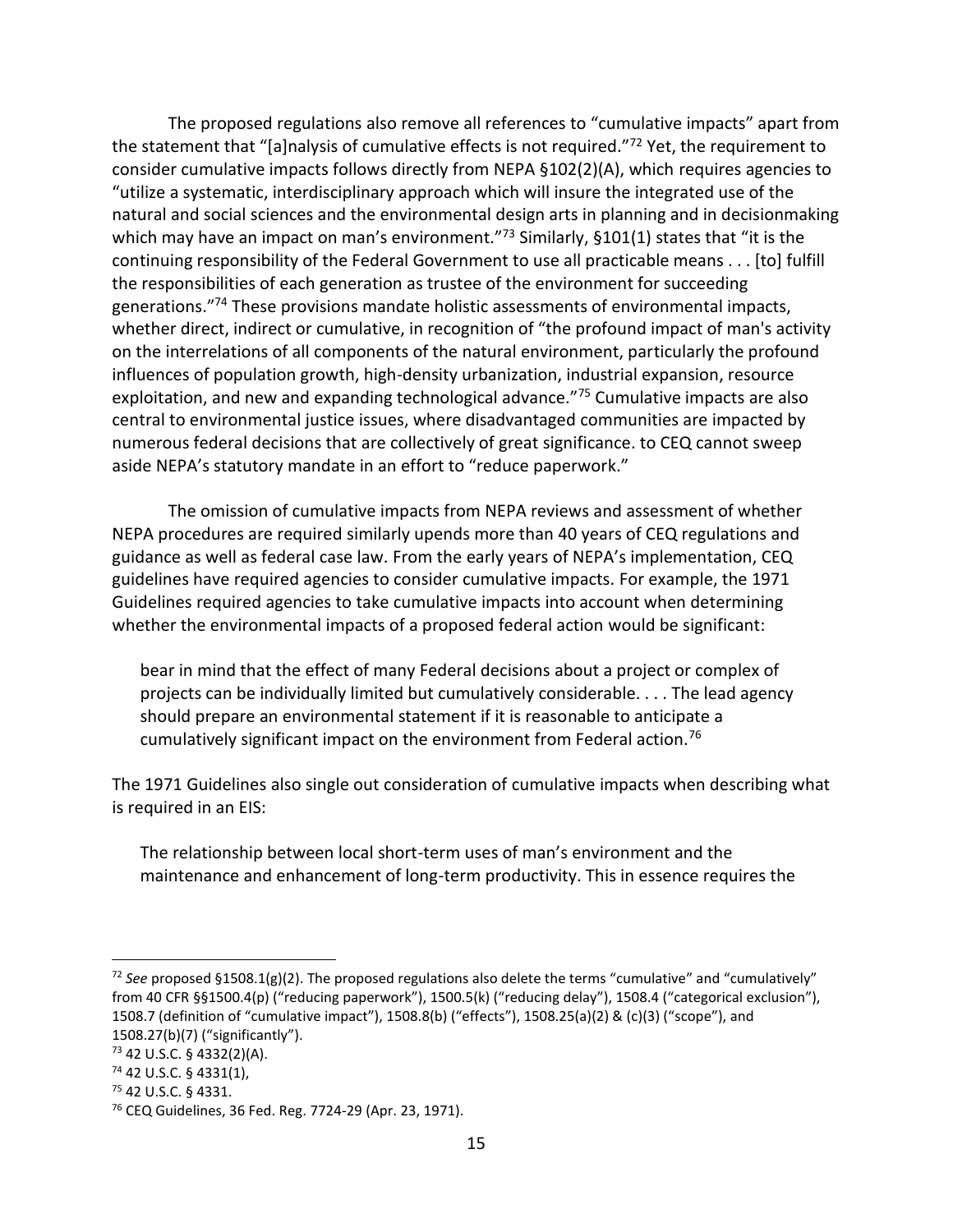The proposed regulations also remove all references to "cumulative impacts" apart from the statement that "[a]nalysis of cumulative effects is not required."<sup>72</sup> Yet, the requirement to consider cumulative impacts follows directly from NEPA §102(2)(A), which requires agencies to "utilize a systematic, interdisciplinary approach which will insure the integrated use of the natural and social sciences and the environmental design arts in planning and in decisionmaking which may have an impact on man's environment."73 Similarly, §101(1) states that "it is the continuing responsibility of the Federal Government to use all practicable means . . . [to] fulfill the responsibilities of each generation as trustee of the environment for succeeding generations."<sup>74</sup> These provisions mandate holistic assessments of environmental impacts, whether direct, indirect or cumulative, in recognition of "the profound impact of man's activity on the interrelations of all components of the natural environment, particularly the profound influences of population growth, high-density urbanization, industrial expansion, resource exploitation, and new and expanding technological advance."<sup>75</sup> Cumulative impacts are also central to environmental justice issues, where disadvantaged communities are impacted by numerous federal decisions that are collectively of great significance. to CEQ cannot sweep aside NEPA's statutory mandate in an effort to "reduce paperwork."

The omission of cumulative impacts from NEPA reviews and assessment of whether NEPA procedures are required similarly upends more than 40 years of CEQ regulations and guidance as well as federal case law. From the early years of NEPA's implementation, CEQ guidelines have required agencies to consider cumulative impacts. For example, the 1971 Guidelines required agencies to take cumulative impacts into account when determining whether the environmental impacts of a proposed federal action would be significant:

bear in mind that the effect of many Federal decisions about a project or complex of projects can be individually limited but cumulatively considerable. . . . The lead agency should prepare an environmental statement if it is reasonable to anticipate a cumulatively significant impact on the environment from Federal action.<sup>76</sup>

The 1971 Guidelines also single out consideration of cumulative impacts when describing what is required in an EIS:

The relationship between local short-term uses of man's environment and the maintenance and enhancement of long-term productivity. This in essence requires the

<sup>72</sup> *See* proposed §1508.1(g)(2). The proposed regulations also delete the terms "cumulative" and "cumulatively" from 40 CFR §§1500.4(p) ("reducing paperwork"), 1500.5(k) ("reducing delay"), 1508.4 ("categorical exclusion"), 1508.7 (definition of "cumulative impact"), 1508.8(b) ("effects"), 1508.25(a)(2) & (c)(3) ("scope"), and 1508.27(b)(7) ("significantly").

<sup>73</sup> 42 U.S.C. § 4332(2)(A).

<sup>74</sup> 42 U.S.C. § 4331(1),

<sup>75</sup> 42 U.S.C. § 4331.

<sup>76</sup> CEQ Guidelines, 36 Fed. Reg. 7724-29 (Apr. 23, 1971).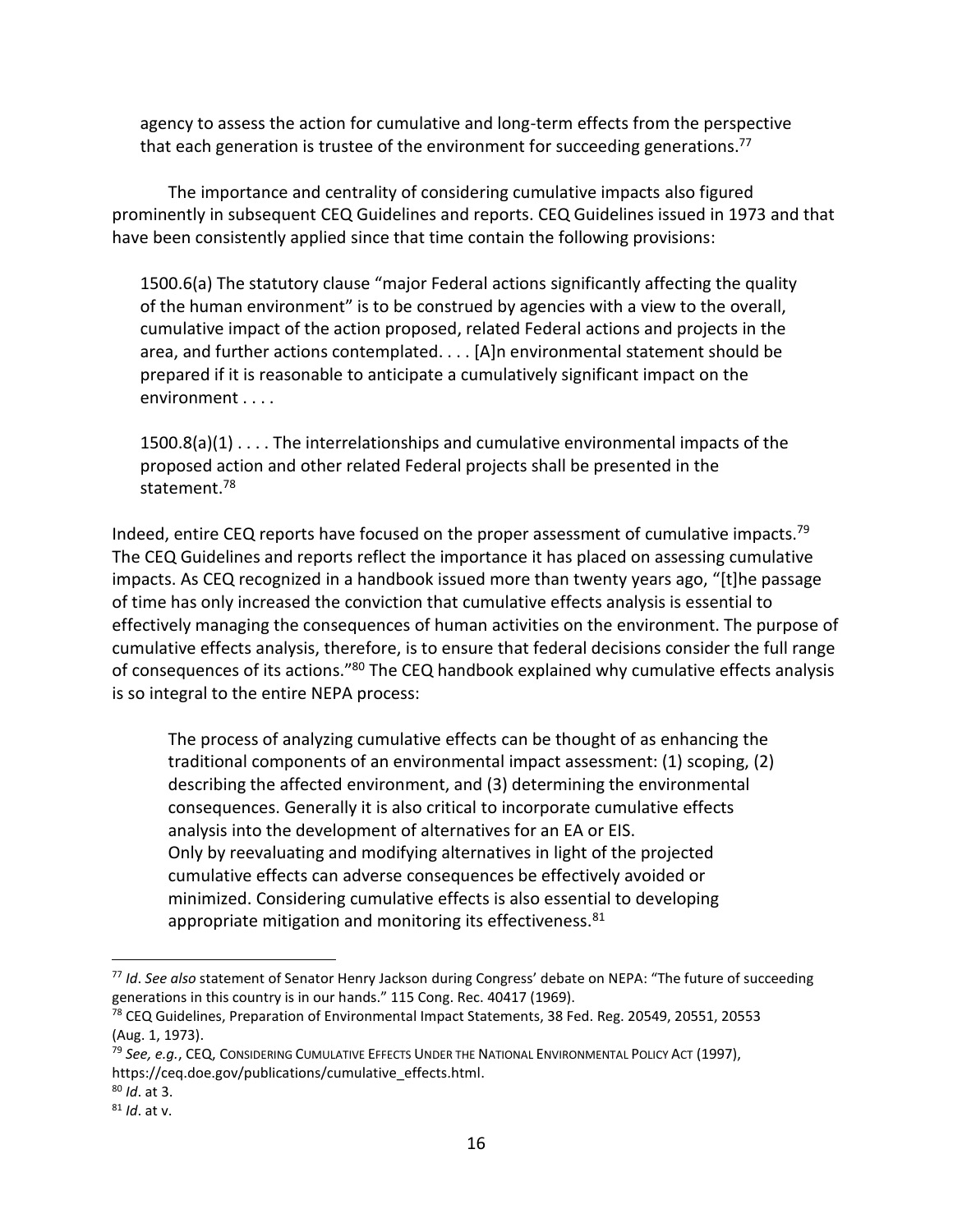agency to assess the action for cumulative and long-term effects from the perspective that each generation is trustee of the environment for succeeding generations.<sup>77</sup>

The importance and centrality of considering cumulative impacts also figured prominently in subsequent CEQ Guidelines and reports. CEQ Guidelines issued in 1973 and that have been consistently applied since that time contain the following provisions:

1500.6(a) The statutory clause "major Federal actions significantly affecting the quality of the human environment" is to be construed by agencies with a view to the overall, cumulative impact of the action proposed, related Federal actions and projects in the area, and further actions contemplated. . . . [A]n environmental statement should be prepared if it is reasonable to anticipate a cumulatively significant impact on the environment . . . .

 $1500.8(a)(1) \ldots$ . The interrelationships and cumulative environmental impacts of the proposed action and other related Federal projects shall be presented in the statement.<sup>78</sup>

Indeed, entire CEQ reports have focused on the proper assessment of cumulative impacts.<sup>79</sup> The CEQ Guidelines and reports reflect the importance it has placed on assessing cumulative impacts. As CEQ recognized in a handbook issued more than twenty years ago, "[t]he passage of time has only increased the conviction that cumulative effects analysis is essential to effectively managing the consequences of human activities on the environment. The purpose of cumulative effects analysis, therefore, is to ensure that federal decisions consider the full range of consequences of its actions."<sup>80</sup> The CEQ handbook explained why cumulative effects analysis is so integral to the entire NEPA process:

The process of analyzing cumulative effects can be thought of as enhancing the traditional components of an environmental impact assessment: (1) scoping, (2) describing the affected environment, and (3) determining the environmental consequences. Generally it is also critical to incorporate cumulative effects analysis into the development of alternatives for an EA or EIS. Only by reevaluating and modifying alternatives in light of the projected cumulative effects can adverse consequences be effectively avoided or minimized. Considering cumulative effects is also essential to developing appropriate mitigation and monitoring its effectiveness. $81$ 

<sup>77</sup> *Id*. *See also* statement of Senator Henry Jackson during Congress' debate on NEPA: "The future of succeeding generations in this country is in our hands." 115 Cong. Rec. 40417 (1969).

 $78$  CEQ Guidelines, Preparation of Environmental Impact Statements, 38 Fed. Reg. 20549, 20551, 20553 (Aug. 1, 1973).

<sup>79</sup> *See, e.g.*, CEQ, CONSIDERING CUMULATIVE EFFECTS UNDER THE NATIONAL ENVIRONMENTAL POLICY ACT (1997), https://ceq.doe.gov/publications/cumulative\_effects.html.

<sup>80</sup> *Id*. at 3.

<sup>81</sup> *Id*. at v.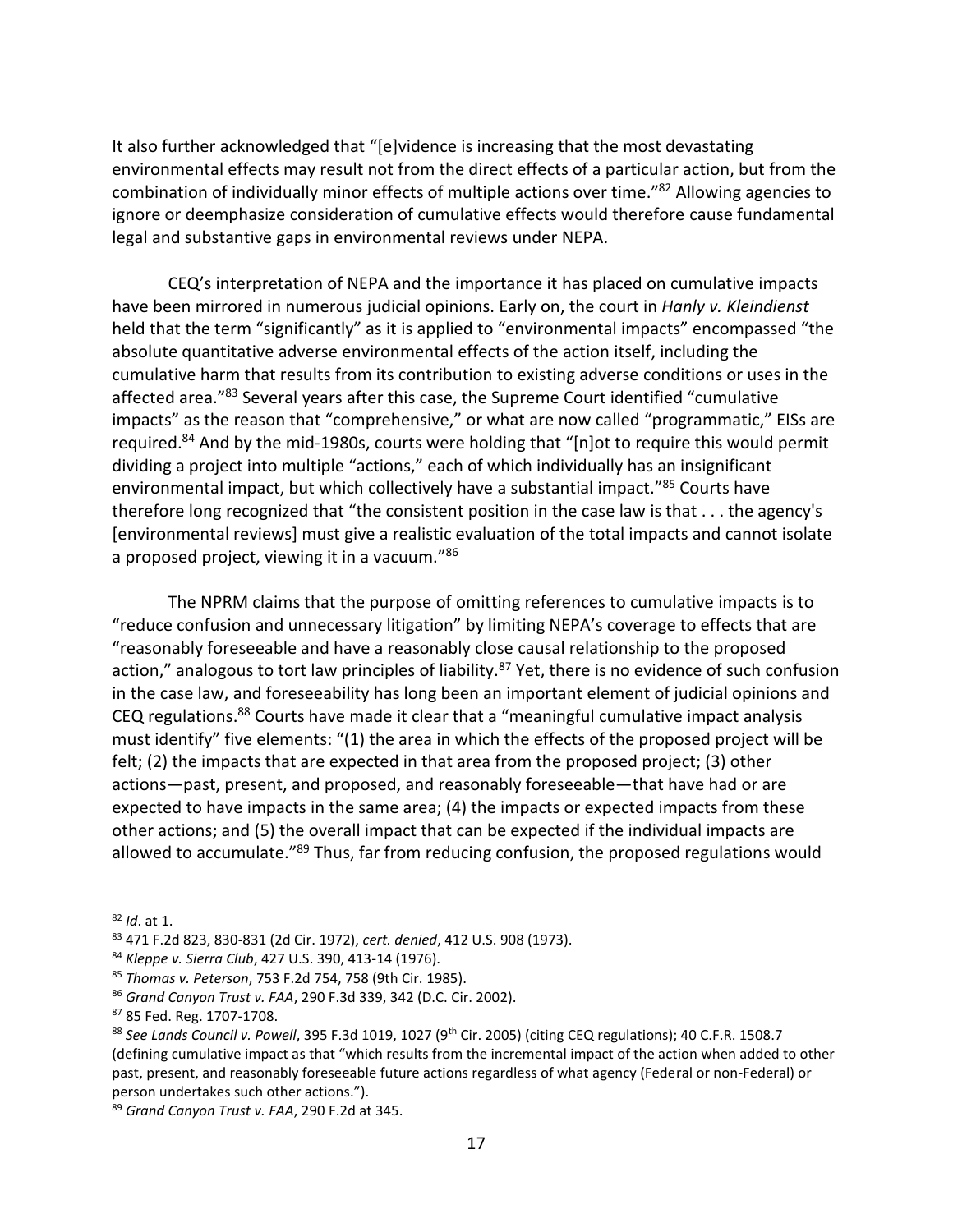It also further acknowledged that "[e]vidence is increasing that the most devastating environmental effects may result not from the direct effects of a particular action, but from the combination of individually minor effects of multiple actions over time."<sup>82</sup> Allowing agencies to ignore or deemphasize consideration of cumulative effects would therefore cause fundamental legal and substantive gaps in environmental reviews under NEPA.

CEQ's interpretation of NEPA and the importance it has placed on cumulative impacts have been mirrored in numerous judicial opinions. Early on, the court in *Hanly v. Kleindienst* held that the term "significantly" as it is applied to "environmental impacts" encompassed "the absolute quantitative adverse environmental effects of the action itself, including the cumulative harm that results from its contribution to existing adverse conditions or uses in the affected area."83 Several years after this case, the Supreme Court identified "cumulative impacts" as the reason that "comprehensive," or what are now called "programmatic," EISs are required.<sup>84</sup> And by the mid-1980s, courts were holding that "[n]ot to require this would permit dividing a project into multiple "actions," each of which individually has an insignificant environmental impact, but which collectively have a substantial impact."<sup>85</sup> Courts have therefore long recognized that "the consistent position in the case law is that . . . the agency's [environmental reviews] must give a realistic evaluation of the total impacts and cannot isolate a proposed project, viewing it in a vacuum."<sup>86</sup>

The NPRM claims that the purpose of omitting references to cumulative impacts is to "reduce confusion and unnecessary litigation" by limiting NEPA's coverage to effects that are "reasonably foreseeable and have a reasonably close causal relationship to the proposed action," analogous to tort law principles of liability.<sup>87</sup> Yet, there is no evidence of such confusion in the case law, and foreseeability has long been an important element of judicial opinions and CEQ regulations.<sup>88</sup> Courts have made it clear that a "meaningful cumulative impact analysis must identify" five elements: "(1) the area in which the effects of the proposed project will be felt; (2) the impacts that are expected in that area from the proposed project; (3) other actions—past, present, and proposed, and reasonably foreseeable—that have had or are expected to have impacts in the same area; (4) the impacts or expected impacts from these other actions; and (5) the overall impact that can be expected if the individual impacts are allowed to accumulate."<sup>89</sup> Thus, far from reducing confusion, the proposed regulations would

<sup>82</sup> *Id*. at 1.

<sup>83</sup> 471 F.2d 823, 830-831 (2d Cir. 1972), *cert. denied*, 412 U.S. 908 (1973).

<sup>84</sup> *Kleppe v. Sierra Club*, 427 U.S. 390, 413-14 (1976).

<sup>85</sup> *Thomas v. Peterson*, 753 F.2d 754, 758 (9th Cir. 1985).

<sup>86</sup> *Grand Canyon Trust v. FAA*, 290 F.3d 339, 342 (D.C. Cir. 2002).

<sup>87</sup> 85 Fed. Reg. 1707-1708.

<sup>88</sup> See Lands Council v. Powell, 395 F.3d 1019, 1027 (9<sup>th</sup> Cir. 2005) (citing CEQ regulations); 40 C.F.R. 1508.7 (defining cumulative impact as that "which results from the incremental impact of the action when added to other past, present, and reasonably foreseeable future actions regardless of what agency (Federal or non-Federal) or person undertakes such other actions.").

<sup>89</sup> *Grand Canyon Trust v. FAA*, 290 F.2d at 345.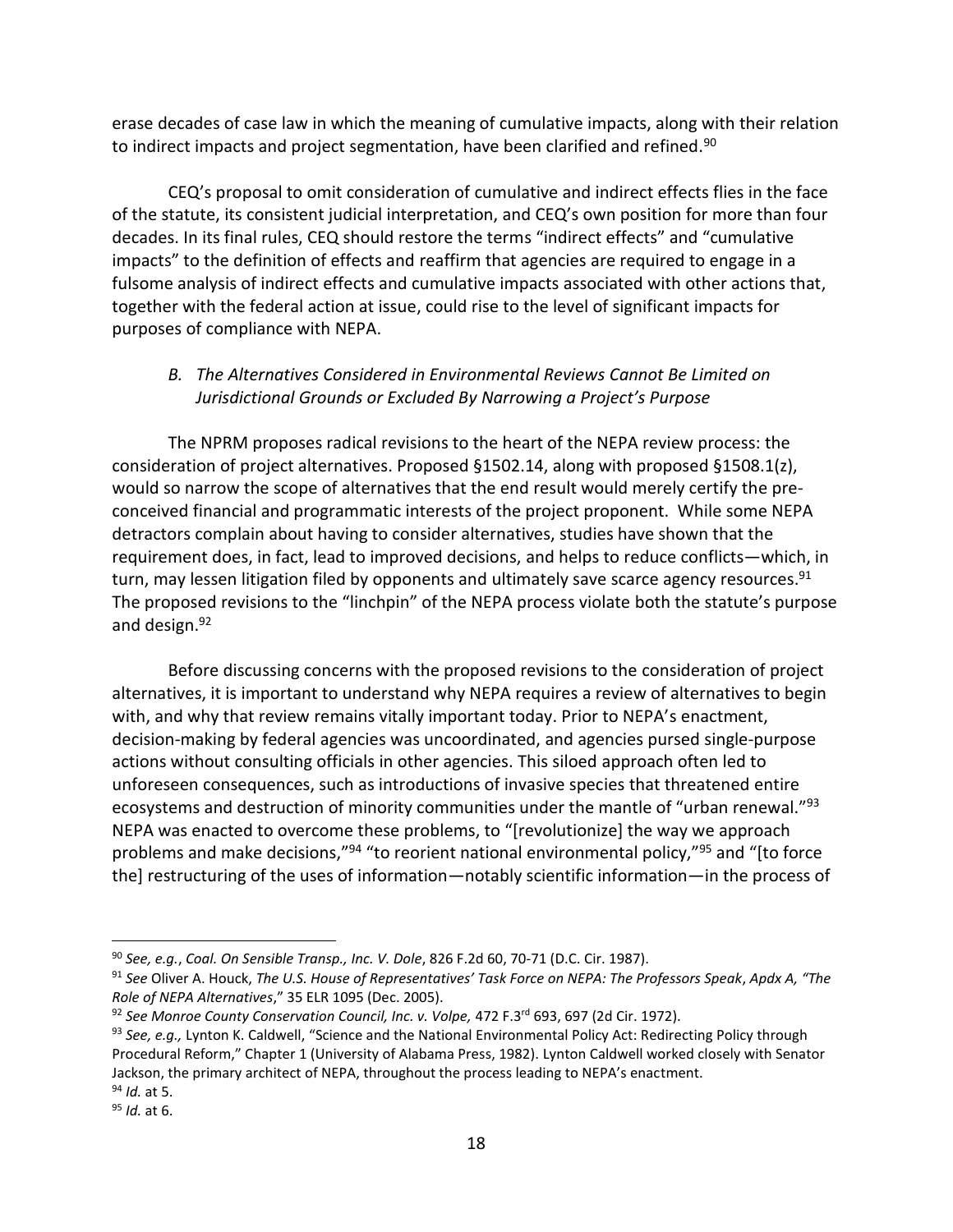erase decades of case law in which the meaning of cumulative impacts, along with their relation to indirect impacts and project segmentation, have been clarified and refined.<sup>90</sup>

CEQ's proposal to omit consideration of cumulative and indirect effects flies in the face of the statute, its consistent judicial interpretation, and CEQ's own position for more than four decades. In its final rules, CEQ should restore the terms "indirect effects" and "cumulative impacts" to the definition of effects and reaffirm that agencies are required to engage in a fulsome analysis of indirect effects and cumulative impacts associated with other actions that, together with the federal action at issue, could rise to the level of significant impacts for purposes of compliance with NEPA.

# *B. The Alternatives Considered in Environmental Reviews Cannot Be Limited on Jurisdictional Grounds or Excluded By Narrowing a Project's Purpose*

The NPRM proposes radical revisions to the heart of the NEPA review process: the consideration of project alternatives. Proposed §1502.14, along with proposed §1508.1(z), would so narrow the scope of alternatives that the end result would merely certify the preconceived financial and programmatic interests of the project proponent. While some NEPA detractors complain about having to consider alternatives, studies have shown that the requirement does, in fact, lead to improved decisions, and helps to reduce conflicts—which, in turn, may lessen litigation filed by opponents and ultimately save scarce agency resources.<sup>91</sup> The proposed revisions to the "linchpin" of the NEPA process violate both the statute's purpose and design.<sup>92</sup>

Before discussing concerns with the proposed revisions to the consideration of project alternatives, it is important to understand why NEPA requires a review of alternatives to begin with, and why that review remains vitally important today. Prior to NEPA's enactment, decision-making by federal agencies was uncoordinated, and agencies pursed single-purpose actions without consulting officials in other agencies. This siloed approach often led to unforeseen consequences, such as introductions of invasive species that threatened entire ecosystems and destruction of minority communities under the mantle of "urban renewal."<sup>93</sup> NEPA was enacted to overcome these problems, to "[revolutionize] the way we approach problems and make decisions,"<sup>94</sup> "to reorient national environmental policy,"<sup>95</sup> and "[to force the] restructuring of the uses of information—notably scientific information—in the process of

<sup>90</sup> *See, e.g.*, *Coal. On Sensible Transp., Inc. V. Dole*, 826 F.2d 60, 70-71 (D.C. Cir. 1987).

<sup>91</sup> *See* Oliver A. Houck, *The U.S. House of Representatives' Task Force on NEPA: The Professors Speak*, *Apdx A, "The Role of NEPA Alternatives*," 35 ELR 1095 (Dec. 2005).

<sup>92</sup> *See Monroe County Conservation Council, Inc. v. Volpe,* 472 F.3rd 693, 697 (2d Cir. 1972).

<sup>93</sup> *See, e.g.,* Lynton K. Caldwell, "Science and the National Environmental Policy Act: Redirecting Policy through Procedural Reform," Chapter 1 (University of Alabama Press, 1982). Lynton Caldwell worked closely with Senator Jackson, the primary architect of NEPA, throughout the process leading to NEPA's enactment. <sup>94</sup> *Id.* at 5.

<sup>95</sup> *Id.* at 6.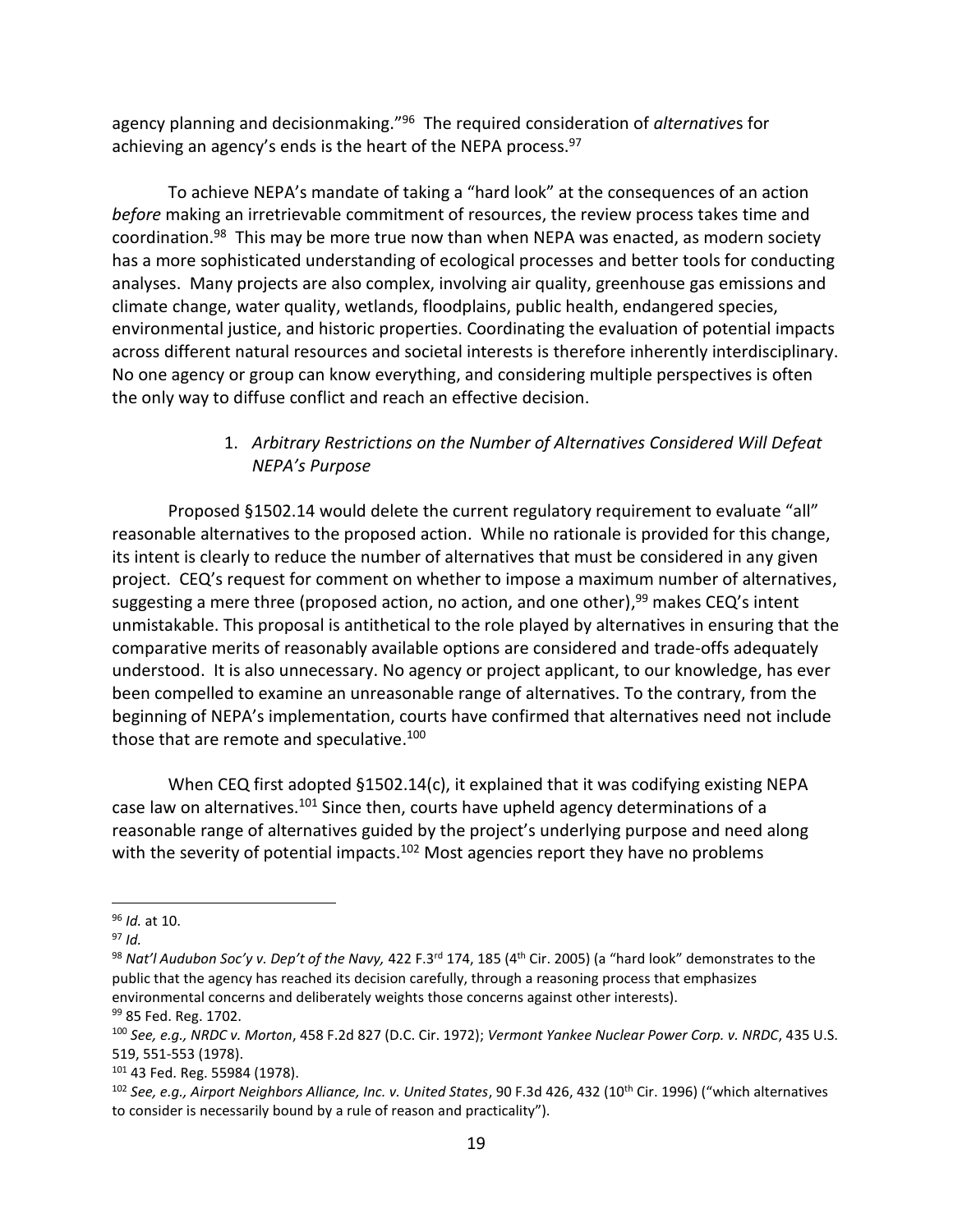agency planning and decisionmaking."<sup>96</sup> The required consideration of *alternative*s for achieving an agency's ends is the heart of the NEPA process.<sup>97</sup>

To achieve NEPA's mandate of taking a "hard look" at the consequences of an action *before* making an irretrievable commitment of resources, the review process takes time and coordination.<sup>98</sup> This may be more true now than when NEPA was enacted, as modern society has a more sophisticated understanding of ecological processes and better tools for conducting analyses. Many projects are also complex, involving air quality, greenhouse gas emissions and climate change, water quality, wetlands, floodplains, public health, endangered species, environmental justice, and historic properties. Coordinating the evaluation of potential impacts across different natural resources and societal interests is therefore inherently interdisciplinary. No one agency or group can know everything, and considering multiple perspectives is often the only way to diffuse conflict and reach an effective decision.

## 1. *Arbitrary Restrictions on the Number of Alternatives Considered Will Defeat NEPA's Purpose*

Proposed §1502.14 would delete the current regulatory requirement to evaluate "all" reasonable alternatives to the proposed action. While no rationale is provided for this change, its intent is clearly to reduce the number of alternatives that must be considered in any given project. CEQ's request for comment on whether to impose a maximum number of alternatives, suggesting a mere three (proposed action, no action, and one other),<sup>99</sup> makes CEQ's intent unmistakable. This proposal is antithetical to the role played by alternatives in ensuring that the comparative merits of reasonably available options are considered and trade-offs adequately understood. It is also unnecessary. No agency or project applicant, to our knowledge, has ever been compelled to examine an unreasonable range of alternatives. To the contrary, from the beginning of NEPA's implementation, courts have confirmed that alternatives need not include those that are remote and speculative.<sup>100</sup>

<span id="page-18-0"></span>When CEQ first adopted §1502.14(c), it explained that it was codifying existing NEPA case law on alternatives.<sup>101</sup> Since then, courts have upheld agency determinations of a reasonable range of alternatives guided by the project's underlying purpose and need along with the severity of potential impacts.<sup>102</sup> Most agencies report they have no problems

<sup>96</sup> *Id.* at 10.

<sup>97</sup> *Id.*

<sup>98</sup> *Nat'l Audubon Soc'y v. Dep't of the Navy,* 422 F.3rd 174, 185 (4th Cir. 2005) (a "hard look" demonstrates to the public that the agency has reached its decision carefully, through a reasoning process that emphasizes environmental concerns and deliberately weights those concerns against other interests). 99 85 Fed. Reg. 1702.

<sup>100</sup> *See, e.g., NRDC v. Morton*, 458 F.2d 827 (D.C. Cir. 1972); *Vermont Yankee Nuclear Power Corp. v. NRDC*, 435 U.S. 519, 551-553 (1978).

<sup>101</sup> 43 Fed. Reg. 55984 (1978).

<sup>102</sup> *See, e.g., Airport Neighbors Alliance, Inc. v. United States*, 90 F.3d 426, 432 (10th Cir. 1996) ("which alternatives to consider is necessarily bound by a rule of reason and practicality").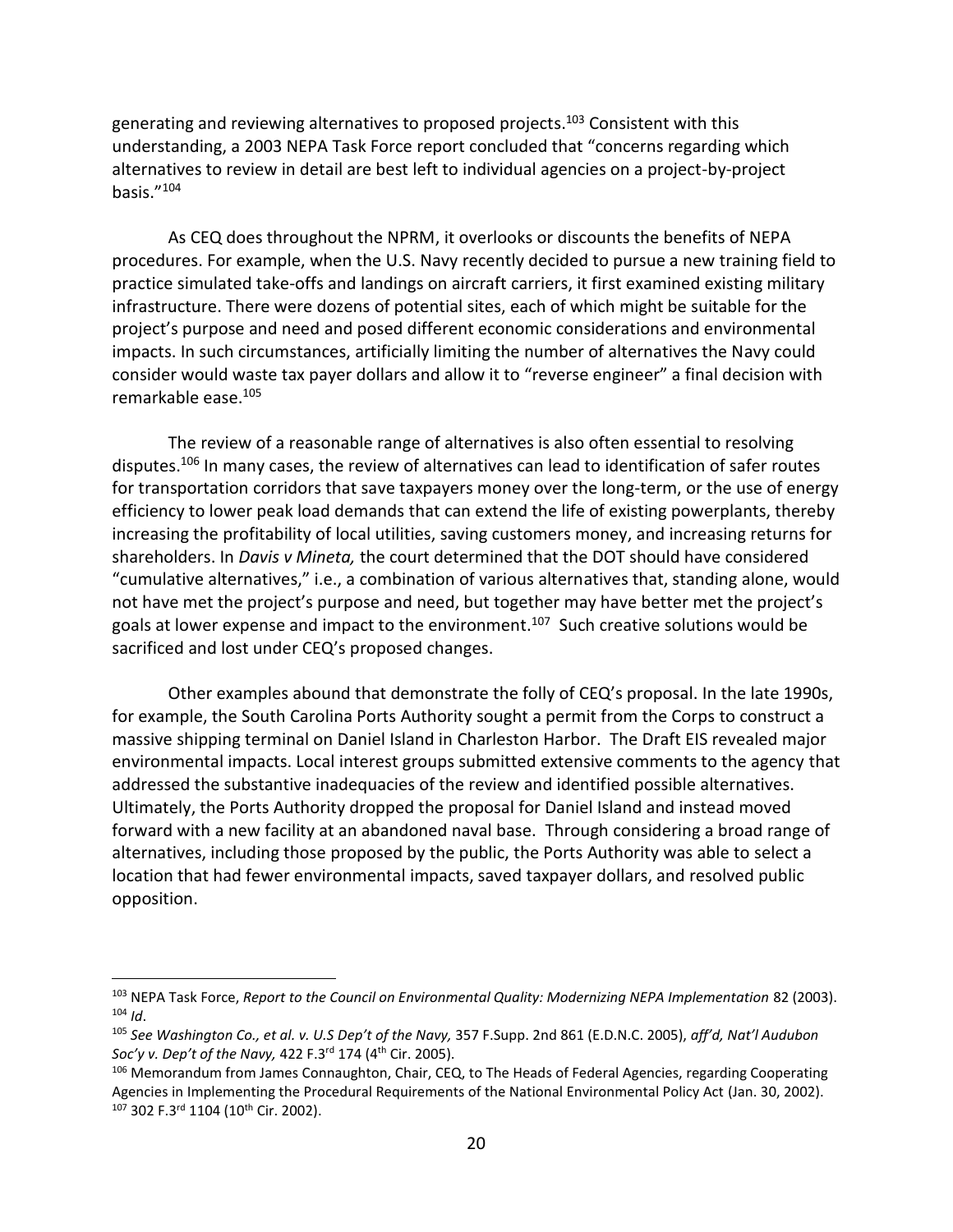generating and reviewing alternatives to proposed projects. <sup>103</sup> Consistent with this understanding, a 2003 NEPA Task Force report concluded that "concerns regarding which alternatives to review in detail are best left to individual agencies on a project-by-project basis."<sup>104</sup>

As CEQ does throughout the NPRM, it overlooks or discounts the benefits of NEPA procedures. For example, when the U.S. Navy recently decided to pursue a new training field to practice simulated take-offs and landings on aircraft carriers, it first examined existing military infrastructure. There were dozens of potential sites, each of which might be suitable for the project's purpose and need and posed different economic considerations and environmental impacts. In such circumstances, artificially limiting the number of alternatives the Navy could consider would waste tax payer dollars and allow it to "reverse engineer" a final decision with remarkable ease.<sup>105</sup>

The review of a reasonable range of alternatives is also often essential to resolving disputes.<sup>106</sup> In many cases, the review of alternatives can lead to identification of safer routes for transportation corridors that save taxpayers money over the long-term, or the use of energy efficiency to lower peak load demands that can extend the life of existing powerplants, thereby increasing the profitability of local utilities, saving customers money, and increasing returns for shareholders. In *Davis v Mineta,* the court determined that the DOT should have considered "cumulative alternatives," i.e., a combination of various alternatives that, standing alone, would not have met the project's purpose and need, but together may have better met the project's goals at lower expense and impact to the environment.<sup>107</sup> Such creative solutions would be sacrificed and lost under CEQ's proposed changes.

Other examples abound that demonstrate the folly of CEQ's proposal. In the late 1990s, for example, the South Carolina Ports Authority sought a permit from the Corps to construct a massive shipping terminal on Daniel Island in Charleston Harbor. The Draft EIS revealed major environmental impacts. Local interest groups submitted extensive comments to the agency that addressed the substantive inadequacies of the review and identified possible alternatives. Ultimately, the Ports Authority dropped the proposal for Daniel Island and instead moved forward with a new facility at an abandoned naval base. Through considering a broad range of alternatives, including those proposed by the public, the Ports Authority was able to select a location that had fewer environmental impacts, saved taxpayer dollars, and resolved public opposition.

<sup>&</sup>lt;sup>103</sup> NEPA Task Force, *Report to the Council on Environmental Quality: Modernizing NEPA Implementation 82 (2003).*  $104$  *Id*.

<sup>105</sup> *See Washington Co., et al. v. U.S Dep't of the Navy,* 357 F.Supp. 2nd 861 (E.D.N.C. 2005), *aff'd, Nat'l Audubon Soc'y v. Dep't of the Navy,* 422 F.3rd 174 (4th Cir. 2005).

<sup>106</sup> Memorandum from James Connaughton, Chair, CEQ, to The Heads of Federal Agencies, regarding Cooperating Agencies in Implementing the Procedural Requirements of the National Environmental Policy Act (Jan. 30, 2002). 107 302 F.3rd 1104 (10<sup>th</sup> Cir. 2002).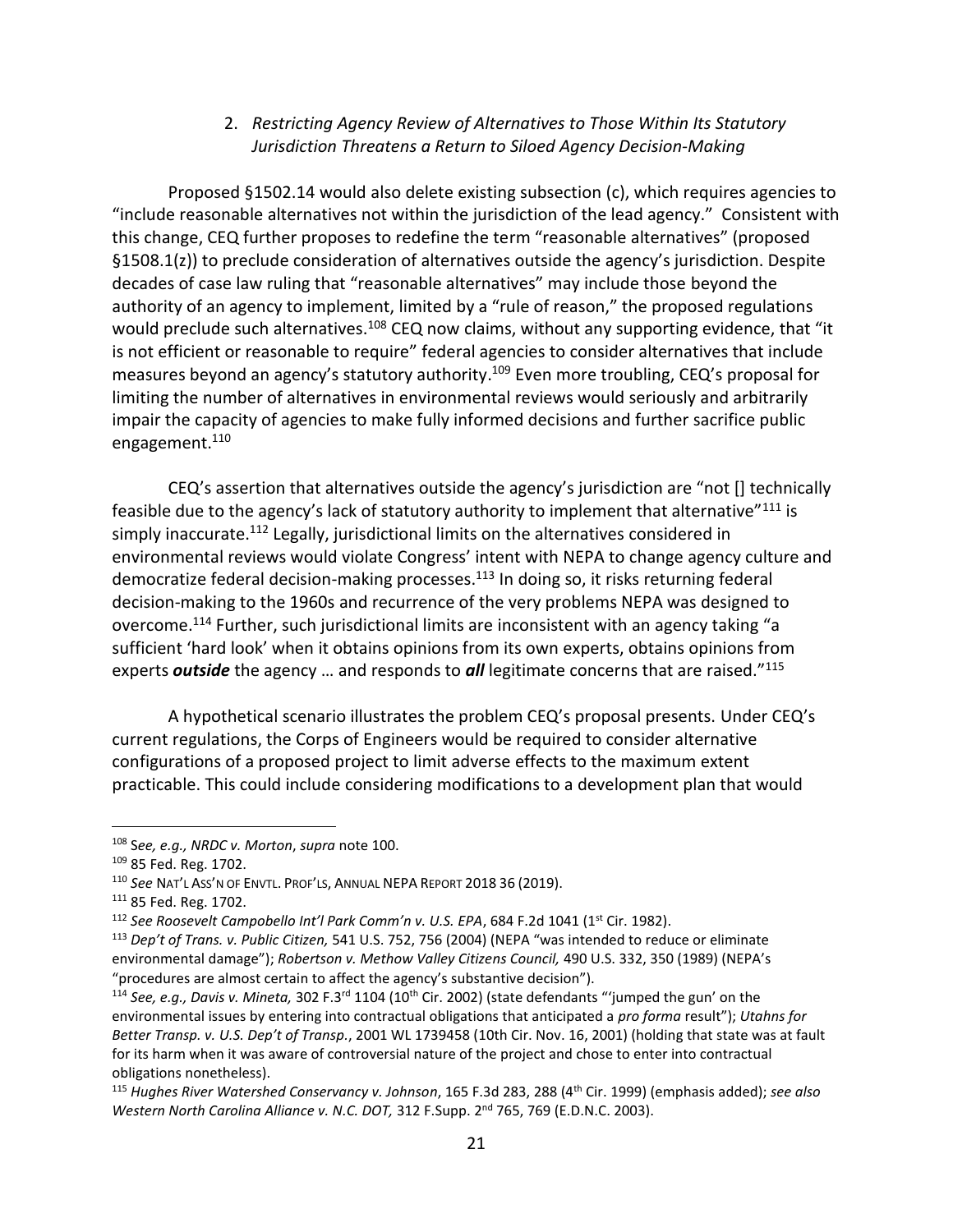### 2. *Restricting Agency Review of Alternatives to Those Within Its Statutory Jurisdiction Threatens a Return to Siloed Agency Decision-Making*

Proposed §1502.14 would also delete existing subsection (c), which requires agencies to "include reasonable alternatives not within the jurisdiction of the lead agency." Consistent with this change, CEQ further proposes to redefine the term "reasonable alternatives" (proposed §1508.1(z)) to preclude consideration of alternatives outside the agency's jurisdiction. Despite decades of case law ruling that "reasonable alternatives" may include those beyond the authority of an agency to implement, limited by a "rule of reason," the proposed regulations would preclude such alternatives.<sup>108</sup> CEQ now claims, without any supporting evidence, that "it is not efficient or reasonable to require" federal agencies to consider alternatives that include measures beyond an agency's statutory authority.<sup>109</sup> Even more troubling, CEQ's proposal for limiting the number of alternatives in environmental reviews would seriously and arbitrarily impair the capacity of agencies to make fully informed decisions and further sacrifice public engagement.<sup>110</sup>

<span id="page-20-0"></span>CEQ's assertion that alternatives outside the agency's jurisdiction are "not [] technically feasible due to the agency's lack of statutory authority to implement that alternative"<sup>111</sup> is simply inaccurate.<sup>112</sup> Legally, jurisdictional limits on the alternatives considered in environmental reviews would violate Congress' intent with NEPA to change agency culture and democratize federal decision-making processes.<sup>113</sup> In doing so, it risks returning federal decision-making to the 1960s and recurrence of the very problems NEPA was designed to overcome.<sup>114</sup> Further, such jurisdictional limits are inconsistent with an agency taking "a sufficient 'hard look' when it obtains opinions from its own experts, obtains opinions from experts *outside* the agency … and responds to *all* legitimate concerns that are raised."<sup>115</sup>

A hypothetical scenario illustrates the problem CEQ's proposal presents. Under CEQ's current regulations, the Corps of Engineers would be required to consider alternative configurations of a proposed project to limit adverse effects to the maximum extent practicable. This could include considering modifications to a development plan that would

<sup>108</sup> S*ee, e.g., NRDC v. Morton*, *supra* note [100.](#page-18-0)

<sup>109</sup> 85 Fed. Reg. 1702.

<sup>110</sup> *See* NAT'L ASS'N OF ENVTL. PROF'LS, ANNUAL NEPA REPORT 2018 36 (2019).

<sup>111</sup> 85 Fed. Reg. 1702.

<sup>&</sup>lt;sup>112</sup> See Roosevelt Campobello Int'l Park Comm'n v. U.S. EPA, 684 F.2d 1041 (1<sup>st</sup> Cir. 1982).

<sup>113</sup> *Dep't of Trans. v. Public Citizen,* 541 U.S. 752, 756 (2004) (NEPA "was intended to reduce or eliminate environmental damage"); *Robertson v. Methow Valley Citizens Council,* 490 U.S. 332, 350 (1989) (NEPA's "procedures are almost certain to affect the agency's substantive decision").

<sup>114</sup> *See, e.g., Davis v. Mineta,* 302 F.3rd 1104 (10th Cir. 2002) (state defendants "'jumped the gun' on the environmental issues by entering into contractual obligations that anticipated a *pro forma* result"); *Utahns for Better Transp. v. U.S. Dep't of Transp.*, 2001 WL 1739458 (10th Cir. Nov. 16, 2001) (holding that state was at fault for its harm when it was aware of controversial nature of the project and chose to enter into contractual obligations nonetheless).

<sup>115</sup> *Hughes River Watershed Conservancy v. Johnson*, 165 F.3d 283, 288 (4th Cir. 1999) (emphasis added); *see also Western North Carolina Alliance v. N.C. DOT,* 312 F.Supp. 2nd 765, 769 (E.D.N.C. 2003).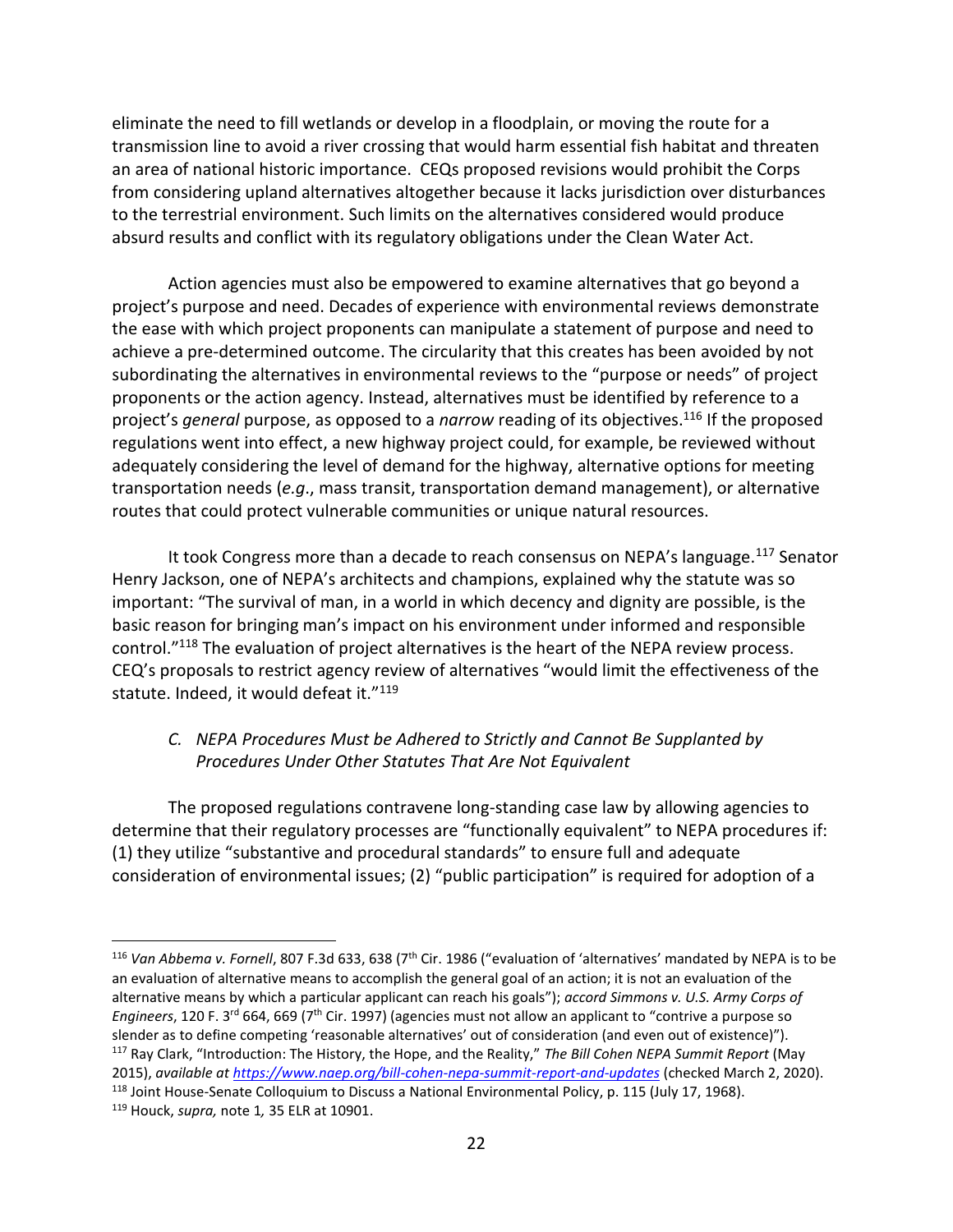eliminate the need to fill wetlands or develop in a floodplain, or moving the route for a transmission line to avoid a river crossing that would harm essential fish habitat and threaten an area of national historic importance. CEQs proposed revisions would prohibit the Corps from considering upland alternatives altogether because it lacks jurisdiction over disturbances to the terrestrial environment. Such limits on the alternatives considered would produce absurd results and conflict with its regulatory obligations under the Clean Water Act.

Action agencies must also be empowered to examine alternatives that go beyond a project's purpose and need. Decades of experience with environmental reviews demonstrate the ease with which project proponents can manipulate a statement of purpose and need to achieve a pre-determined outcome. The circularity that this creates has been avoided by not subordinating the alternatives in environmental reviews to the "purpose or needs" of project proponents or the action agency. Instead, alternatives must be identified by reference to a project's *general* purpose, as opposed to a *narrow* reading of its objectives.<sup>116</sup> If the proposed regulations went into effect, a new highway project could, for example, be reviewed without adequately considering the level of demand for the highway, alternative options for meeting transportation needs (*e.g*., mass transit, transportation demand management), or alternative routes that could protect vulnerable communities or unique natural resources.

It took Congress more than a decade to reach consensus on NEPA's language. $117$  Senator Henry Jackson, one of NEPA's architects and champions, explained why the statute was so important: "The survival of man, in a world in which decency and dignity are possible, is the basic reason for bringing man's impact on his environment under informed and responsible control."<sup>118</sup> The evaluation of project alternatives is the heart of the NEPA review process. CEQ's proposals to restrict agency review of alternatives "would limit the effectiveness of the statute. Indeed, it would defeat it."119

## *C. NEPA Procedures Must be Adhered to Strictly and Cannot Be Supplanted by Procedures Under Other Statutes That Are Not Equivalent*

The proposed regulations contravene long-standing case law by allowing agencies to determine that their regulatory processes are "functionally equivalent" to NEPA procedures if: (1) they utilize "substantive and procedural standards" to ensure full and adequate consideration of environmental issues; (2) "public participation" is required for adoption of a

<sup>&</sup>lt;sup>116</sup> Van Abbema v. Fornell, 807 F.3d 633, 638 (7<sup>th</sup> Cir. 1986 ("evaluation of 'alternatives' mandated by NEPA is to be an evaluation of alternative means to accomplish the general goal of an action; it is not an evaluation of the alternative means by which a particular applicant can reach his goals"); *accord Simmons v. U.S. Army Corps of Engineers*, 120 F. 3rd 664, 669 (7th Cir. 1997) (agencies must not allow an applicant to "contrive a purpose so slender as to define competing 'reasonable alternatives' out of consideration (and even out of existence)"). <sup>117</sup> Ray Clark, "Introduction: The History, the Hope, and the Reality," *The Bill Cohen NEPA Summit Report* (May 2015), *available at<https://www.naep.org/bill-cohen-nepa-summit-report-and-updates>* (checked March 2, 2020). <sup>118</sup> Joint House-Senate Colloquium to Discuss a National Environmental Policy, p. 115 (July 17, 1968).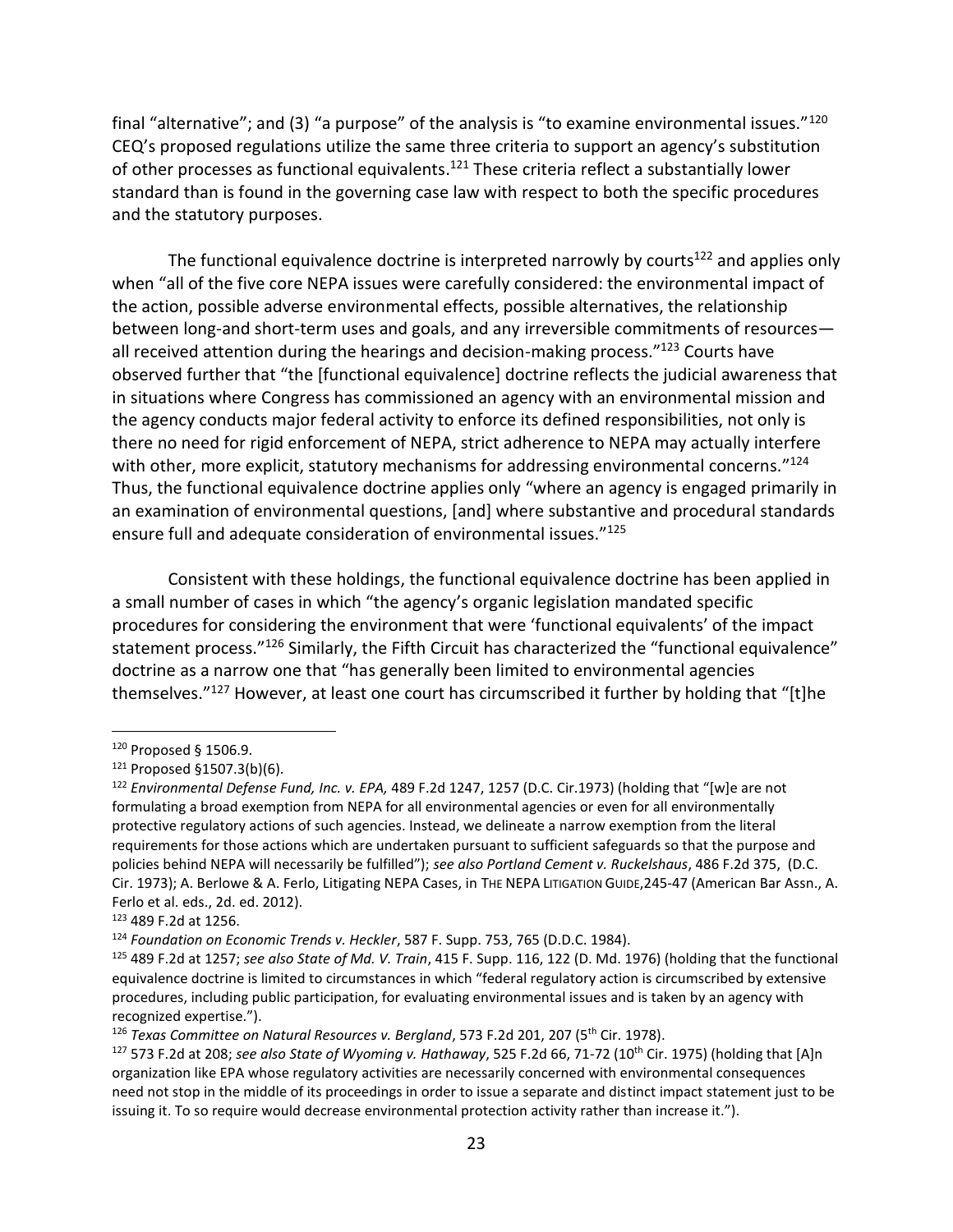final "alternative"; and (3) "a purpose" of the analysis is "to examine environmental issues."<sup>120</sup> CEQ's proposed regulations utilize the same three criteria to support an agency's substitution of other processes as functional equivalents.<sup>121</sup> These criteria reflect a substantially lower standard than is found in the governing case law with respect to both the specific procedures and the statutory purposes.

The functional equivalence doctrine is interpreted narrowly by courts<sup>122</sup> and applies only when "all of the five core NEPA issues were carefully considered: the environmental impact of the action, possible adverse environmental effects, possible alternatives, the relationship between long-and short-term uses and goals, and any irreversible commitments of resources all received attention during the hearings and decision-making process."<sup>123</sup> Courts have observed further that "the [functional equivalence] doctrine reflects the judicial awareness that in situations where Congress has commissioned an agency with an environmental mission and the agency conducts major federal activity to enforce its defined responsibilities, not only is there no need for rigid enforcement of NEPA, strict adherence to NEPA may actually interfere with other, more explicit, statutory mechanisms for addressing environmental concerns."<sup>124</sup> Thus, the functional equivalence doctrine applies only "where an agency is engaged primarily in an examination of environmental questions, [and] where substantive and procedural standards ensure full and adequate consideration of environmental issues."<sup>125</sup>

Consistent with these holdings, the functional equivalence doctrine has been applied in a small number of cases in which "the agency's organic legislation mandated specific procedures for considering the environment that were 'functional equivalents' of the impact statement process."<sup>126</sup> Similarly, the Fifth Circuit has characterized the "functional equivalence" doctrine as a narrow one that "has generally been limited to environmental agencies themselves."<sup>127</sup> However, at least one court has circumscribed it further by holding that "[t]he

<sup>120</sup> Proposed § 1506.9.

<sup>121</sup> Proposed §1507.3(b)(6).

<sup>122</sup> *Environmental Defense Fund, Inc. v. EPA,* 489 F.2d 1247, 1257 (D.C. Cir.1973) (holding that "[w]e are not formulating a broad exemption from NEPA for all environmental agencies or even for all environmentally protective regulatory actions of such agencies. Instead, we delineate a narrow exemption from the literal requirements for those actions which are undertaken pursuant to sufficient safeguards so that the purpose and policies behind NEPA will necessarily be fulfilled"); *see also Portland Cement v. Ruckelshaus*, 486 F.2d 375, (D.C. Cir. 1973); A. Berlowe & A. Ferlo, Litigating NEPA Cases, in THE NEPA LITIGATION GUIDE,245-47 (American Bar Assn., A. Ferlo et al. eds., 2d. ed. 2012).

<sup>123</sup> 489 F.2d at 1256.

<sup>124</sup> *Foundation on Economic Trends v. Heckler*, 587 F. Supp. 753, 765 (D.D.C. 1984).

<sup>125</sup> 489 F.2d at 1257; *see also State of Md. V. Train*, 415 F. Supp. 116, 122 (D. Md. 1976) (holding that the functional equivalence doctrine is limited to circumstances in which "federal regulatory action is circumscribed by extensive procedures, including public participation, for evaluating environmental issues and is taken by an agency with recognized expertise.").

<sup>126</sup> *Texas Committee on Natural Resources v. Bergland*, 573 F.2d 201, 207 (5th Cir. 1978).

<sup>127</sup> 573 F.2d at 208; *see also State of Wyoming v. Hathaway*, 525 F.2d 66, 71-72 (10th Cir. 1975) (holding that [A]n organization like EPA whose regulatory activities are necessarily concerned with environmental consequences need not stop in the middle of its proceedings in order to issue a separate and distinct impact statement just to be issuing it. To so require would decrease environmental protection activity rather than increase it.").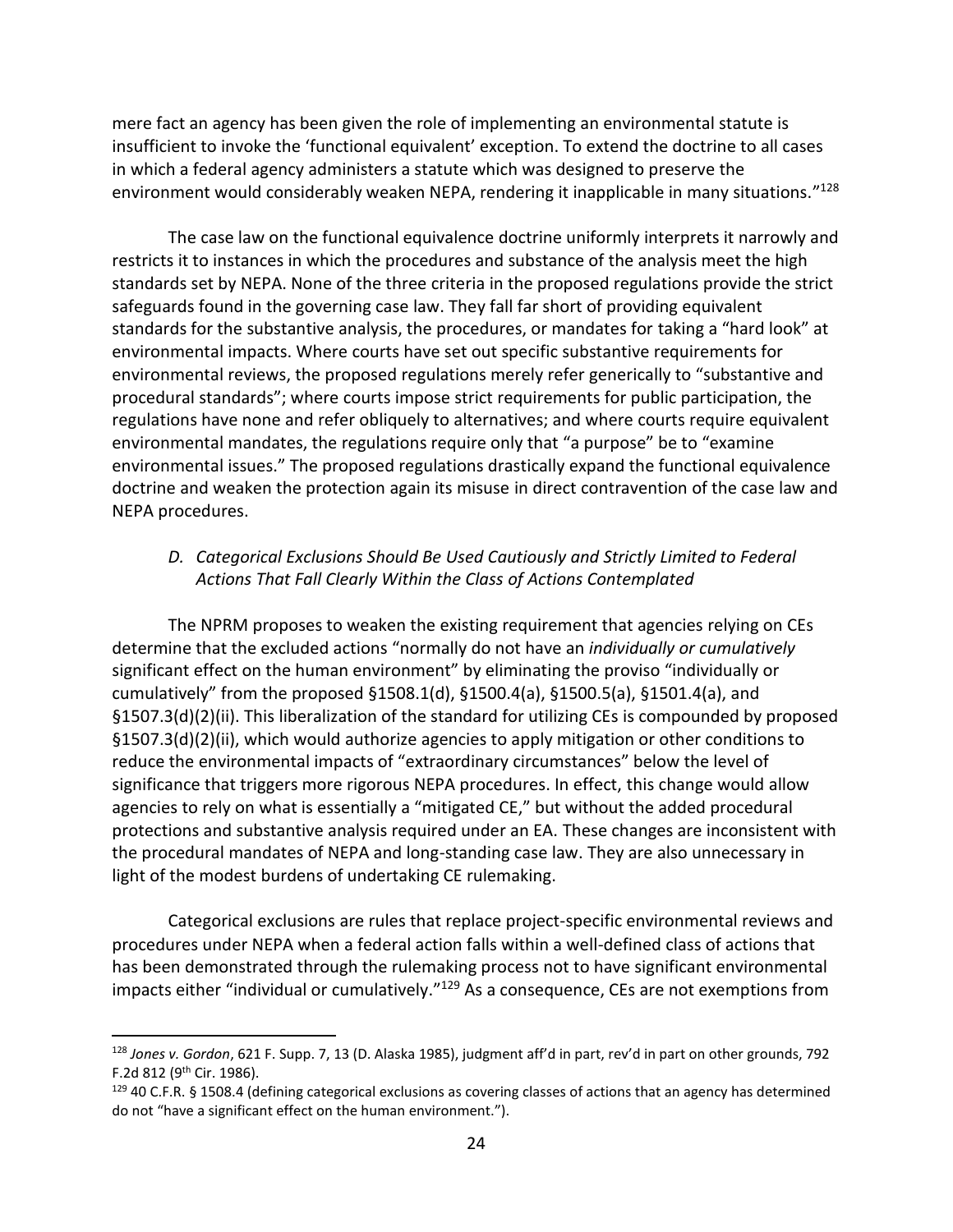mere fact an agency has been given the role of implementing an environmental statute is insufficient to invoke the 'functional equivalent' exception. To extend the doctrine to all cases in which a federal agency administers a statute which was designed to preserve the environment would considerably weaken NEPA, rendering it inapplicable in many situations."<sup>128</sup>

The case law on the functional equivalence doctrine uniformly interprets it narrowly and restricts it to instances in which the procedures and substance of the analysis meet the high standards set by NEPA. None of the three criteria in the proposed regulations provide the strict safeguards found in the governing case law. They fall far short of providing equivalent standards for the substantive analysis, the procedures, or mandates for taking a "hard look" at environmental impacts. Where courts have set out specific substantive requirements for environmental reviews, the proposed regulations merely refer generically to "substantive and procedural standards"; where courts impose strict requirements for public participation, the regulations have none and refer obliquely to alternatives; and where courts require equivalent environmental mandates, the regulations require only that "a purpose" be to "examine environmental issues." The proposed regulations drastically expand the functional equivalence doctrine and weaken the protection again its misuse in direct contravention of the case law and NEPA procedures.

## *D. Categorical Exclusions Should Be Used Cautiously and Strictly Limited to Federal Actions That Fall Clearly Within the Class of Actions Contemplated*

The NPRM proposes to weaken the existing requirement that agencies relying on CEs determine that the excluded actions "normally do not have an *individually or cumulatively*  significant effect on the human environment" by eliminating the proviso "individually or cumulatively" from the proposed §1508.1(d), §1500.4(a), §1500.5(a), §1501.4(a), and §1507.3(d)(2)(ii). This liberalization of the standard for utilizing CEs is compounded by proposed §1507.3(d)(2)(ii), which would authorize agencies to apply mitigation or other conditions to reduce the environmental impacts of "extraordinary circumstances" below the level of significance that triggers more rigorous NEPA procedures. In effect, this change would allow agencies to rely on what is essentially a "mitigated CE," but without the added procedural protections and substantive analysis required under an EA. These changes are inconsistent with the procedural mandates of NEPA and long-standing case law. They are also unnecessary in light of the modest burdens of undertaking CE rulemaking.

Categorical exclusions are rules that replace project-specific environmental reviews and procedures under NEPA when a federal action falls within a well-defined class of actions that has been demonstrated through the rulemaking process not to have significant environmental impacts either "individual or cumulatively."<sup>129</sup> As a consequence, CEs are not exemptions from

<sup>128</sup> *Jones v. Gordon*, 621 F. Supp. 7, 13 (D. Alaska 1985), judgment aff'd in part, rev'd in part on other grounds, 792 F.2d 812 (9th Cir. 1986).

 $129$  40 C.F.R. § 1508.4 (defining categorical exclusions as covering classes of actions that an agency has determined do not "have a significant effect on the human environment.").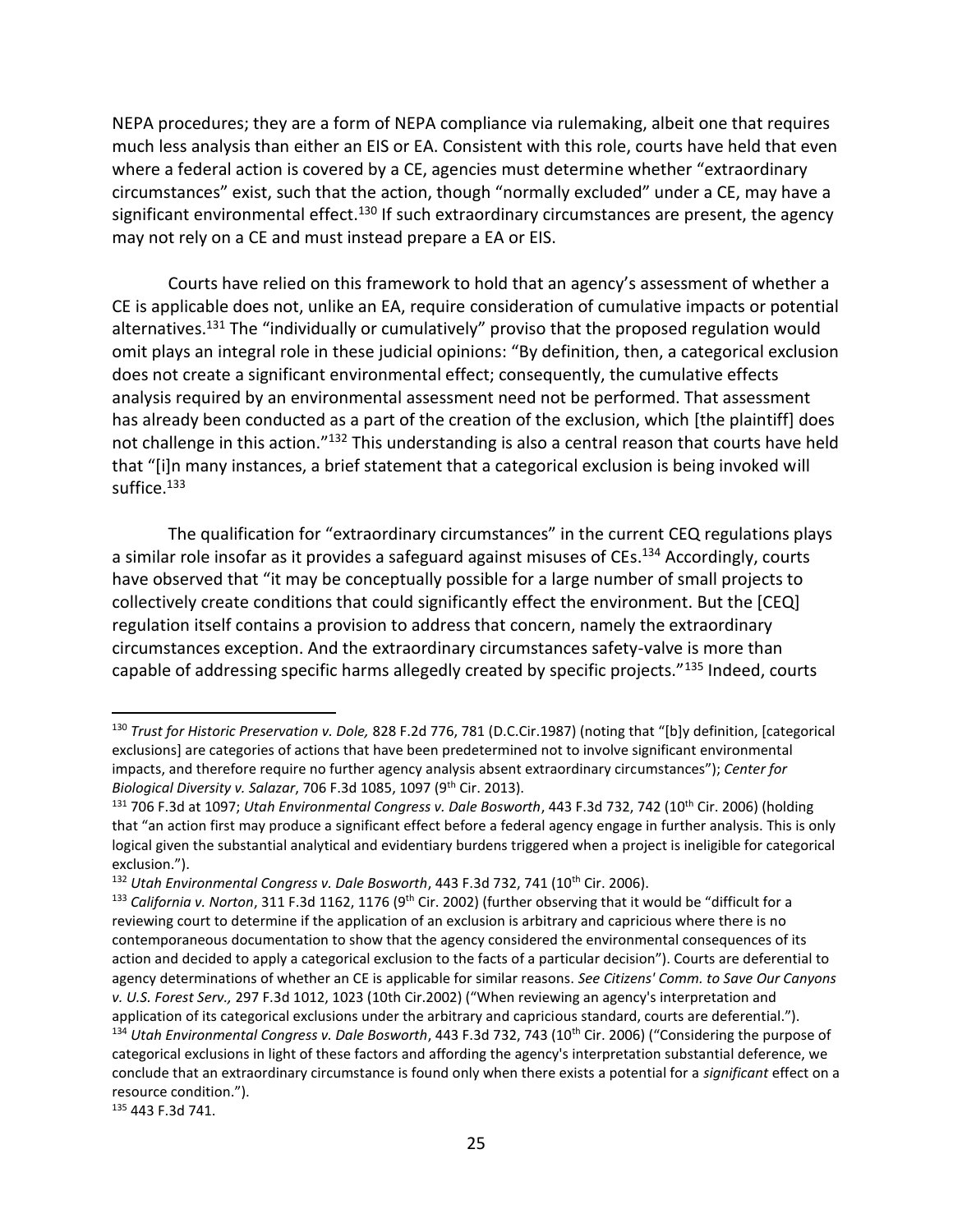NEPA procedures; they are a form of NEPA compliance via rulemaking, albeit one that requires much less analysis than either an EIS or EA. Consistent with this role, courts have held that even where a federal action is covered by a CE, agencies must determine whether "extraordinary circumstances" exist, such that the action, though "normally excluded" under a CE, may have a significant environmental effect.<sup>130</sup> If such extraordinary circumstances are present, the agency may not rely on a CE and must instead prepare a EA or EIS.

Courts have relied on this framework to hold that an agency's assessment of whether a CE is applicable does not, unlike an EA, require consideration of cumulative impacts or potential alternatives.<sup>131</sup> The "individually or cumulatively" proviso that the proposed regulation would omit plays an integral role in these judicial opinions: "By definition, then, a categorical exclusion does not create a significant environmental effect; consequently, the cumulative effects analysis required by an environmental assessment need not be performed. That assessment has already been conducted as a part of the creation of the exclusion, which [the plaintiff] does not challenge in this action."<sup>132</sup> This understanding is also a central reason that courts have held that "[i]n many instances, a brief statement that a categorical exclusion is being invoked will suffice.<sup>133</sup>

The qualification for "extraordinary circumstances" in the current CEQ regulations plays a similar role insofar as it provides a safeguard against misuses of CEs.<sup>134</sup> Accordingly, courts have observed that "it may be conceptually possible for a large number of small projects to collectively create conditions that could significantly effect the environment. But the [CEQ] regulation itself contains a provision to address that concern, namely the extraordinary circumstances exception. And the extraordinary circumstances safety-valve is more than capable of addressing specific harms allegedly created by specific projects."<sup>135</sup> Indeed, courts

<sup>135</sup> 443 F.3d 741.

<sup>130</sup> *Trust for Historic Preservation v. Dole,* 828 F.2d 776, 781 (D.C.Cir.1987) (noting that "[b]y definition, [categorical exclusions] are categories of actions that have been predetermined not to involve significant environmental impacts, and therefore require no further agency analysis absent extraordinary circumstances"); *Center for Biological Diversity v. Salazar*, 706 F.3d 1085, 1097 (9th Cir. 2013).

<sup>131</sup> 706 F.3d at 1097; *Utah Environmental Congress v. Dale Bosworth*, 443 F.3d 732, 742 (10th Cir. 2006) (holding that "an action first may produce a significant effect before a federal agency engage in further analysis. This is only logical given the substantial analytical and evidentiary burdens triggered when a project is ineligible for categorical exclusion.").

<sup>&</sup>lt;sup>132</sup> Utah Environmental Congress v. Dale Bosworth, 443 F.3d 732, 741 (10<sup>th</sup> Cir. 2006).

<sup>133</sup> California v. Norton, 311 F.3d 1162, 1176 (9<sup>th</sup> Cir. 2002) (further observing that it would be "difficult for a reviewing court to determine if the application of an exclusion is arbitrary and capricious where there is no contemporaneous documentation to show that the agency considered the environmental consequences of its action and decided to apply a categorical exclusion to the facts of a particular decision"). Courts are deferential to agency determinations of whether an CE is applicable for similar reasons. *See Citizens' Comm. to Save Our Canyons v. U.S. Forest Serv.,* 297 F.3d 1012, 1023 (10th Cir.2002) ("When reviewing an agency's interpretation and application of its categorical exclusions under the arbitrary and capricious standard, courts are deferential."). <sup>134</sup> *Utah Environmental Congress v. Dale Bosworth*, 443 F.3d 732, 743 (10th Cir. 2006) ("Considering the purpose of categorical exclusions in light of these factors and affording the agency's interpretation substantial deference, we conclude that an extraordinary circumstance is found only when there exists a potential for a *significant* effect on a resource condition.").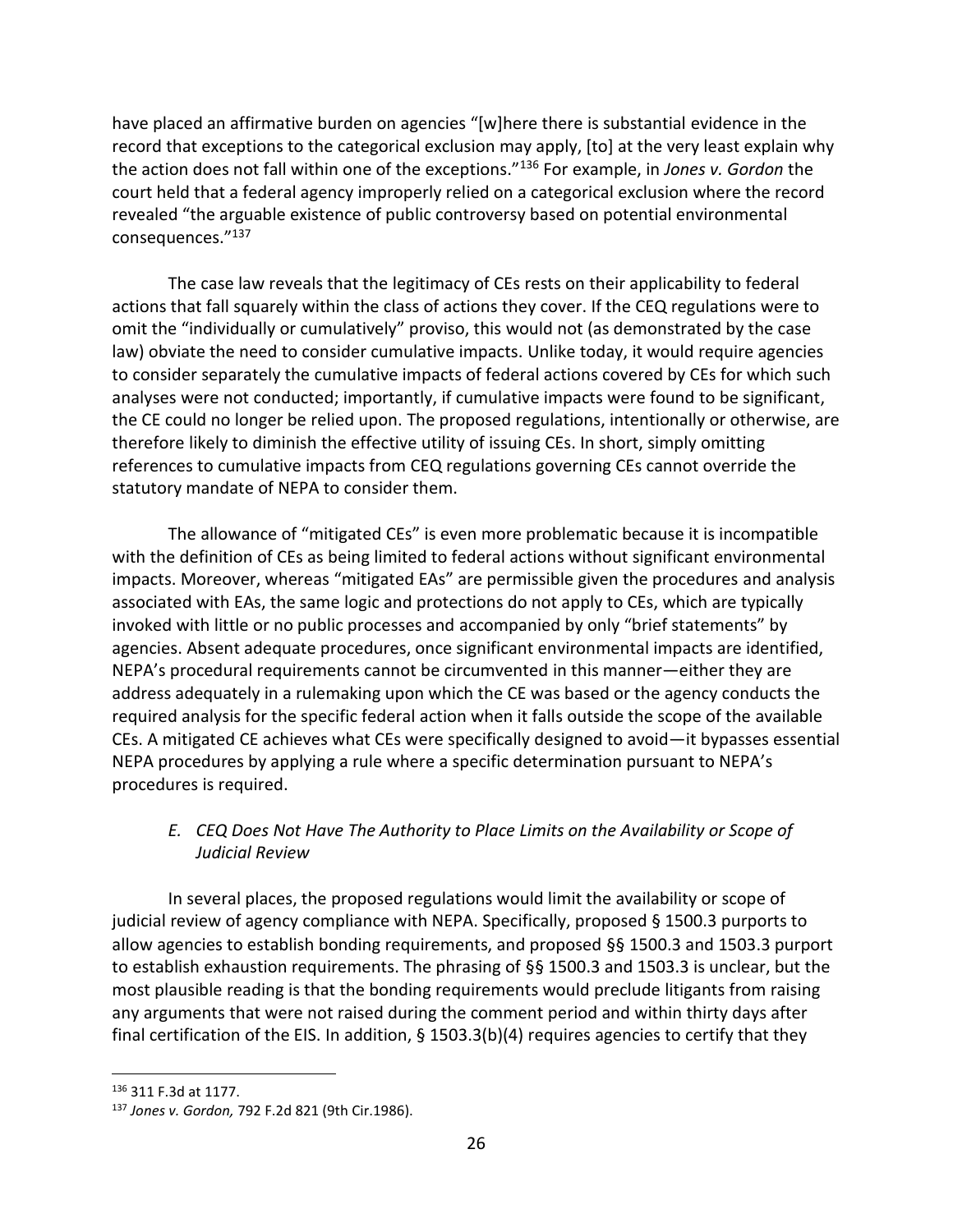have placed an affirmative burden on agencies "[w]here there is substantial evidence in the record that exceptions to the categorical exclusion may apply, [to] at the very least explain why the action does not fall within one of the exceptions."<sup>136</sup> For example, in *Jones v. Gordon* the court held that a federal agency improperly relied on a categorical exclusion where the record revealed "the arguable existence of public controversy based on potential environmental consequences."<sup>137</sup>

The case law reveals that the legitimacy of CEs rests on their applicability to federal actions that fall squarely within the class of actions they cover. If the CEQ regulations were to omit the "individually or cumulatively" proviso, this would not (as demonstrated by the case law) obviate the need to consider cumulative impacts. Unlike today, it would require agencies to consider separately the cumulative impacts of federal actions covered by CEs for which such analyses were not conducted; importantly, if cumulative impacts were found to be significant, the CE could no longer be relied upon. The proposed regulations, intentionally or otherwise, are therefore likely to diminish the effective utility of issuing CEs. In short, simply omitting references to cumulative impacts from CEQ regulations governing CEs cannot override the statutory mandate of NEPA to consider them.

The allowance of "mitigated CEs" is even more problematic because it is incompatible with the definition of CEs as being limited to federal actions without significant environmental impacts. Moreover, whereas "mitigated EAs" are permissible given the procedures and analysis associated with EAs, the same logic and protections do not apply to CEs, which are typically invoked with little or no public processes and accompanied by only "brief statements" by agencies. Absent adequate procedures, once significant environmental impacts are identified, NEPA's procedural requirements cannot be circumvented in this manner—either they are address adequately in a rulemaking upon which the CE was based or the agency conducts the required analysis for the specific federal action when it falls outside the scope of the available CEs. A mitigated CE achieves what CEs were specifically designed to avoid—it bypasses essential NEPA procedures by applying a rule where a specific determination pursuant to NEPA's procedures is required.

## *E. CEQ Does Not Have The Authority to Place Limits on the Availability or Scope of Judicial Review*

In several places, the proposed regulations would limit the availability or scope of judicial review of agency compliance with NEPA. Specifically, proposed § 1500.3 purports to allow agencies to establish bonding requirements, and proposed §§ 1500.3 and 1503.3 purport to establish exhaustion requirements. The phrasing of §§ 1500.3 and 1503.3 is unclear, but the most plausible reading is that the bonding requirements would preclude litigants from raising any arguments that were not raised during the comment period and within thirty days after final certification of the EIS. In addition, § 1503.3(b)(4) requires agencies to certify that they

<sup>136</sup> 311 F.3d at 1177.

<sup>137</sup> *Jones v. Gordon,* 792 F.2d 821 (9th Cir.1986).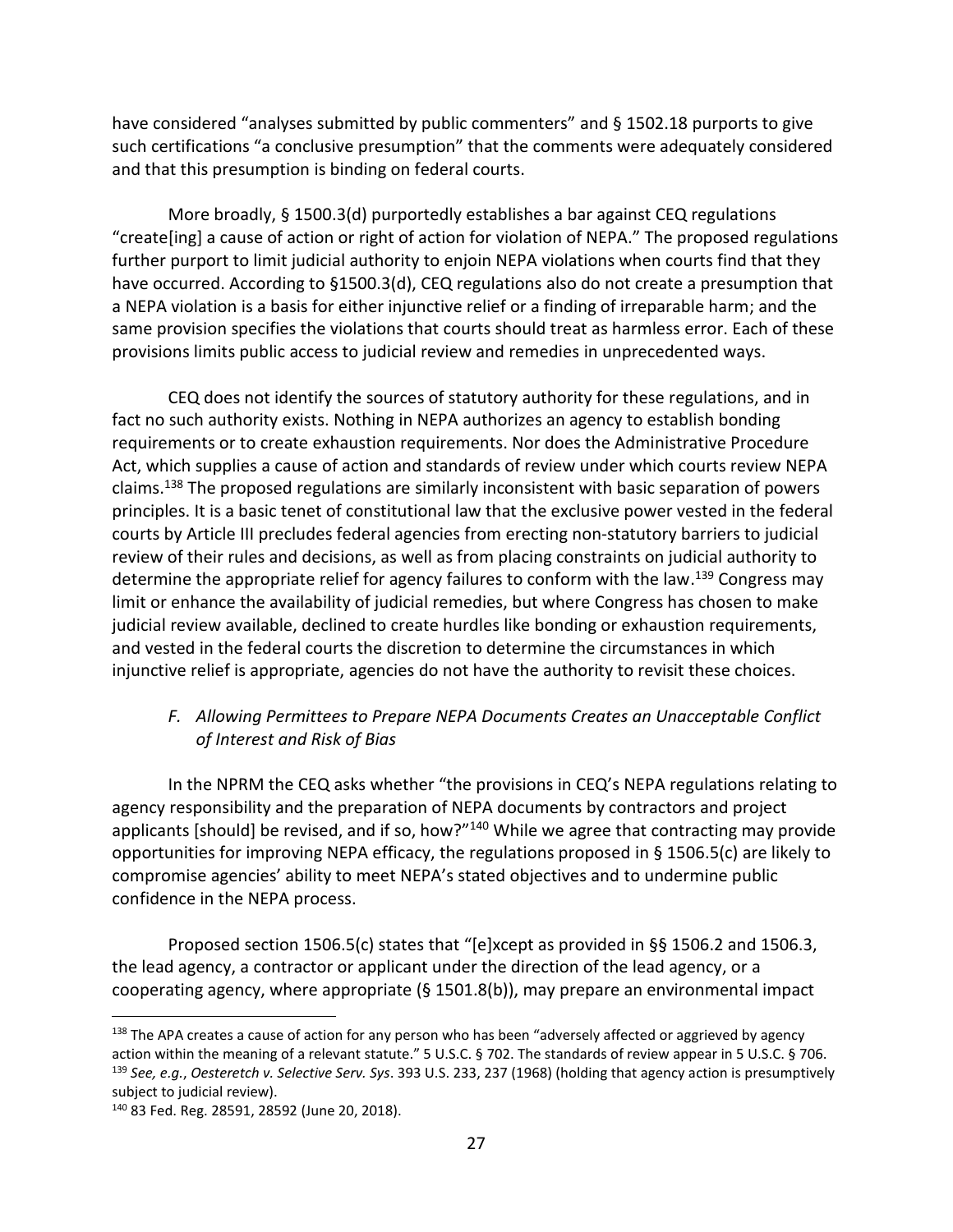have considered "analyses submitted by public commenters" and § 1502.18 purports to give such certifications "a conclusive presumption" that the comments were adequately considered and that this presumption is binding on federal courts.

More broadly, § 1500.3(d) purportedly establishes a bar against CEQ regulations "create[ing] a cause of action or right of action for violation of NEPA." The proposed regulations further purport to limit judicial authority to enjoin NEPA violations when courts find that they have occurred. According to §1500.3(d), CEQ regulations also do not create a presumption that a NEPA violation is a basis for either injunctive relief or a finding of irreparable harm; and the same provision specifies the violations that courts should treat as harmless error. Each of these provisions limits public access to judicial review and remedies in unprecedented ways.

CEQ does not identify the sources of statutory authority for these regulations, and in fact no such authority exists. Nothing in NEPA authorizes an agency to establish bonding requirements or to create exhaustion requirements. Nor does the Administrative Procedure Act, which supplies a cause of action and standards of review under which courts review NEPA claims.<sup>138</sup> The proposed regulations are similarly inconsistent with basic separation of powers principles. It is a basic tenet of constitutional law that the exclusive power vested in the federal courts by Article III precludes federal agencies from erecting non-statutory barriers to judicial review of their rules and decisions, as well as from placing constraints on judicial authority to determine the appropriate relief for agency failures to conform with the law.<sup>139</sup> Congress may limit or enhance the availability of judicial remedies, but where Congress has chosen to make judicial review available, declined to create hurdles like bonding or exhaustion requirements, and vested in the federal courts the discretion to determine the circumstances in which injunctive relief is appropriate, agencies do not have the authority to revisit these choices.

# *F. Allowing Permittees to Prepare NEPA Documents Creates an Unacceptable Conflict of Interest and Risk of Bias*

In the NPRM the CEQ asks whether "the provisions in CEQ's NEPA regulations relating to agency responsibility and the preparation of NEPA documents by contractors and project applicants [should] be revised, and if so, how?"<sup>140</sup> While we agree that contracting may provide opportunities for improving NEPA efficacy, the regulations proposed in § 1506.5(c) are likely to compromise agencies' ability to meet NEPA's stated objectives and to undermine public confidence in the NEPA process.

Proposed section 1506.5(c) states that "[e]xcept as provided in §§ 1506.2 and 1506.3, the lead agency, a contractor or applicant under the direction of the lead agency, or a cooperating agency, where appropriate (§ 1501.8(b)), may prepare an environmental impact

<sup>&</sup>lt;sup>138</sup> The APA creates a cause of action for any person who has been "adversely affected or aggrieved by agency action within the meaning of a relevant statute." 5 U.S.C. § 702. The standards of review appear in 5 U.S.C. § 706. <sup>139</sup> *See, e.g.*, *Oesteretch v. Selective Serv. Sys*. 393 U.S. 233, 237 (1968) (holding that agency action is presumptively subject to judicial review).

<sup>140</sup> 83 Fed. Reg. 28591, 28592 (June 20, 2018).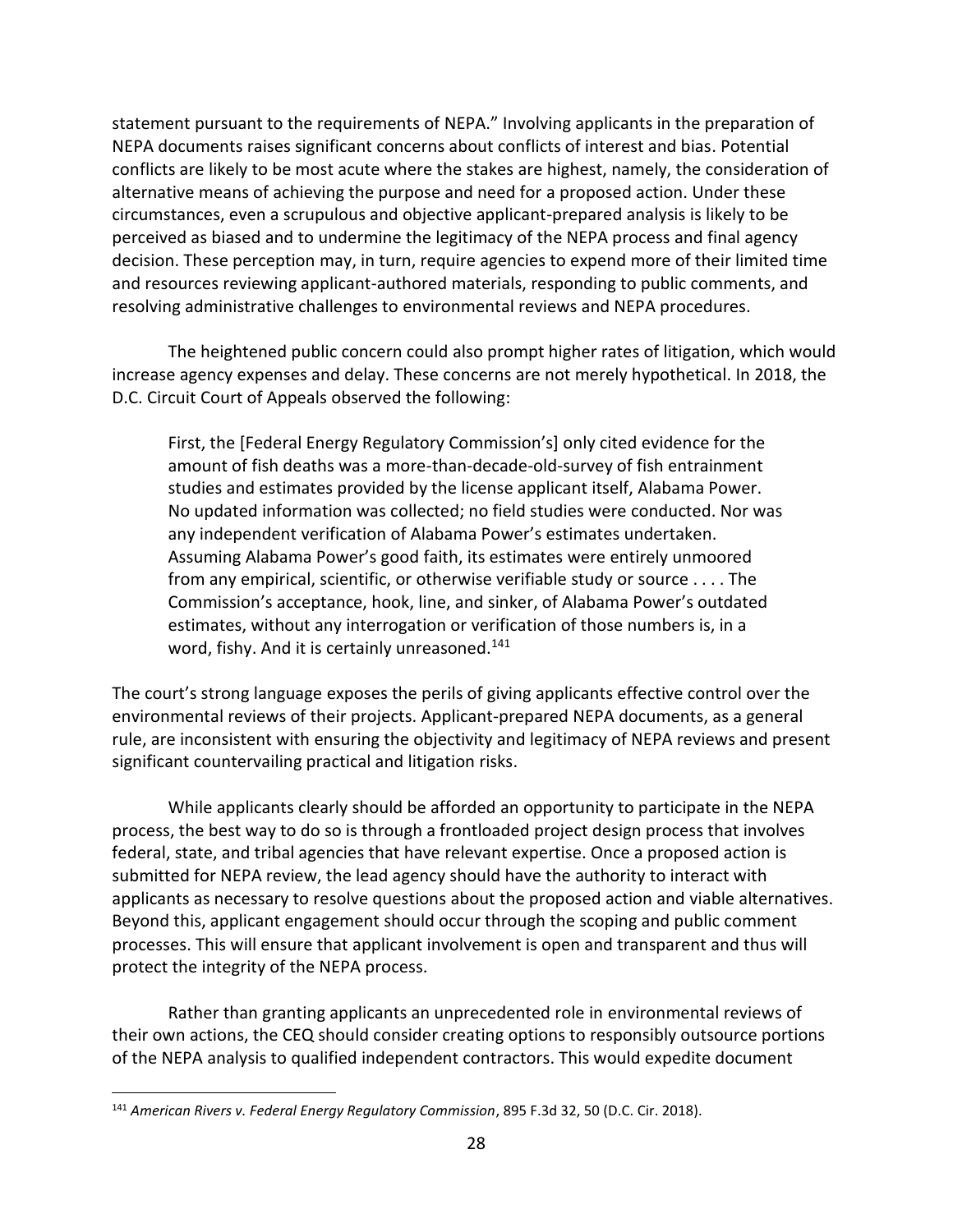statement pursuant to the requirements of NEPA." Involving applicants in the preparation of NEPA documents raises significant concerns about conflicts of interest and bias. Potential conflicts are likely to be most acute where the stakes are highest, namely, the consideration of alternative means of achieving the purpose and need for a proposed action. Under these circumstances, even a scrupulous and objective applicant-prepared analysis is likely to be perceived as biased and to undermine the legitimacy of the NEPA process and final agency decision. These perception may, in turn, require agencies to expend more of their limited time and resources reviewing applicant-authored materials, responding to public comments, and resolving administrative challenges to environmental reviews and NEPA procedures.

The heightened public concern could also prompt higher rates of litigation, which would increase agency expenses and delay. These concerns are not merely hypothetical. In 2018, the D.C. Circuit Court of Appeals observed the following:

First, the [Federal Energy Regulatory Commission's] only cited evidence for the amount of fish deaths was a more-than-decade-old-survey of fish entrainment studies and estimates provided by the license applicant itself, Alabama Power. No updated information was collected; no field studies were conducted. Nor was any independent verification of Alabama Power's estimates undertaken. Assuming Alabama Power's good faith, its estimates were entirely unmoored from any empirical, scientific, or otherwise verifiable study or source . . . . The Commission's acceptance, hook, line, and sinker, of Alabama Power's outdated estimates, without any interrogation or verification of those numbers is, in a word, fishy. And it is certainly unreasoned.<sup>141</sup>

The court's strong language exposes the perils of giving applicants effective control over the environmental reviews of their projects. Applicant-prepared NEPA documents, as a general rule, are inconsistent with ensuring the objectivity and legitimacy of NEPA reviews and present significant countervailing practical and litigation risks.

While applicants clearly should be afforded an opportunity to participate in the NEPA process, the best way to do so is through a frontloaded project design process that involves federal, state, and tribal agencies that have relevant expertise. Once a proposed action is submitted for NEPA review, the lead agency should have the authority to interact with applicants as necessary to resolve questions about the proposed action and viable alternatives. Beyond this, applicant engagement should occur through the scoping and public comment processes. This will ensure that applicant involvement is open and transparent and thus will protect the integrity of the NEPA process.

Rather than granting applicants an unprecedented role in environmental reviews of their own actions, the CEQ should consider creating options to responsibly outsource portions of the NEPA analysis to qualified independent contractors. This would expedite document

<sup>141</sup> *American Rivers v. Federal Energy Regulatory Commission*, 895 F.3d 32, 50 (D.C. Cir. 2018).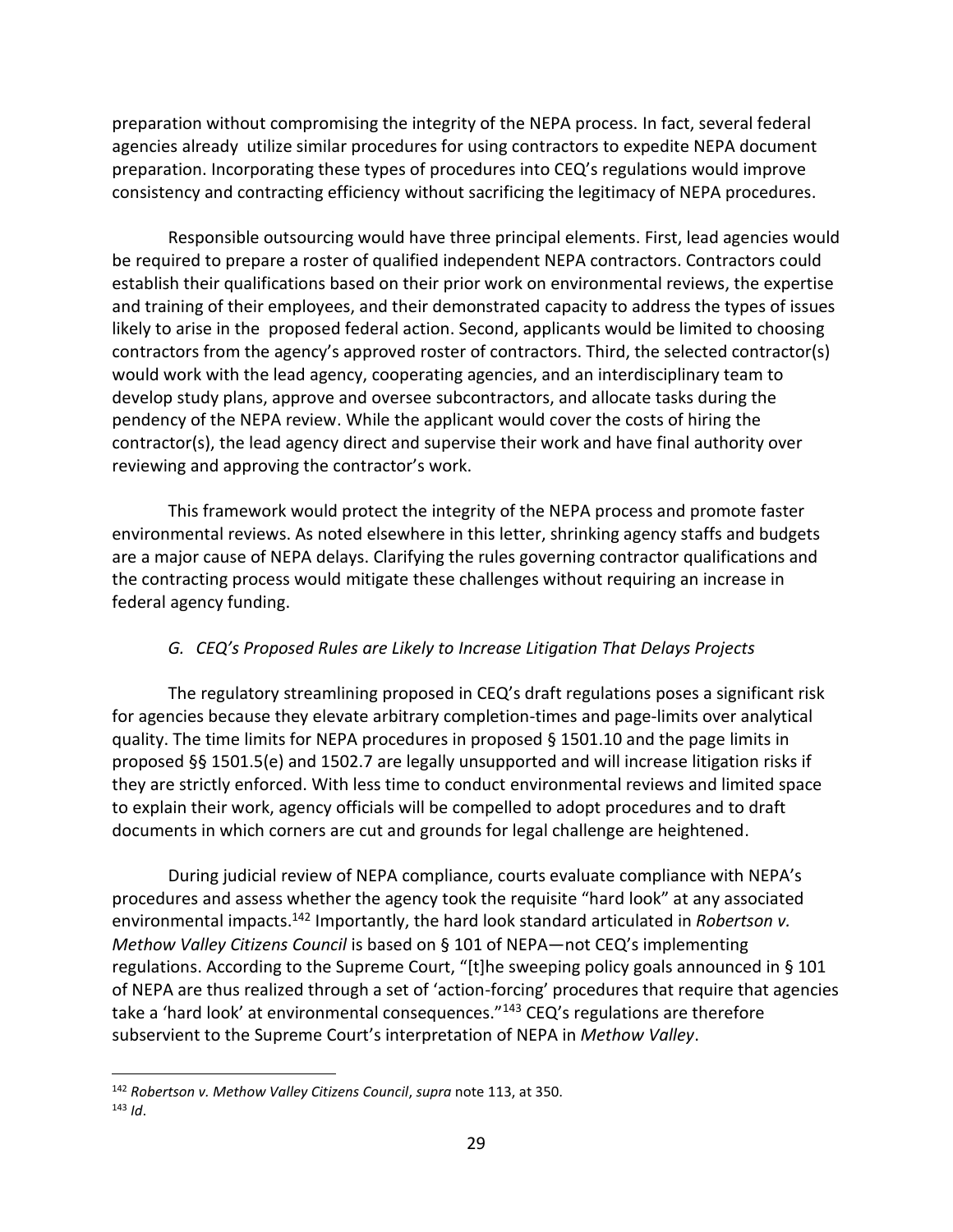preparation without compromising the integrity of the NEPA process. In fact, several federal agencies already utilize similar procedures for using contractors to expedite NEPA document preparation. Incorporating these types of procedures into CEQ's regulations would improve consistency and contracting efficiency without sacrificing the legitimacy of NEPA procedures.

Responsible outsourcing would have three principal elements. First, lead agencies would be required to prepare a roster of qualified independent NEPA contractors. Contractors could establish their qualifications based on their prior work on environmental reviews, the expertise and training of their employees, and their demonstrated capacity to address the types of issues likely to arise in the proposed federal action. Second, applicants would be limited to choosing contractors from the agency's approved roster of contractors. Third, the selected contractor(s) would work with the lead agency, cooperating agencies, and an interdisciplinary team to develop study plans, approve and oversee subcontractors, and allocate tasks during the pendency of the NEPA review. While the applicant would cover the costs of hiring the contractor(s), the lead agency direct and supervise their work and have final authority over reviewing and approving the contractor's work.

This framework would protect the integrity of the NEPA process and promote faster environmental reviews. As noted elsewhere in this letter, shrinking agency staffs and budgets are a major cause of NEPA delays. Clarifying the rules governing contractor qualifications and the contracting process would mitigate these challenges without requiring an increase in federal agency funding.

### *G. CEQ's Proposed Rules are Likely to Increase Litigation That Delays Projects*

The regulatory streamlining proposed in CEQ's draft regulations poses a significant risk for agencies because they elevate arbitrary completion-times and page-limits over analytical quality. The time limits for NEPA procedures in proposed § 1501.10 and the page limits in proposed §§ 1501.5(e) and 1502.7 are legally unsupported and will increase litigation risks if they are strictly enforced. With less time to conduct environmental reviews and limited space to explain their work, agency officials will be compelled to adopt procedures and to draft documents in which corners are cut and grounds for legal challenge are heightened.

During judicial review of NEPA compliance, courts evaluate compliance with NEPA's procedures and assess whether the agency took the requisite "hard look" at any associated environmental impacts.<sup>142</sup> Importantly, the hard look standard articulated in *Robertson v. Methow Valley Citizens Council* is based on § 101 of NEPA—not CEQ's implementing regulations. According to the Supreme Court, "[t]he sweeping policy goals announced in § 101 of NEPA are thus realized through a set of 'action-forcing' procedures that require that agencies take a 'hard look' at environmental consequences."<sup>143</sup> CEQ's regulations are therefore subservient to the Supreme Court's interpretation of NEPA in *Methow Valley*.

<sup>142</sup> *Robertson v. Methow Valley Citizens Council*, *supra* note [113,](#page-20-0) at 350.  $143$  *Id.*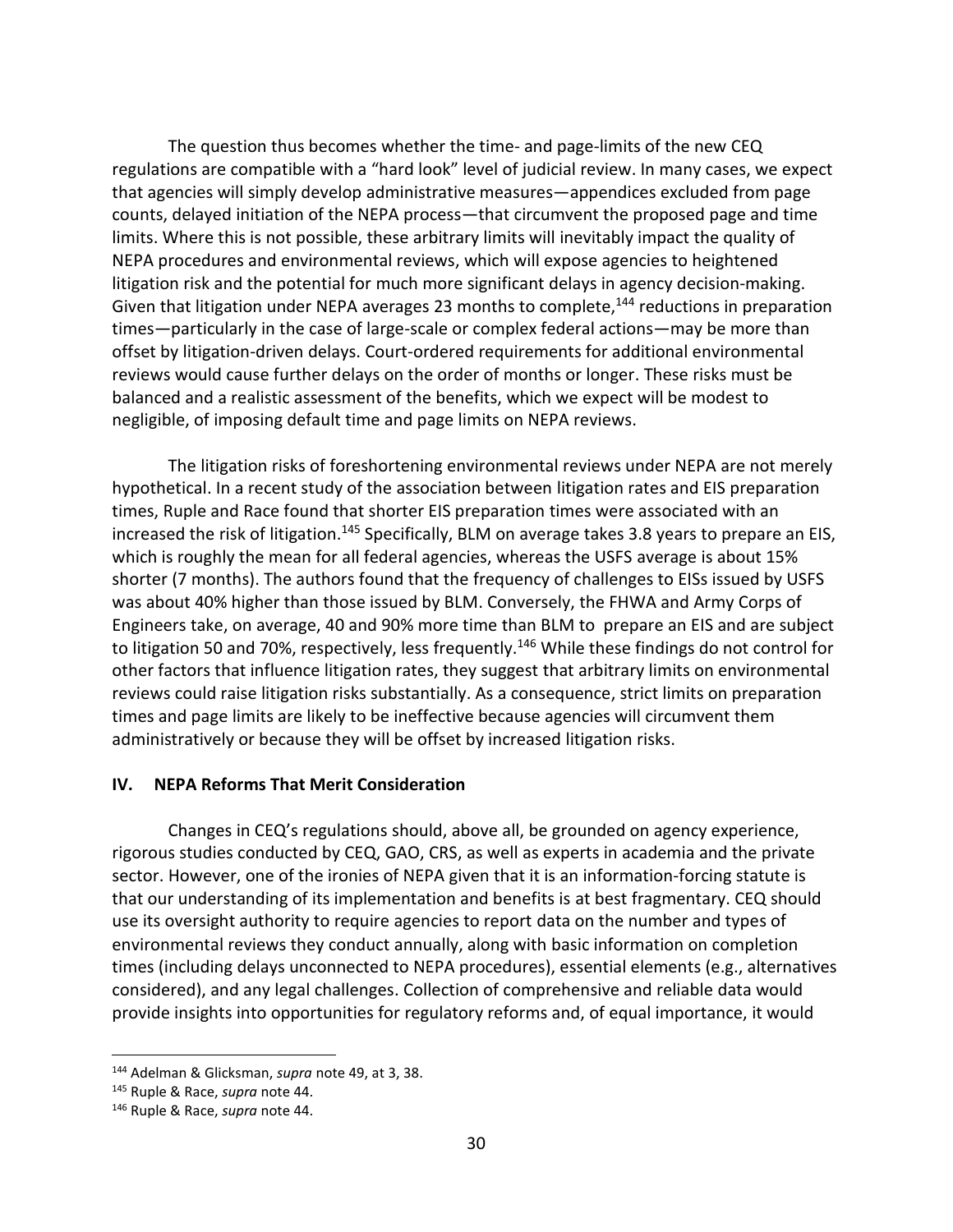The question thus becomes whether the time- and page-limits of the new CEQ regulations are compatible with a "hard look" level of judicial review. In many cases, we expect that agencies will simply develop administrative measures—appendices excluded from page counts, delayed initiation of the NEPA process—that circumvent the proposed page and time limits. Where this is not possible, these arbitrary limits will inevitably impact the quality of NEPA procedures and environmental reviews, which will expose agencies to heightened litigation risk and the potential for much more significant delays in agency decision-making. Given that litigation under NEPA averages 23 months to complete, $144$  reductions in preparation times—particularly in the case of large-scale or complex federal actions—may be more than offset by litigation-driven delays. Court-ordered requirements for additional environmental reviews would cause further delays on the order of months or longer. These risks must be balanced and a realistic assessment of the benefits, which we expect will be modest to negligible, of imposing default time and page limits on NEPA reviews.

The litigation risks of foreshortening environmental reviews under NEPA are not merely hypothetical. In a recent study of the association between litigation rates and EIS preparation times, Ruple and Race found that shorter EIS preparation times were associated with an increased the risk of litigation.<sup>145</sup> Specifically, BLM on average takes 3.8 years to prepare an EIS, which is roughly the mean for all federal agencies, whereas the USFS average is about 15% shorter (7 months). The authors found that the frequency of challenges to EISs issued by USFS was about 40% higher than those issued by BLM. Conversely, the FHWA and Army Corps of Engineers take, on average, 40 and 90% more time than BLM to prepare an EIS and are subject to litigation 50 and 70%, respectively, less frequently.<sup>146</sup> While these findings do not control for other factors that influence litigation rates, they suggest that arbitrary limits on environmental reviews could raise litigation risks substantially. As a consequence, strict limits on preparation times and page limits are likely to be ineffective because agencies will circumvent them administratively or because they will be offset by increased litigation risks.

#### **IV. NEPA Reforms That Merit Consideration**

Changes in CEQ's regulations should, above all, be grounded on agency experience, rigorous studies conducted by CEQ, GAO, CRS, as well as experts in academia and the private sector. However, one of the ironies of NEPA given that it is an information-forcing statute is that our understanding of its implementation and benefits is at best fragmentary. CEQ should use its oversight authority to require agencies to report data on the number and types of environmental reviews they conduct annually, along with basic information on completion times (including delays unconnected to NEPA procedures), essential elements (e.g., alternatives considered), and any legal challenges. Collection of comprehensive and reliable data would provide insights into opportunities for regulatory reforms and, of equal importance, it would

<sup>144</sup> Adelman & Glicksman, *supra* note [49,](#page-10-0) at 3, 38.

<sup>145</sup> Ruple & Race, *supra* note [44.](#page-9-0)

<sup>146</sup> Ruple & Race, *supra* note [44.](#page-9-0)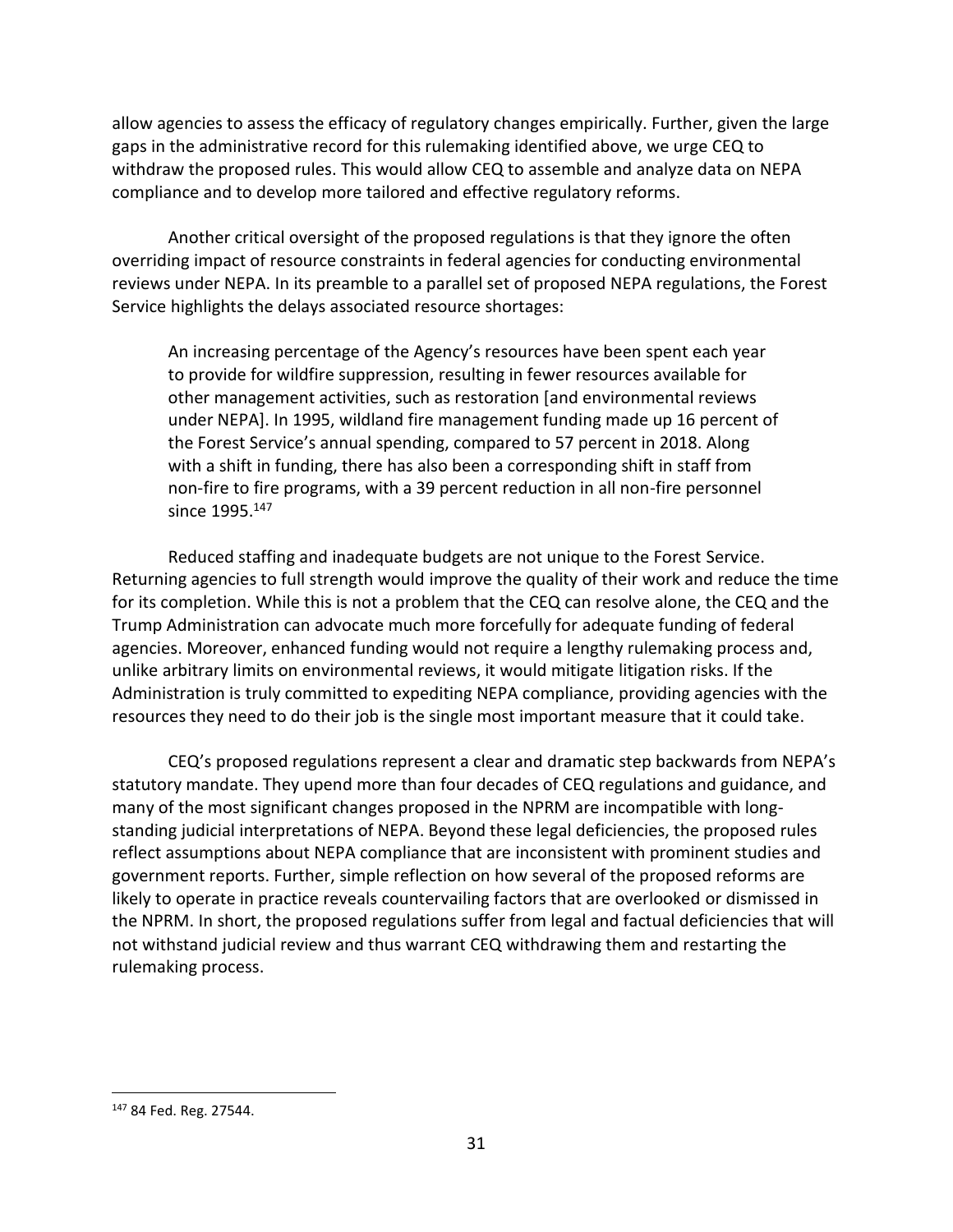allow agencies to assess the efficacy of regulatory changes empirically. Further, given the large gaps in the administrative record for this rulemaking identified above, we urge CEQ to withdraw the proposed rules. This would allow CEQ to assemble and analyze data on NEPA compliance and to develop more tailored and effective regulatory reforms.

Another critical oversight of the proposed regulations is that they ignore the often overriding impact of resource constraints in federal agencies for conducting environmental reviews under NEPA. In its preamble to a parallel set of proposed NEPA regulations, the Forest Service highlights the delays associated resource shortages:

An increasing percentage of the Agency's resources have been spent each year to provide for wildfire suppression, resulting in fewer resources available for other management activities, such as restoration [and environmental reviews under NEPA]. In 1995, wildland fire management funding made up 16 percent of the Forest Service's annual spending, compared to 57 percent in 2018. Along with a shift in funding, there has also been a corresponding shift in staff from non-fire to fire programs, with a 39 percent reduction in all non-fire personnel since 1995.<sup>147</sup>

Reduced staffing and inadequate budgets are not unique to the Forest Service. Returning agencies to full strength would improve the quality of their work and reduce the time for its completion. While this is not a problem that the CEQ can resolve alone, the CEQ and the Trump Administration can advocate much more forcefully for adequate funding of federal agencies. Moreover, enhanced funding would not require a lengthy rulemaking process and, unlike arbitrary limits on environmental reviews, it would mitigate litigation risks. If the Administration is truly committed to expediting NEPA compliance, providing agencies with the resources they need to do their job is the single most important measure that it could take.

CEQ's proposed regulations represent a clear and dramatic step backwards from NEPA's statutory mandate. They upend more than four decades of CEQ regulations and guidance, and many of the most significant changes proposed in the NPRM are incompatible with longstanding judicial interpretations of NEPA. Beyond these legal deficiencies, the proposed rules reflect assumptions about NEPA compliance that are inconsistent with prominent studies and government reports. Further, simple reflection on how several of the proposed reforms are likely to operate in practice reveals countervailing factors that are overlooked or dismissed in the NPRM. In short, the proposed regulations suffer from legal and factual deficiencies that will not withstand judicial review and thus warrant CEQ withdrawing them and restarting the rulemaking process.

<sup>147</sup> 84 Fed. Reg. 27544.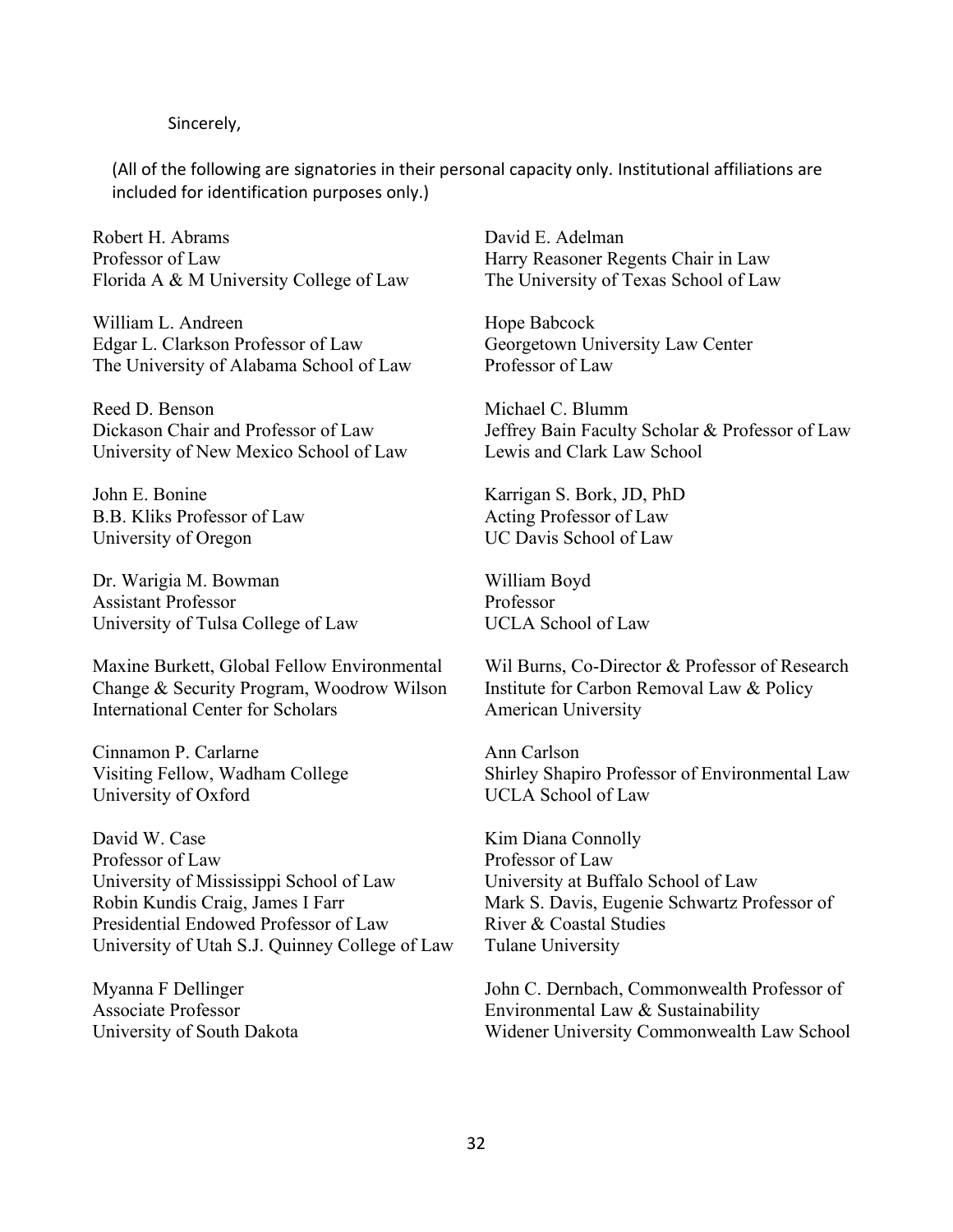#### Sincerely,

(All of the following are signatories in their personal capacity only. Institutional affiliations are included for identification purposes only.)

Robert H. Abrams Professor of Law Florida A & M University College of Law

William L. Andreen Edgar L. Clarkson Professor of Law The University of Alabama School of Law

Reed D. Benson Dickason Chair and Professor of Law University of New Mexico School of Law

John E. Bonine B.B. Kliks Professor of Law University of Oregon

Dr. Warigia M. Bowman Assistant Professor University of Tulsa College of Law

Maxine Burkett, Global Fellow Environmental Change & Security Program, Woodrow Wilson International Center for Scholars

Cinnamon P. Carlarne Visiting Fellow, Wadham College University of Oxford

David W. Case Professor of Law University of Mississippi School of Law Robin Kundis Craig, James I Farr Presidential Endowed Professor of Law University of Utah S.J. Quinney College of Law

Myanna F Dellinger Associate Professor University of South Dakota David E. Adelman Harry Reasoner Regents Chair in Law The University of Texas School of Law

Hope Babcock Georgetown University Law Center Professor of Law

Michael C. Blumm Jeffrey Bain Faculty Scholar & Professor of Law Lewis and Clark Law School

Karrigan S. Bork, JD, PhD Acting Professor of Law UC Davis School of Law

William Boyd Professor UCLA School of Law

Wil Burns, Co-Director & Professor of Research Institute for Carbon Removal Law & Policy American University

Ann Carlson Shirley Shapiro Professor of Environmental Law UCLA School of Law

Kim Diana Connolly Professor of Law University at Buffalo School of Law Mark S. Davis, Eugenie Schwartz Professor of River & Coastal Studies Tulane University

John C. Dernbach, Commonwealth Professor of Environmental Law & Sustainability Widener University Commonwealth Law School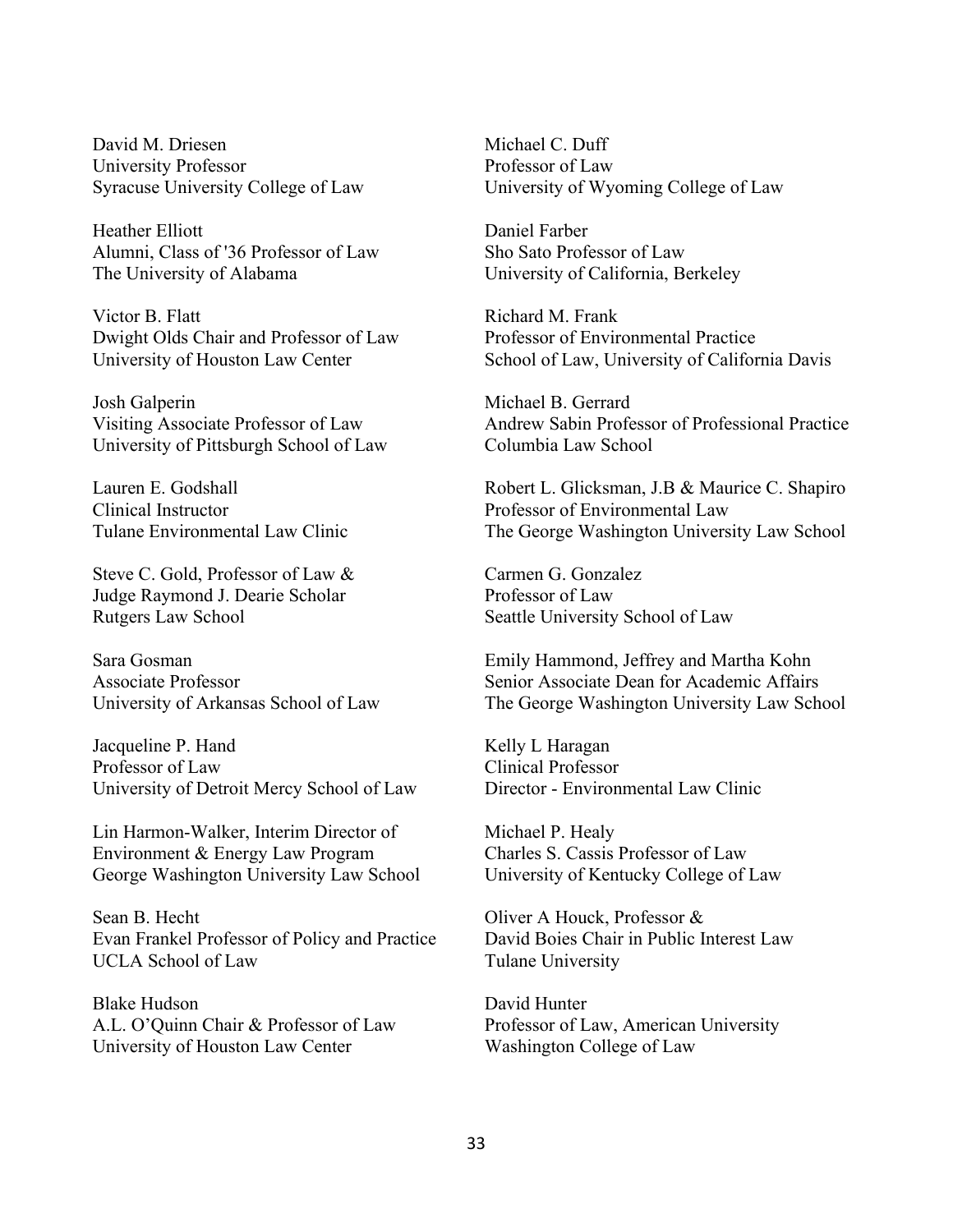David M. Driesen University Professor Syracuse University College of Law

Heather Elliott Alumni, Class of '36 Professor of Law The University of Alabama

Victor B. Flatt Dwight Olds Chair and Professor of Law University of Houston Law Center

Josh Galperin Visiting Associate Professor of Law University of Pittsburgh School of Law

Lauren E. Godshall Clinical Instructor Tulane Environmental Law Clinic

Steve C. Gold, Professor of Law & Judge Raymond J. Dearie Scholar Rutgers Law School

Sara Gosman Associate Professor University of Arkansas School of Law

Jacqueline P. Hand Professor of Law University of Detroit Mercy School of Law

Lin Harmon-Walker, Interim Director of Environment & Energy Law Program George Washington University Law School

Sean B. Hecht Evan Frankel Professor of Policy and Practice UCLA School of Law

Blake Hudson A.L. O'Quinn Chair & Professor of Law University of Houston Law Center

Michael C. Duff Professor of Law University of Wyoming College of Law

Daniel Farber Sho Sato Professor of Law University of California, Berkeley

Richard M. Frank Professor of Environmental Practice School of Law, University of California Davis

Michael B. Gerrard Andrew Sabin Professor of Professional Practice Columbia Law School

Robert L. Glicksman, J.B & Maurice C. Shapiro Professor of Environmental Law The George Washington University Law School

Carmen G. Gonzalez Professor of Law Seattle University School of Law

Emily Hammond, Jeffrey and Martha Kohn Senior Associate Dean for Academic Affairs The George Washington University Law School

Kelly L Haragan Clinical Professor Director - Environmental Law Clinic

Michael P. Healy Charles S. Cassis Professor of Law University of Kentucky College of Law

Oliver A Houck, Professor & David Boies Chair in Public Interest Law Tulane University

David Hunter Professor of Law, American University Washington College of Law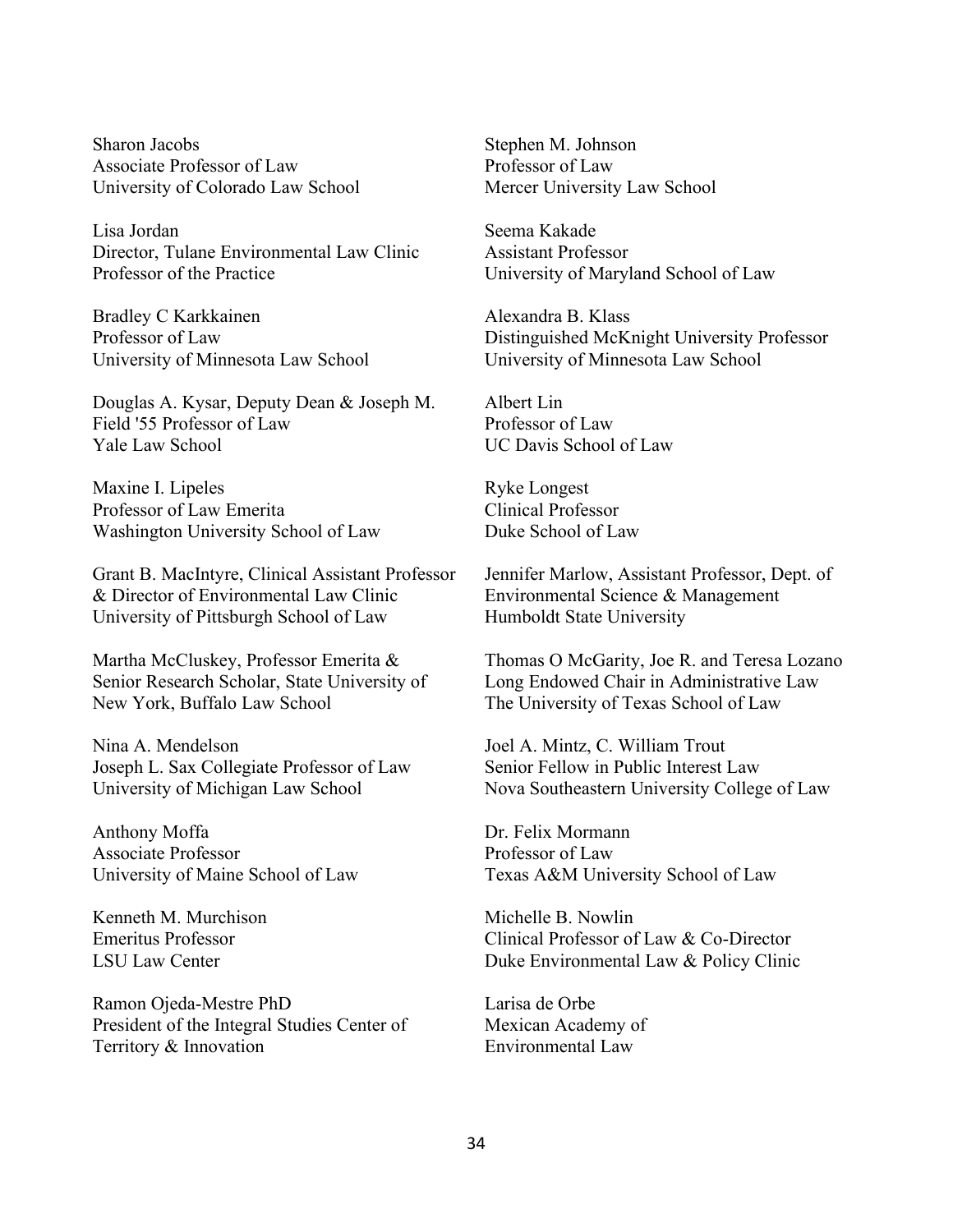Sharon Jacobs Associate Professor of Law University of Colorado Law School

Lisa Jordan Director, Tulane Environmental Law Clinic Professor of the Practice

Bradley C Karkkainen Professor of Law University of Minnesota Law School

Douglas A. Kysar, Deputy Dean & Joseph M. Field '55 Professor of Law Yale Law School

Maxine I. Lipeles Professor of Law Emerita Washington University School of Law

Grant B. MacIntyre, Clinical Assistant Professor & Director of Environmental Law Clinic University of Pittsburgh School of Law

Martha McCluskey, Professor Emerita & Senior Research Scholar, State University of New York, Buffalo Law School

Nina A. Mendelson Joseph L. Sax Collegiate Professor of Law University of Michigan Law School

Anthony Moffa Associate Professor University of Maine School of Law

Kenneth M. Murchison Emeritus Professor LSU Law Center

Ramon Ojeda-Mestre PhD President of the Integral Studies Center of Territory & Innovation

Stephen M. Johnson Professor of Law Mercer University Law School

Seema Kakade Assistant Professor University of Maryland School of Law

Alexandra B. Klass Distinguished McKnight University Professor University of Minnesota Law School

Albert Lin Professor of Law UC Davis School of Law

Ryke Longest Clinical Professor Duke School of Law

Jennifer Marlow, Assistant Professor, Dept. of Environmental Science & Management Humboldt State University

Thomas O McGarity, Joe R. and Teresa Lozano Long Endowed Chair in Administrative Law The University of Texas School of Law

Joel A. Mintz, C. William Trout Senior Fellow in Public Interest Law Nova Southeastern University College of Law

Dr. Felix Mormann Professor of Law Texas A&M University School of Law

Michelle B. Nowlin Clinical Professor of Law & Co-Director Duke Environmental Law & Policy Clinic

Larisa de Orbe Mexican Academy of Environmental Law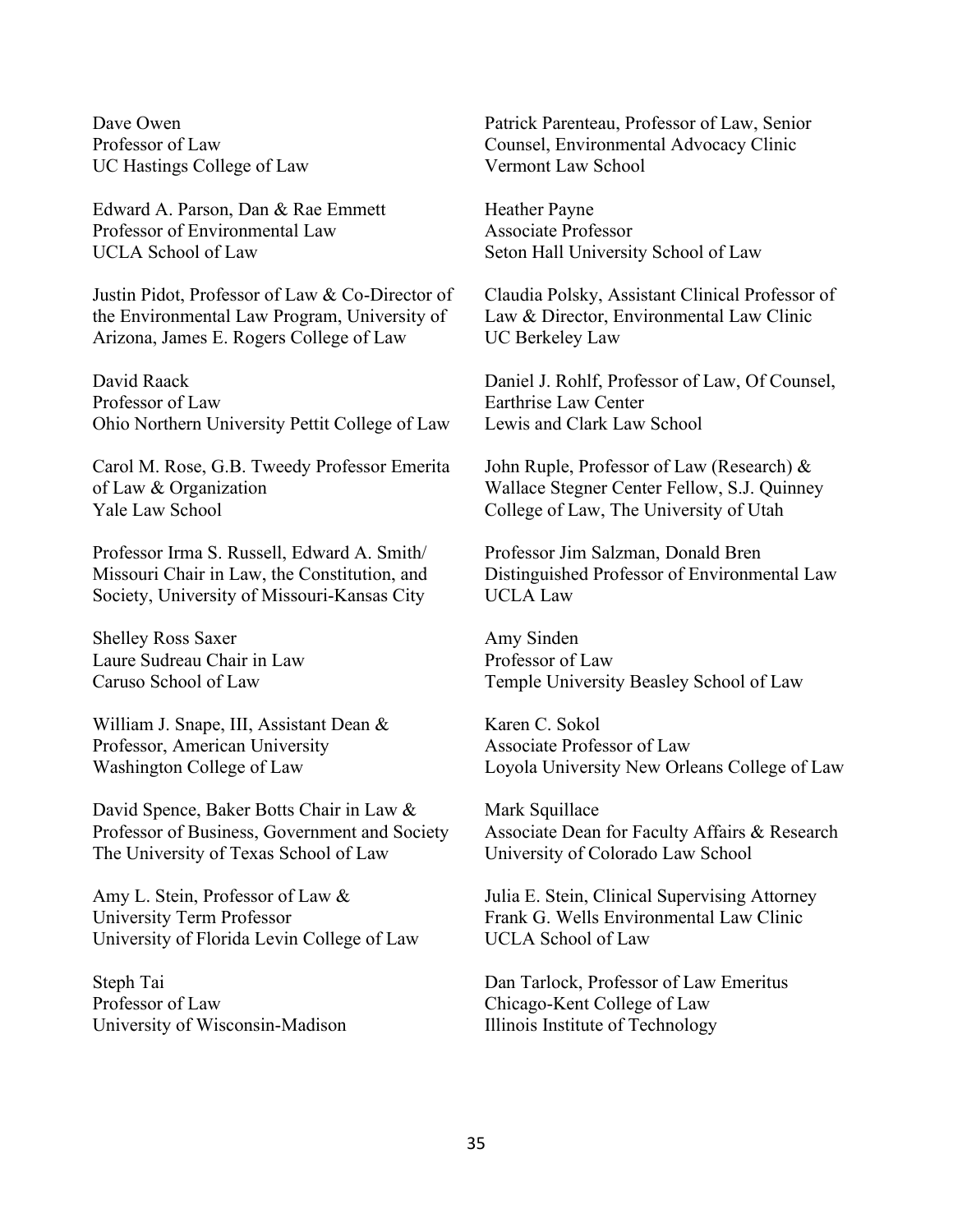Dave Owen Professor of Law UC Hastings College of Law

Edward A. Parson, Dan & Rae Emmett Professor of Environmental Law UCLA School of Law

Justin Pidot, Professor of Law & Co-Director of the Environmental Law Program, University of Arizona, James E. Rogers College of Law

David Raack Professor of Law Ohio Northern University Pettit College of Law

Carol M. Rose, G.B. Tweedy Professor Emerita of Law & Organization Yale Law School

Professor Irma S. Russell, Edward A. Smith/ Missouri Chair in Law, the Constitution, and Society, University of Missouri-Kansas City

Shelley Ross Saxer Laure Sudreau Chair in Law Caruso School of Law

William J. Snape, III, Assistant Dean & Professor, American University Washington College of Law

David Spence, Baker Botts Chair in Law & Professor of Business, Government and Society The University of Texas School of Law

Amy L. Stein, Professor of Law & University Term Professor University of Florida Levin College of Law

Steph Tai Professor of Law University of Wisconsin-Madison Patrick Parenteau, Professor of Law, Senior Counsel, Environmental Advocacy Clinic Vermont Law School

Heather Payne Associate Professor Seton Hall University School of Law

Claudia Polsky, Assistant Clinical Professor of Law & Director, Environmental Law Clinic UC Berkeley Law

Daniel J. Rohlf, Professor of Law, Of Counsel, Earthrise Law Center Lewis and Clark Law School

John Ruple, Professor of Law (Research) & Wallace Stegner Center Fellow, S.J. Quinney College of Law, The University of Utah

Professor Jim Salzman, Donald Bren Distinguished Professor of Environmental Law UCLA Law

Amy Sinden Professor of Law Temple University Beasley School of Law

Karen C. Sokol Associate Professor of Law Loyola University New Orleans College of Law

Mark Squillace Associate Dean for Faculty Affairs & Research University of Colorado Law School

Julia E. Stein, Clinical Supervising Attorney Frank G. Wells Environmental Law Clinic UCLA School of Law

Dan Tarlock, Professor of Law Emeritus Chicago-Kent College of Law Illinois Institute of Technology